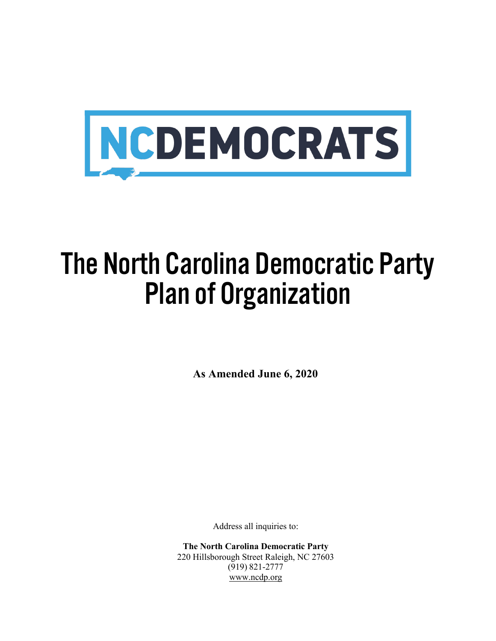

# The North Carolina Democratic Party Plan of Organization

**As Amended June 6, 2020**

Address all inquiries to:

**The North Carolina Democratic Party** 220 Hillsborough Street Raleigh, NC 27603 (919) 821-2777 www.ncdp.org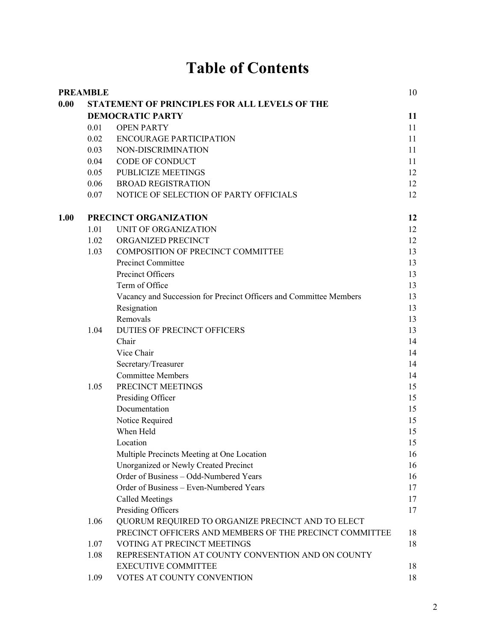# **Table of Contents**

|      | <b>PREAMBLE</b>                               |                                                                    |    |
|------|-----------------------------------------------|--------------------------------------------------------------------|----|
| 0.00 | STATEMENT OF PRINCIPLES FOR ALL LEVELS OF THE |                                                                    |    |
|      | <b>DEMOCRATIC PARTY</b>                       |                                                                    |    |
|      | 0.01                                          | <b>OPEN PARTY</b>                                                  | 11 |
|      | 0.02                                          | <b>ENCOURAGE PARTICIPATION</b>                                     | 11 |
|      | 0.03                                          | NON-DISCRIMINATION                                                 | 11 |
|      | 0.04                                          | CODE OF CONDUCT                                                    | 11 |
|      | 0.05                                          | <b>PUBLICIZE MEETINGS</b>                                          | 12 |
|      | 0.06                                          | <b>BROAD REGISTRATION</b>                                          | 12 |
|      | 0.07                                          | NOTICE OF SELECTION OF PARTY OFFICIALS                             | 12 |
| 1.00 | PRECINCT ORGANIZATION                         |                                                                    |    |
|      | 1.01                                          | UNIT OF ORGANIZATION                                               | 12 |
|      | 1.02                                          | ORGANIZED PRECINCT                                                 | 12 |
|      | 1.03                                          | COMPOSITION OF PRECINCT COMMITTEE                                  | 13 |
|      |                                               | Precinct Committee                                                 | 13 |
|      |                                               | Precinct Officers                                                  | 13 |
|      |                                               | Term of Office                                                     | 13 |
|      |                                               | Vacancy and Succession for Precinct Officers and Committee Members | 13 |
|      |                                               | Resignation                                                        | 13 |
|      |                                               | Removals                                                           | 13 |
|      | 1.04                                          | DUTIES OF PRECINCT OFFICERS                                        | 13 |
|      |                                               | Chair                                                              | 14 |
|      |                                               | Vice Chair                                                         | 14 |
|      |                                               | Secretary/Treasurer                                                | 14 |
|      |                                               | <b>Committee Members</b>                                           | 14 |
|      | 1.05                                          | PRECINCT MEETINGS                                                  | 15 |
|      |                                               | Presiding Officer                                                  | 15 |
|      |                                               | Documentation                                                      | 15 |
|      |                                               | Notice Required                                                    | 15 |
|      |                                               | When Held                                                          | 15 |
|      |                                               | Location                                                           | 15 |
|      |                                               | Multiple Precincts Meeting at One Location                         | 16 |
|      |                                               | Unorganized or Newly Created Precinct                              | 16 |
|      |                                               | Order of Business - Odd-Numbered Years                             | 16 |
|      |                                               | Order of Business - Even-Numbered Years                            | 17 |
|      |                                               | <b>Called Meetings</b>                                             | 17 |
|      |                                               | Presiding Officers                                                 | 17 |
|      | 1.06                                          | QUORUM REQUIRED TO ORGANIZE PRECINCT AND TO ELECT                  |    |
|      |                                               | PRECINCT OFFICERS AND MEMBERS OF THE PRECINCT COMMITTEE            | 18 |
|      | 1.07                                          | VOTING AT PRECINCT MEETINGS                                        | 18 |
|      | 1.08                                          | REPRESENTATION AT COUNTY CONVENTION AND ON COUNTY                  |    |
|      |                                               | <b>EXECUTIVE COMMITTEE</b>                                         | 18 |
|      | 1.09                                          | VOTES AT COUNTY CONVENTION                                         | 18 |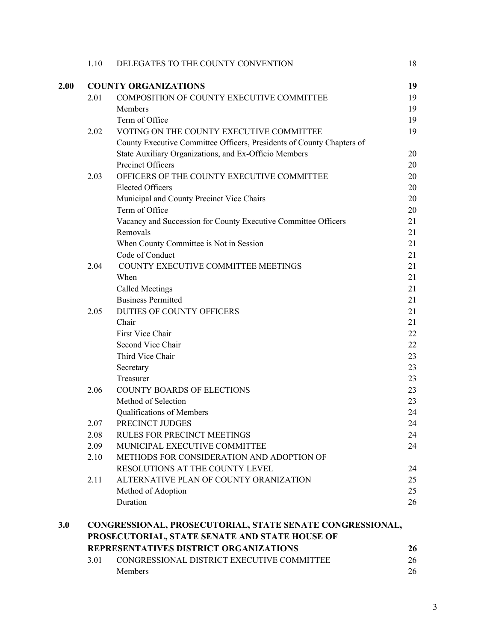|      | 1.10                                                      | DELEGATES TO THE COUNTY CONVENTION                                    | 18 |  |
|------|-----------------------------------------------------------|-----------------------------------------------------------------------|----|--|
| 2.00 |                                                           | <b>COUNTY ORGANIZATIONS</b>                                           | 19 |  |
|      | 2.01                                                      | COMPOSITION OF COUNTY EXECUTIVE COMMITTEE                             | 19 |  |
|      |                                                           | Members                                                               | 19 |  |
|      |                                                           | Term of Office                                                        | 19 |  |
|      | 2.02                                                      | VOTING ON THE COUNTY EXECUTIVE COMMITTEE                              | 19 |  |
|      |                                                           | County Executive Committee Officers, Presidents of County Chapters of |    |  |
|      |                                                           | State Auxiliary Organizations, and Ex-Officio Members                 | 20 |  |
|      |                                                           | Precinct Officers                                                     | 20 |  |
|      | 2.03                                                      | OFFICERS OF THE COUNTY EXECUTIVE COMMITTEE                            | 20 |  |
|      |                                                           | <b>Elected Officers</b>                                               | 20 |  |
|      |                                                           | Municipal and County Precinct Vice Chairs                             | 20 |  |
|      |                                                           | Term of Office                                                        | 20 |  |
|      |                                                           | Vacancy and Succession for County Executive Committee Officers        | 21 |  |
|      |                                                           | Removals                                                              | 21 |  |
|      |                                                           | When County Committee is Not in Session                               | 21 |  |
|      |                                                           | Code of Conduct                                                       | 21 |  |
|      | 2.04                                                      | COUNTY EXECUTIVE COMMITTEE MEETINGS                                   | 21 |  |
|      |                                                           | When                                                                  | 21 |  |
|      |                                                           | <b>Called Meetings</b>                                                | 21 |  |
|      |                                                           | <b>Business Permitted</b>                                             | 21 |  |
|      | 2.05                                                      | DUTIES OF COUNTY OFFICERS                                             | 21 |  |
|      |                                                           | Chair                                                                 | 21 |  |
|      |                                                           | First Vice Chair                                                      | 22 |  |
|      |                                                           | Second Vice Chair                                                     | 22 |  |
|      |                                                           | Third Vice Chair                                                      | 23 |  |
|      |                                                           | Secretary                                                             | 23 |  |
|      |                                                           | Treasurer                                                             | 23 |  |
|      | 2.06                                                      | COUNTY BOARDS OF ELECTIONS                                            | 23 |  |
|      |                                                           | Method of Selection                                                   | 23 |  |
|      |                                                           | Qualifications of Members                                             | 24 |  |
|      | 2.07                                                      | PRECINCT JUDGES                                                       | 24 |  |
|      | 2.08                                                      | <b>RULES FOR PRECINCT MEETINGS</b>                                    | 24 |  |
|      | 2.09                                                      | MUNICIPAL EXECUTIVE COMMITTEE                                         | 24 |  |
|      | 2.10                                                      | METHODS FOR CONSIDERATION AND ADOPTION OF                             |    |  |
|      |                                                           | RESOLUTIONS AT THE COUNTY LEVEL                                       | 24 |  |
|      | 2.11                                                      | ALTERNATIVE PLAN OF COUNTY ORANIZATION                                | 25 |  |
|      |                                                           | Method of Adoption                                                    | 25 |  |
|      |                                                           | Duration                                                              | 26 |  |
| 3.0  | CONGRESSIONAL, PROSECUTORIAL, STATE SENATE CONGRESSIONAL, |                                                                       |    |  |
|      |                                                           | PROSECUTORIAL, STATE SENATE AND STATE HOUSE OF                        |    |  |
|      |                                                           | REPRESENTATIVES DISTRICT ORGANIZATIONS                                | 26 |  |
|      | 3.01                                                      | CONGRESSIONAL DISTRICT EXECUTIVE COMMITTEE                            | 26 |  |
|      |                                                           | Members                                                               | 26 |  |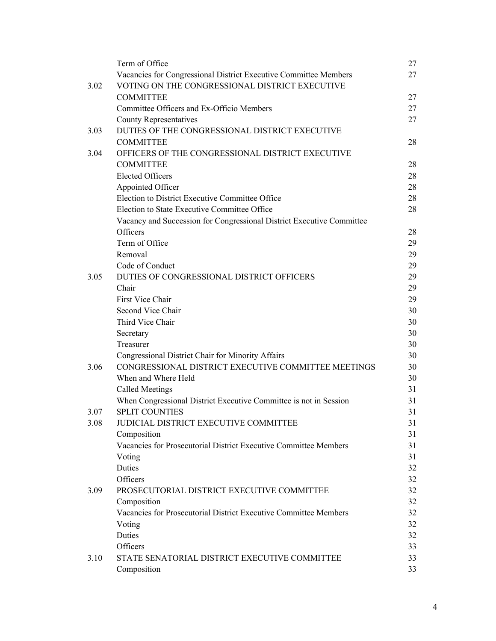|              | Term of Office                                                                                           | 27       |
|--------------|----------------------------------------------------------------------------------------------------------|----------|
|              | Vacancies for Congressional District Executive Committee Members                                         | 27       |
| 3.02         | VOTING ON THE CONGRESSIONAL DISTRICT EXECUTIVE                                                           |          |
|              | <b>COMMITTEE</b>                                                                                         | 27       |
|              | Committee Officers and Ex-Officio Members                                                                | 27       |
|              | <b>County Representatives</b>                                                                            | 27       |
| 3.03         | DUTIES OF THE CONGRESSIONAL DISTRICT EXECUTIVE                                                           |          |
|              | <b>COMMITTEE</b>                                                                                         | 28       |
| 3.04         | OFFICERS OF THE CONGRESSIONAL DISTRICT EXECUTIVE                                                         |          |
|              | <b>COMMITTEE</b>                                                                                         | 28       |
|              | <b>Elected Officers</b>                                                                                  | 28       |
|              | Appointed Officer                                                                                        | 28       |
|              | Election to District Executive Committee Office                                                          | 28       |
|              | Election to State Executive Committee Office                                                             | 28       |
|              | Vacancy and Succession for Congressional District Executive Committee                                    |          |
|              | Officers                                                                                                 | 28       |
|              | Term of Office                                                                                           | 29       |
|              | Removal                                                                                                  | 29       |
|              | Code of Conduct                                                                                          | 29       |
| 3.05         | DUTIES OF CONGRESSIONAL DISTRICT OFFICERS                                                                | 29       |
|              | Chair                                                                                                    | 29       |
|              | First Vice Chair                                                                                         | 29       |
|              | Second Vice Chair                                                                                        | 30       |
|              | Third Vice Chair                                                                                         | 30       |
|              | Secretary                                                                                                | 30       |
|              | Treasurer                                                                                                | 30       |
|              |                                                                                                          | 30       |
| 3.06         | Congressional District Chair for Minority Affairs<br>CONGRESSIONAL DISTRICT EXECUTIVE COMMITTEE MEETINGS | 30       |
|              | When and Where Held                                                                                      | 30       |
|              |                                                                                                          | 31       |
|              | Called Meetings<br>When Congressional District Executive Committee is not in Session                     | 31       |
|              | <b>SPLIT COUNTIES</b>                                                                                    | 31       |
| 3.07<br>3.08 | JUDICIAL DISTRICT EXECUTIVE COMMITTEE                                                                    | 31       |
|              |                                                                                                          |          |
|              | Composition<br>Vacancies for Prosecutorial District Executive Committee Members                          | 31<br>31 |
|              |                                                                                                          |          |
|              | Voting                                                                                                   | 31       |
|              | Duties<br>Officers                                                                                       | 32       |
|              |                                                                                                          | 32       |
| 3.09         | PROSECUTORIAL DISTRICT EXECUTIVE COMMITTEE                                                               | 32       |
|              | Composition                                                                                              | 32       |
|              | Vacancies for Prosecutorial District Executive Committee Members                                         | 32       |
|              | Voting                                                                                                   | 32       |
|              | Duties                                                                                                   | 32       |
|              | Officers                                                                                                 | 33       |
| 3.10         | STATE SENATORIAL DISTRICT EXECUTIVE COMMITTEE                                                            | 33       |
|              | Composition                                                                                              | 33       |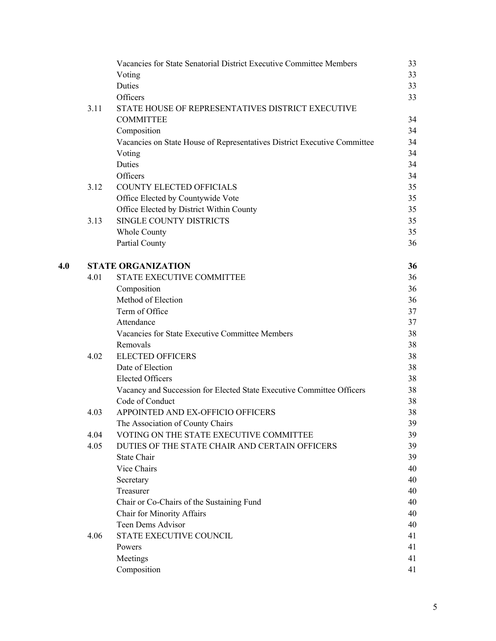|     |      | Vacancies for State Senatorial District Executive Committee Members      | 33 |
|-----|------|--------------------------------------------------------------------------|----|
|     |      | Voting                                                                   | 33 |
|     |      | Duties                                                                   | 33 |
|     |      | Officers                                                                 | 33 |
|     | 3.11 | STATE HOUSE OF REPRESENTATIVES DISTRICT EXECUTIVE                        |    |
|     |      | <b>COMMITTEE</b>                                                         | 34 |
|     |      | Composition                                                              | 34 |
|     |      | Vacancies on State House of Representatives District Executive Committee | 34 |
|     |      | Voting                                                                   | 34 |
|     |      | Duties                                                                   | 34 |
|     |      | Officers                                                                 | 34 |
|     | 3.12 | COUNTY ELECTED OFFICIALS                                                 | 35 |
|     |      | Office Elected by Countywide Vote                                        | 35 |
|     |      | Office Elected by District Within County                                 | 35 |
|     | 3.13 | SINGLE COUNTY DISTRICTS                                                  | 35 |
|     |      | Whole County                                                             | 35 |
|     |      | Partial County                                                           | 36 |
| 4.0 |      | <b>STATE ORGANIZATION</b>                                                | 36 |
|     | 4.01 | STATE EXECUTIVE COMMITTEE                                                | 36 |
|     |      | Composition                                                              | 36 |
|     |      | Method of Election                                                       | 36 |
|     |      | Term of Office                                                           | 37 |
|     |      | Attendance                                                               | 37 |
|     |      | Vacancies for State Executive Committee Members                          | 38 |
|     |      | Removals                                                                 | 38 |
|     | 4.02 | <b>ELECTED OFFICERS</b>                                                  | 38 |
|     |      | Date of Election                                                         | 38 |
|     |      | <b>Elected Officers</b>                                                  | 38 |
|     |      | Vacancy and Succession for Elected State Executive Committee Officers    | 38 |
|     |      | Code of Conduct                                                          | 38 |
|     | 4.03 | APPOINTED AND EX-OFFICIO OFFICERS                                        | 38 |
|     |      | The Association of County Chairs                                         | 39 |
|     | 4.04 | VOTING ON THE STATE EXECUTIVE COMMITTEE                                  | 39 |
|     | 4.05 | DUTIES OF THE STATE CHAIR AND CERTAIN OFFICERS                           | 39 |
|     |      | <b>State Chair</b>                                                       | 39 |
|     |      | Vice Chairs                                                              | 40 |
|     |      | Secretary                                                                | 40 |
|     |      | Treasurer                                                                | 40 |
|     |      | Chair or Co-Chairs of the Sustaining Fund                                | 40 |
|     |      | Chair for Minority Affairs                                               | 40 |
|     |      | Teen Dems Advisor                                                        | 40 |
|     | 4.06 | STATE EXECUTIVE COUNCIL                                                  | 41 |
|     |      | Powers                                                                   | 41 |
|     |      | Meetings                                                                 | 41 |
|     |      | Composition                                                              | 41 |
|     |      |                                                                          |    |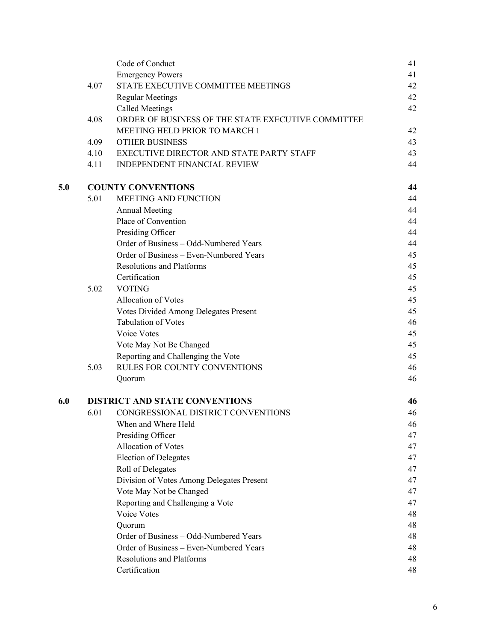|     |      | Code of Conduct                                    | 41 |
|-----|------|----------------------------------------------------|----|
|     |      | <b>Emergency Powers</b>                            | 41 |
|     | 4.07 | STATE EXECUTIVE COMMITTEE MEETINGS                 | 42 |
|     |      | <b>Regular Meetings</b>                            | 42 |
|     |      | <b>Called Meetings</b>                             | 42 |
|     | 4.08 | ORDER OF BUSINESS OF THE STATE EXECUTIVE COMMITTEE |    |
|     |      | MEETING HELD PRIOR TO MARCH 1                      | 42 |
|     | 4.09 | <b>OTHER BUSINESS</b>                              | 43 |
|     | 4.10 | EXECUTIVE DIRECTOR AND STATE PARTY STAFF           | 43 |
|     | 4.11 | <b>INDEPENDENT FINANCIAL REVIEW</b>                | 44 |
| 5.0 |      | <b>COUNTY CONVENTIONS</b>                          |    |
|     | 5.01 | <b>MEETING AND FUNCTION</b>                        | 44 |
|     |      | <b>Annual Meeting</b>                              | 44 |
|     |      | Place of Convention                                | 44 |
|     |      | Presiding Officer                                  | 44 |
|     |      | Order of Business - Odd-Numbered Years             | 44 |
|     |      | Order of Business - Even-Numbered Years            | 45 |
|     |      | <b>Resolutions and Platforms</b>                   | 45 |
|     |      | Certification                                      | 45 |
|     | 5.02 | <b>VOTING</b>                                      | 45 |
|     |      | Allocation of Votes                                | 45 |
|     |      | Votes Divided Among Delegates Present              | 45 |
|     |      | <b>Tabulation of Votes</b>                         | 46 |
|     |      | Voice Votes                                        | 45 |
|     |      | Vote May Not Be Changed                            | 45 |
|     |      | Reporting and Challenging the Vote                 | 45 |
|     | 5.03 | RULES FOR COUNTY CONVENTIONS                       | 46 |
|     |      | Quorum                                             | 46 |
| 6.0 |      | <b>DISTRICT AND STATE CONVENTIONS</b>              | 46 |
|     | 6.01 | CONGRESSIONAL DISTRICT CONVENTIONS                 | 46 |
|     |      | When and Where Held                                | 46 |
|     |      | Presiding Officer                                  | 47 |
|     |      | Allocation of Votes                                | 47 |
|     |      | <b>Election of Delegates</b>                       | 47 |
|     |      | Roll of Delegates                                  | 47 |
|     |      | Division of Votes Among Delegates Present          | 47 |
|     |      | Vote May Not be Changed                            | 47 |
|     |      | Reporting and Challenging a Vote                   | 47 |
|     |      | Voice Votes                                        | 48 |
|     |      | Quorum                                             | 48 |
|     |      | Order of Business - Odd-Numbered Years             | 48 |
|     |      | Order of Business - Even-Numbered Years            | 48 |
|     |      | <b>Resolutions and Platforms</b>                   | 48 |
|     |      | Certification                                      | 48 |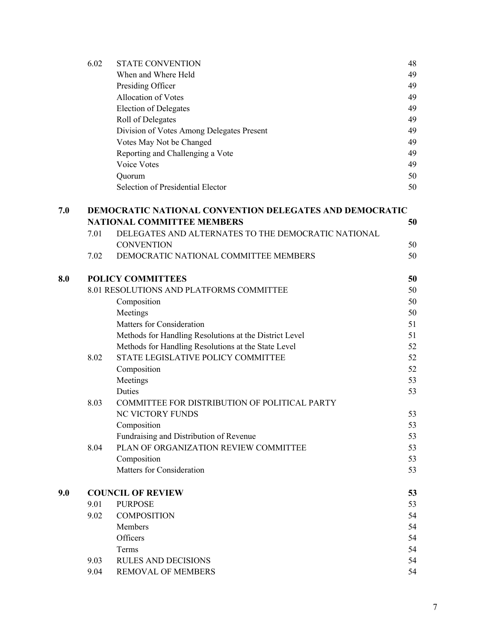|     | 6.02                     | <b>STATE CONVENTION</b>                                        | 48 |  |  |  |
|-----|--------------------------|----------------------------------------------------------------|----|--|--|--|
|     |                          | When and Where Held                                            | 49 |  |  |  |
|     |                          | Presiding Officer                                              | 49 |  |  |  |
|     |                          | Allocation of Votes                                            | 49 |  |  |  |
|     |                          | <b>Election of Delegates</b>                                   | 49 |  |  |  |
|     |                          | Roll of Delegates                                              | 49 |  |  |  |
|     |                          | Division of Votes Among Delegates Present                      | 49 |  |  |  |
|     |                          | Votes May Not be Changed                                       | 49 |  |  |  |
|     |                          | Reporting and Challenging a Vote                               | 49 |  |  |  |
|     |                          | Voice Votes                                                    | 49 |  |  |  |
|     |                          | Quorum                                                         | 50 |  |  |  |
|     |                          | Selection of Presidential Elector                              | 50 |  |  |  |
| 7.0 |                          | <b>DEMOCRATIC NATIONAL CONVENTION DELEGATES AND DEMOCRATIC</b> |    |  |  |  |
|     |                          | <b>NATIONAL COMMITTEE MEMBERS</b>                              | 50 |  |  |  |
|     | 7.01                     | DELEGATES AND ALTERNATES TO THE DEMOCRATIC NATIONAL            |    |  |  |  |
|     |                          | <b>CONVENTION</b>                                              | 50 |  |  |  |
|     | 7.02                     | DEMOCRATIC NATIONAL COMMITTEE MEMBERS                          | 50 |  |  |  |
| 8.0 | <b>POLICY COMMITTEES</b> |                                                                |    |  |  |  |
|     |                          | 8.01 RESOLUTIONS AND PLATFORMS COMMITTEE                       | 50 |  |  |  |
|     |                          | Composition                                                    | 50 |  |  |  |
|     |                          | Meetings                                                       | 50 |  |  |  |
|     |                          | Matters for Consideration                                      | 51 |  |  |  |
|     |                          | Methods for Handling Resolutions at the District Level         | 51 |  |  |  |
|     |                          | Methods for Handling Resolutions at the State Level            | 52 |  |  |  |
|     | 8.02                     | STATE LEGISLATIVE POLICY COMMITTEE                             | 52 |  |  |  |
|     |                          | Composition                                                    | 52 |  |  |  |
|     |                          | Meetings                                                       | 53 |  |  |  |
|     |                          | Duties                                                         | 53 |  |  |  |
|     | 8.03                     | COMMITTEE FOR DISTRIBUTION OF POLITICAL PARTY                  |    |  |  |  |
|     |                          | NC VICTORY FUNDS                                               | 53 |  |  |  |
|     |                          | Composition                                                    | 53 |  |  |  |
|     |                          | Fundraising and Distribution of Revenue                        | 53 |  |  |  |
|     | 8.04                     | PLAN OF ORGANIZATION REVIEW COMMITTEE                          | 53 |  |  |  |
|     |                          | Composition                                                    | 53 |  |  |  |
|     |                          | Matters for Consideration                                      | 53 |  |  |  |
| 9.0 | <b>COUNCIL OF REVIEW</b> |                                                                |    |  |  |  |
|     | 9.01                     | <b>PURPOSE</b>                                                 | 53 |  |  |  |
|     | 9.02                     | <b>COMPOSITION</b>                                             | 54 |  |  |  |
|     |                          | Members                                                        | 54 |  |  |  |
|     |                          | Officers                                                       | 54 |  |  |  |
|     |                          | Terms                                                          | 54 |  |  |  |
|     | 9.03                     | <b>RULES AND DECISIONS</b>                                     | 54 |  |  |  |
|     | 9.04                     | REMOVAL OF MEMBERS                                             | 54 |  |  |  |
|     |                          |                                                                |    |  |  |  |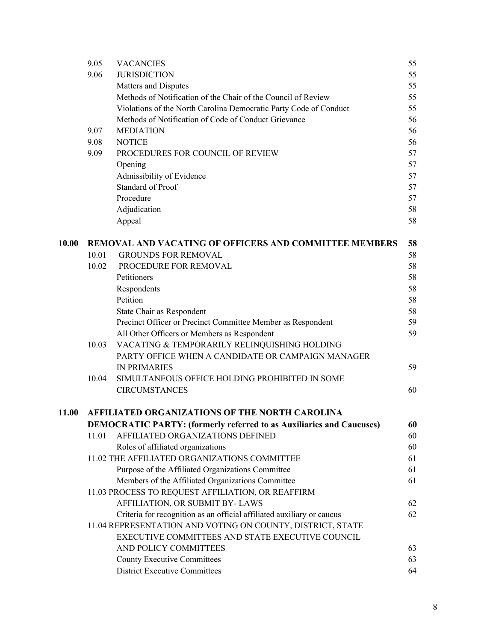|       | 9.05                                           | <b>VACANCIES</b>                                                            | 55 |
|-------|------------------------------------------------|-----------------------------------------------------------------------------|----|
|       | 9.06                                           | <b>JURISDICTION</b>                                                         | 55 |
|       |                                                | Matters and Disputes                                                        | 55 |
|       |                                                | Methods of Notification of the Chair of the Council of Review               | 55 |
|       |                                                | Violations of the North Carolina Democratic Party Code of Conduct           | 55 |
|       |                                                | Methods of Notification of Code of Conduct Grievance                        | 56 |
|       | 9.07                                           | <b>MEDIATION</b>                                                            | 56 |
|       | 9.08                                           | <b>NOTICE</b>                                                               | 56 |
|       | 9.09                                           | PROCEDURES FOR COUNCIL OF REVIEW                                            | 57 |
|       |                                                | Opening                                                                     | 57 |
|       |                                                | Admissibility of Evidence                                                   | 57 |
|       |                                                | <b>Standard of Proof</b>                                                    | 57 |
|       |                                                | Procedure                                                                   | 57 |
|       |                                                | Adjudication                                                                | 58 |
|       |                                                | Appeal                                                                      | 58 |
| 10.00 |                                                | <b>REMOVAL AND VACATING OF OFFICERS AND COMMITTEE MEMBERS</b>               | 58 |
|       | 10.01                                          | <b>GROUNDS FOR REMOVAL</b>                                                  | 58 |
|       | 10.02                                          | PROCEDURE FOR REMOVAL                                                       | 58 |
|       |                                                | Petitioners                                                                 | 58 |
|       |                                                | Respondents                                                                 | 58 |
|       |                                                | Petition                                                                    | 58 |
|       |                                                | State Chair as Respondent                                                   | 58 |
|       |                                                | Precinct Officer or Precinct Committee Member as Respondent                 | 59 |
|       |                                                | All Other Officers or Members as Respondent                                 | 59 |
|       | 10.03                                          | VACATING & TEMPORARILY RELINQUISHING HOLDING                                |    |
|       |                                                | PARTY OFFICE WHEN A CANDIDATE OR CAMPAIGN MANAGER                           |    |
|       |                                                | <b>IN PRIMARIES</b>                                                         | 59 |
|       | 10.04                                          | SIMULTANEOUS OFFICE HOLDING PROHIBITED IN SOME                              |    |
|       |                                                | <b>CIRCUMSTANCES</b>                                                        | 60 |
| 11.00 | AFFILIATED ORGANIZATIONS OF THE NORTH CAROLINA |                                                                             |    |
|       |                                                | <b>DEMOCRATIC PARTY: (formerly referred to as Auxiliaries and Caucuses)</b> | 60 |
|       | 11.01                                          | AFFILIATED ORGANIZATIONS DEFINED                                            | 60 |
|       |                                                | Roles of affiliated organizations                                           | 60 |
|       |                                                | 11.02 THE AFFILIATED ORGANIZATIONS COMMITTEE                                | 61 |
|       |                                                | Purpose of the Affiliated Organizations Committee                           | 61 |
|       |                                                | Members of the Affiliated Organizations Committee                           | 61 |
|       |                                                | 11.03 PROCESS TO REQUEST AFFILIATION, OR REAFFIRM                           |    |
|       |                                                | AFFILIATION, OR SUBMIT BY-LAWS                                              | 62 |
|       |                                                | Criteria for recognition as an official affiliated auxiliary or caucus      | 62 |
|       |                                                | 11.04 REPRESENTATION AND VOTING ON COUNTY, DISTRICT, STATE                  |    |
|       |                                                | EXECUTIVE COMMITTEES AND STATE EXECUTIVE COUNCIL                            |    |
|       |                                                | AND POLICY COMMITTEES                                                       | 63 |
|       |                                                | <b>County Executive Committees</b>                                          | 63 |
|       |                                                | <b>District Executive Committees</b>                                        | 64 |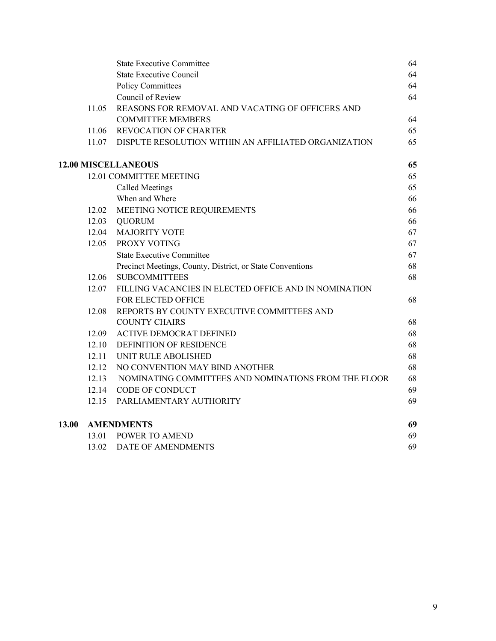|       | <b>State Executive Committee</b>                          | 64                                                                                                                                                                                          |
|-------|-----------------------------------------------------------|---------------------------------------------------------------------------------------------------------------------------------------------------------------------------------------------|
|       | <b>State Executive Council</b>                            | 64                                                                                                                                                                                          |
|       | <b>Policy Committees</b>                                  | 64                                                                                                                                                                                          |
|       | Council of Review                                         | 64                                                                                                                                                                                          |
| 11.05 | REASONS FOR REMOVAL AND VACATING OF OFFICERS AND          |                                                                                                                                                                                             |
|       | <b>COMMITTEE MEMBERS</b>                                  | 64                                                                                                                                                                                          |
| 11.06 | <b>REVOCATION OF CHARTER</b>                              | 65                                                                                                                                                                                          |
|       |                                                           | 65                                                                                                                                                                                          |
|       |                                                           | 65                                                                                                                                                                                          |
|       |                                                           | 65                                                                                                                                                                                          |
|       | Called Meetings                                           | 65                                                                                                                                                                                          |
|       | When and Where                                            | 66                                                                                                                                                                                          |
| 12.02 | MEETING NOTICE REQUIREMENTS                               | 66                                                                                                                                                                                          |
| 12.03 | <b>QUORUM</b>                                             | 66                                                                                                                                                                                          |
| 12.04 | <b>MAJORITY VOTE</b>                                      | 67                                                                                                                                                                                          |
| 12.05 | PROXY VOTING                                              | 67                                                                                                                                                                                          |
|       | <b>State Executive Committee</b>                          | 67                                                                                                                                                                                          |
|       | Precinct Meetings, County, District, or State Conventions | 68                                                                                                                                                                                          |
| 12.06 | <b>SUBCOMMITTEES</b>                                      | 68                                                                                                                                                                                          |
| 12.07 | FILLING VACANCIES IN ELECTED OFFICE AND IN NOMINATION     |                                                                                                                                                                                             |
|       | FOR ELECTED OFFICE                                        | 68                                                                                                                                                                                          |
| 12.08 | REPORTS BY COUNTY EXECUTIVE COMMITTEES AND                |                                                                                                                                                                                             |
|       | <b>COUNTY CHAIRS</b>                                      | 68                                                                                                                                                                                          |
| 12.09 | <b>ACTIVE DEMOCRAT DEFINED</b>                            | 68                                                                                                                                                                                          |
|       | DEFINITION OF RESIDENCE                                   | 68                                                                                                                                                                                          |
|       | UNIT RULE ABOLISHED                                       | 68                                                                                                                                                                                          |
| 12.12 | NO CONVENTION MAY BIND ANOTHER                            | 68                                                                                                                                                                                          |
| 12.13 | NOMINATING COMMITTEES AND NOMINATIONS FROM THE FLOOR      | 68                                                                                                                                                                                          |
|       | <b>CODE OF CONDUCT</b>                                    | 69                                                                                                                                                                                          |
| 12.15 | PARLIAMENTARY AUTHORITY                                   | 69                                                                                                                                                                                          |
|       |                                                           | 69                                                                                                                                                                                          |
|       |                                                           | 69                                                                                                                                                                                          |
| 13.02 | DATE OF AMENDMENTS                                        | 69                                                                                                                                                                                          |
|       |                                                           | 11.07 DISPUTE RESOLUTION WITHIN AN AFFILIATED ORGANIZATION<br><b>12.00 MISCELLANEOUS</b><br>12.01 COMMITTEE MEETING<br>12.10<br>12.11<br>12.14<br><b>AMENDMENTS</b><br>13.01 POWER TO AMEND |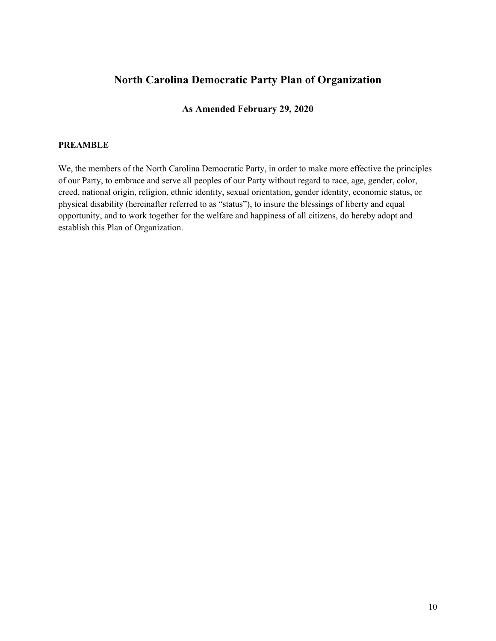# **North Carolina Democratic Party Plan of Organization**

# **As Amended February 29, 2020**

#### **PREAMBLE**

We, the members of the North Carolina Democratic Party, in order to make more effective the principles of our Party, to embrace and serve all peoples of our Party without regard to race, age, gender, color, creed, national origin, religion, ethnic identity, sexual orientation, gender identity, economic status, or physical disability (hereinafter referred to as "status"), to insure the blessings of liberty and equal opportunity, and to work together for the welfare and happiness of all citizens, do hereby adopt and establish this Plan of Organization.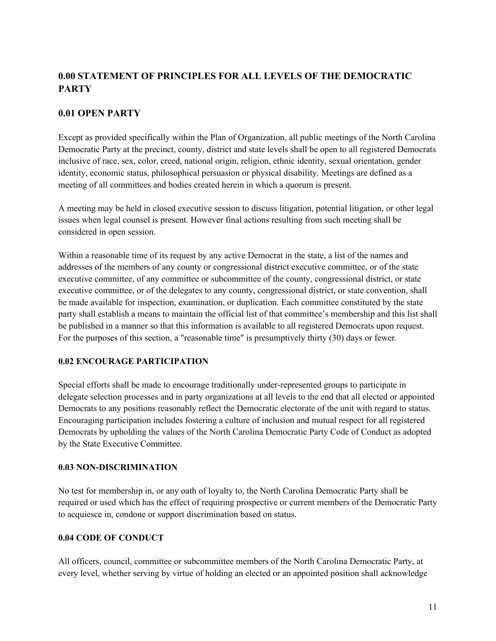# **0.00 STATEMENT OF PRINCIPLES FOR ALL LEVELS OF THE DEMOCRATIC PARTY**

# **0.01 OPEN PARTY**

Except as provided specifically within the Plan of Organization, all public meetings of the North Carolina Democratic Party at the precinct, county, district and state levels shall be open to all registered Democrats inclusive of race, sex, color, creed, national origin, religion, ethnic identity, sexual orientation, gender identity, economic status, philosophical persuasion or physical disability. Meetings are defined as a meeting of all committees and bodies created herein in which a quorum is present.

A meeting may be held in closed executive session to discuss litigation, potential litigation, or other legal issues when legal counsel is present. However final actions resulting from such meeting shall be considered in open session.

Within a reasonable time of its request by any active Democrat in the state, a list of the names and addresses of the members of any county or congressional district executive committee, or of the state executive committee, of any committee or subcommittee of the county, congressional district, or state executive committee, or of the delegates to any county, congressional district, or state convention, shall be made available for inspection, examination, or duplication. Each committee constituted by the state party shall establish a means to maintain the official list of that committee's membership and this list shall be published in a manner so that this information is available to all registered Democrats upon request. For the purposes of this section, a "reasonable time" is presumptively thirty (30) days or fewer.

# **0.02 ENCOURAGE PARTICIPATION**

Special efforts shall be made to encourage traditionally under-represented groups to participate in delegate selection processes and in party organizations at all levels to the end that all elected or appointed Democrats to any positions reasonably reflect the Democratic electorate of the unit with regard to status. Encouraging participation includes fostering a culture of inclusion and mutual respect for all registered Democrats by upholding the values of the North Carolina Democratic Party Code of Conduct as adopted by the State Executive Committee.

# **0.03 NON-DISCRIMINATION**

No test for membership in, or any oath of loyalty to, the North Carolina Democratic Party shall be required or used which has the effect of requiring prospective or current members of the Democratic Party to acquiesce in, condone or support discrimination based on status.

# **0.04 CODE OF CONDUCT**

All officers, council, committee or subcommittee members of the North Carolina Democratic Party, at every level, whether serving by virtue of holding an elected or an appointed position shall acknowledge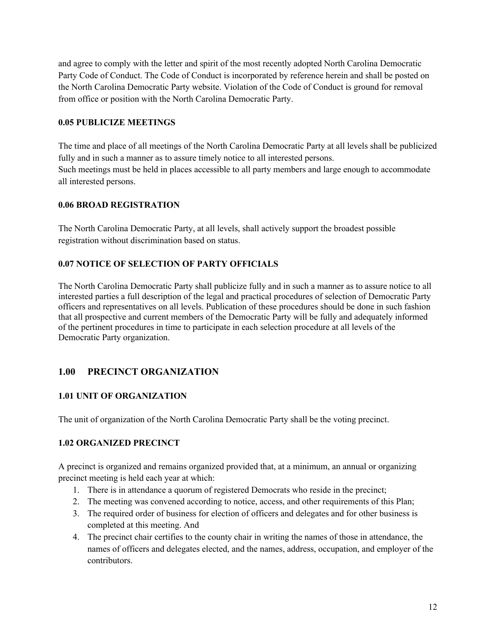and agree to comply with the letter and spirit of the most recently adopted North Carolina Democratic Party Code of Conduct. The Code of Conduct is incorporated by reference herein and shall be posted on the North Carolina Democratic Party website. Violation of the Code of Conduct is ground for removal from office or position with the North Carolina Democratic Party.

# **0.05 PUBLICIZE MEETINGS**

The time and place of all meetings of the North Carolina Democratic Party at all levels shall be publicized fully and in such a manner as to assure timely notice to all interested persons. Such meetings must be held in places accessible to all party members and large enough to accommodate all interested persons.

#### **0.06 BROAD REGISTRATION**

The North Carolina Democratic Party, at all levels, shall actively support the broadest possible registration without discrimination based on status.

# **0.07 NOTICE OF SELECTION OF PARTY OFFICIALS**

The North Carolina Democratic Party shall publicize fully and in such a manner as to assure notice to all interested parties a full description of the legal and practical procedures of selection of Democratic Party officers and representatives on all levels. Publication of these procedures should be done in such fashion that all prospective and current members of the Democratic Party will be fully and adequately informed of the pertinent procedures in time to participate in each selection procedure at all levels of the Democratic Party organization.

# **1.00 PRECINCT ORGANIZATION**

# **1.01 UNIT OF ORGANIZATION**

The unit of organization of the North Carolina Democratic Party shall be the voting precinct.

# **1.02 ORGANIZED PRECINCT**

A precinct is organized and remains organized provided that, at a minimum, an annual or organizing precinct meeting is held each year at which:

- 1. There is in attendance a quorum of registered Democrats who reside in the precinct;
- 2. The meeting was convened according to notice, access, and other requirements of this Plan;
- 3. The required order of business for election of officers and delegates and for other business is completed at this meeting. And
- 4. The precinct chair certifies to the county chair in writing the names of those in attendance, the names of officers and delegates elected, and the names, address, occupation, and employer of the contributors.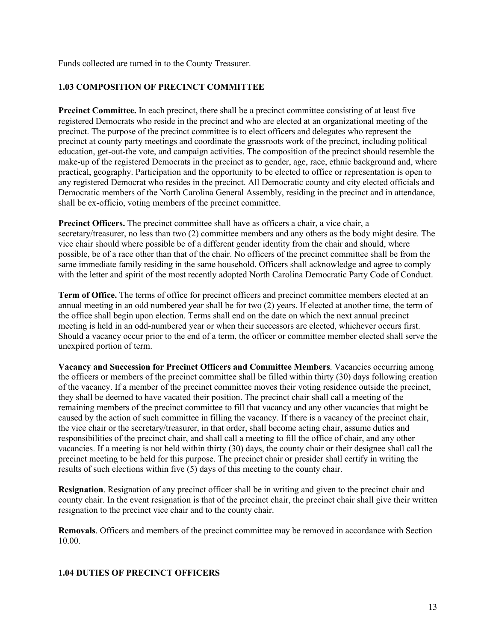Funds collected are turned in to the County Treasurer.

# **1.03 COMPOSITION OF PRECINCT COMMITTEE**

**Precinct Committee.** In each precinct, there shall be a precinct committee consisting of at least five registered Democrats who reside in the precinct and who are elected at an organizational meeting of the precinct. The purpose of the precinct committee is to elect officers and delegates who represent the precinct at county party meetings and coordinate the grassroots work of the precinct, including political education, get-out-the vote, and campaign activities. The composition of the precinct should resemble the make-up of the registered Democrats in the precinct as to gender, age, race, ethnic background and, where practical, geography. Participation and the opportunity to be elected to office or representation is open to any registered Democrat who resides in the precinct. All Democratic county and city elected officials and Democratic members of the North Carolina General Assembly, residing in the precinct and in attendance, shall be ex-officio, voting members of the precinct committee.

**Precinct Officers.** The precinct committee shall have as officers a chair, a vice chair, a secretary/treasurer, no less than two (2) committee members and any others as the body might desire. The vice chair should where possible be of a different gender identity from the chair and should, where possible, be of a race other than that of the chair. No officers of the precinct committee shall be from the same immediate family residing in the same household. Officers shall acknowledge and agree to comply with the letter and spirit of the most recently adopted North Carolina Democratic Party Code of Conduct.

**Term of Office.** The terms of office for precinct officers and precinct committee members elected at an annual meeting in an odd numbered year shall be for two (2) years. If elected at another time, the term of the office shall begin upon election. Terms shall end on the date on which the next annual precinct meeting is held in an odd-numbered year or when their successors are elected, whichever occurs first. Should a vacancy occur prior to the end of a term, the officer or committee member elected shall serve the unexpired portion of term.

**Vacancy and Succession for Precinct Officers and Committee Members**. Vacancies occurring among the officers or members of the precinct committee shall be filled within thirty (30) days following creation of the vacancy. If a member of the precinct committee moves their voting residence outside the precinct, they shall be deemed to have vacated their position. The precinct chair shall call a meeting of the remaining members of the precinct committee to fill that vacancy and any other vacancies that might be caused by the action of such committee in filling the vacancy. If there is a vacancy of the precinct chair, the vice chair or the secretary/treasurer, in that order, shall become acting chair, assume duties and responsibilities of the precinct chair, and shall call a meeting to fill the office of chair, and any other vacancies. If a meeting is not held within thirty (30) days, the county chair or their designee shall call the precinct meeting to be held for this purpose. The precinct chair or presider shall certify in writing the results of such elections within five (5) days of this meeting to the county chair.

**Resignation**. Resignation of any precinct officer shall be in writing and given to the precinct chair and county chair. In the event resignation is that of the precinct chair, the precinct chair shall give their written resignation to the precinct vice chair and to the county chair.

**Removals**. Officers and members of the precinct committee may be removed in accordance with Section 10.00.

#### **1.04 DUTIES OF PRECINCT OFFICERS**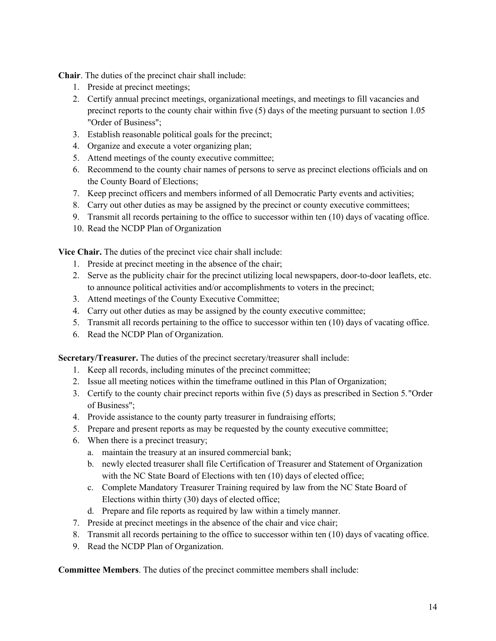**Chair**. The duties of the precinct chair shall include:

- 1. Preside at precinct meetings;
- 2. Certify annual precinct meetings, organizational meetings, and meetings to fill vacancies and precinct reports to the county chair within five (5) days of the meeting pursuant to section 1.05 "Order of Business";
- 3. Establish reasonable political goals for the precinct;
- 4. Organize and execute a voter organizing plan;
- 5. Attend meetings of the county executive committee;
- 6. Recommend to the county chair names of persons to serve as precinct elections officials and on the County Board of Elections;
- 7. Keep precinct officers and members informed of all Democratic Party events and activities;
- 8. Carry out other duties as may be assigned by the precinct or county executive committees;
- 9. Transmit all records pertaining to the office to successor within ten (10) days of vacating office.
- 10. Read the NCDP Plan of Organization

**Vice Chair.** The duties of the precinct vice chair shall include:

- 1. Preside at precinct meeting in the absence of the chair;
- 2. Serve as the publicity chair for the precinct utilizing local newspapers, door-to-door leaflets, etc. to announce political activities and/or accomplishments to voters in the precinct;
- 3. Attend meetings of the County Executive Committee;
- 4. Carry out other duties as may be assigned by the county executive committee;
- 5. Transmit all records pertaining to the office to successor within ten (10) days of vacating office.
- 6. Read the NCDP Plan of Organization.

**Secretary/Treasurer.** The duties of the precinct secretary/treasurer shall include:

- 1. Keep all records, including minutes of the precinct committee;
- 2. Issue all meeting notices within the timeframe outlined in this Plan of Organization;
- 3. Certify to the county chair precinct reports within five (5) days as prescribed in Section 5."Order of Business";
- 4. Provide assistance to the county party treasurer in fundraising efforts;
- 5. Prepare and present reports as may be requested by the county executive committee;
- 6. When there is a precinct treasury;
	- a. maintain the treasury at an insured commercial bank;
	- b. newly elected treasurer shall file Certification of Treasurer and Statement of Organization with the NC State Board of Elections with ten (10) days of elected office;
	- c. Complete Mandatory Treasurer Training required by law from the NC State Board of Elections within thirty (30) days of elected office;
	- d. Prepare and file reports as required by law within a timely manner.
- 7. Preside at precinct meetings in the absence of the chair and vice chair;
- 8. Transmit all records pertaining to the office to successor within ten (10) days of vacating office.
- 9. Read the NCDP Plan of Organization.

**Committee Members**. The duties of the precinct committee members shall include: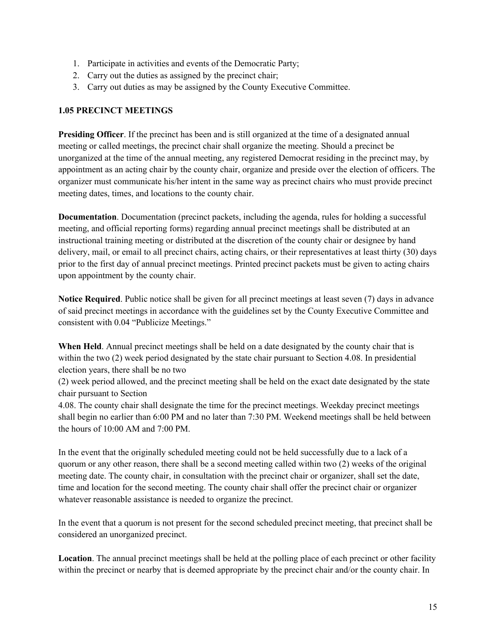- 1. Participate in activities and events of the Democratic Party;
- 2. Carry out the duties as assigned by the precinct chair;
- 3. Carry out duties as may be assigned by the County Executive Committee.

#### **1.05 PRECINCT MEETINGS**

**Presiding Officer**. If the precinct has been and is still organized at the time of a designated annual meeting or called meetings, the precinct chair shall organize the meeting. Should a precinct be unorganized at the time of the annual meeting, any registered Democrat residing in the precinct may, by appointment as an acting chair by the county chair, organize and preside over the election of officers. The organizer must communicate his/her intent in the same way as precinct chairs who must provide precinct meeting dates, times, and locations to the county chair.

**Documentation**. Documentation (precinct packets, including the agenda, rules for holding a successful meeting, and official reporting forms) regarding annual precinct meetings shall be distributed at an instructional training meeting or distributed at the discretion of the county chair or designee by hand delivery, mail, or email to all precinct chairs, acting chairs, or their representatives at least thirty (30) days prior to the first day of annual precinct meetings. Printed precinct packets must be given to acting chairs upon appointment by the county chair.

**Notice Required**. Public notice shall be given for all precinct meetings at least seven (7) days in advance of said precinct meetings in accordance with the guidelines set by the County Executive Committee and consistent with 0.04 "Publicize Meetings."

**When Held**. Annual precinct meetings shall be held on a date designated by the county chair that is within the two (2) week period designated by the state chair pursuant to Section 4.08. In presidential election years, there shall be no two

(2) week period allowed, and the precinct meeting shall be held on the exact date designated by the state chair pursuant to Section

4.08. The county chair shall designate the time for the precinct meetings. Weekday precinct meetings shall begin no earlier than 6:00 PM and no later than 7:30 PM. Weekend meetings shall be held between the hours of 10:00 AM and 7:00 PM.

In the event that the originally scheduled meeting could not be held successfully due to a lack of a quorum or any other reason, there shall be a second meeting called within two (2) weeks of the original meeting date. The county chair, in consultation with the precinct chair or organizer, shall set the date, time and location for the second meeting. The county chair shall offer the precinct chair or organizer whatever reasonable assistance is needed to organize the precinct.

In the event that a quorum is not present for the second scheduled precinct meeting, that precinct shall be considered an unorganized precinct.

**Location**. The annual precinct meetings shall be held at the polling place of each precinct or other facility within the precinct or nearby that is deemed appropriate by the precinct chair and/or the county chair. In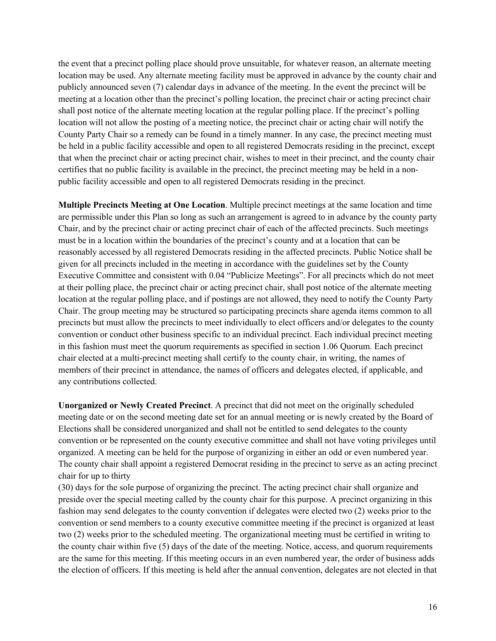the event that a precinct polling place should prove unsuitable, for whatever reason, an alternate meeting location may be used. Any alternate meeting facility must be approved in advance by the county chair and publicly announced seven (7) calendar days in advance of the meeting. In the event the precinct will be meeting at a location other than the precinct's polling location, the precinct chair or acting precinct chair shall post notice of the alternate meeting location at the regular polling place. If the precinct's polling location will not allow the posting of a meeting notice, the precinct chair or acting chair will notify the County Party Chair so a remedy can be found in a timely manner. In any case, the precinct meeting must be held in a public facility accessible and open to all registered Democrats residing in the precinct, except that when the precinct chair or acting precinct chair, wishes to meet in their precinct, and the county chair certifies that no public facility is available in the precinct, the precinct meeting may be held in a nonpublic facility accessible and open to all registered Democrats residing in the precinct.

**Multiple Precincts Meeting at One Location**. Multiple precinct meetings at the same location and time are permissible under this Plan so long as such an arrangement is agreed to in advance by the county party Chair, and by the precinct chair or acting precinct chair of each of the affected precincts. Such meetings must be in a location within the boundaries of the precinct's county and at a location that can be reasonably accessed by all registered Democrats residing in the affected precincts. Public Notice shall be given for all precincts included in the meeting in accordance with the guidelines set by the County Executive Committee and consistent with 0.04 "Publicize Meetings". For all precincts which do not meet at their polling place, the precinct chair or acting precinct chair, shall post notice of the alternate meeting location at the regular polling place, and if postings are not allowed, they need to notify the County Party Chair. The group meeting may be structured so participating precincts share agenda items common to all precincts but must allow the precincts to meet individually to elect officers and/or delegates to the county convention or conduct other business specific to an individual precinct. Each individual precinct meeting in this fashion must meet the quorum requirements as specified in section 1.06 Quorum. Each precinct chair elected at a multi-precinct meeting shall certify to the county chair, in writing, the names of members of their precinct in attendance, the names of officers and delegates elected, if applicable, and any contributions collected.

**Unorganized or Newly Created Precinct**. A precinct that did not meet on the originally scheduled meeting date or on the second meeting date set for an annual meeting or is newly created by the Board of Elections shall be considered unorganized and shall not be entitled to send delegates to the county convention or be represented on the county executive committee and shall not have voting privileges until organized. A meeting can be held for the purpose of organizing in either an odd or even numbered year. The county chair shall appoint a registered Democrat residing in the precinct to serve as an acting precinct chair for up to thirty

(30) days for the sole purpose of organizing the precinct. The acting precinct chair shall organize and preside over the special meeting called by the county chair for this purpose. A precinct organizing in this fashion may send delegates to the county convention if delegates were elected two (2) weeks prior to the convention or send members to a county executive committee meeting if the precinct is organized at least two (2) weeks prior to the scheduled meeting. The organizational meeting must be certified in writing to the county chair within five (5) days of the date of the meeting. Notice, access, and quorum requirements are the same for this meeting. If this meeting occurs in an even numbered year, the order of business adds the election of officers. If this meeting is held after the annual convention, delegates are not elected in that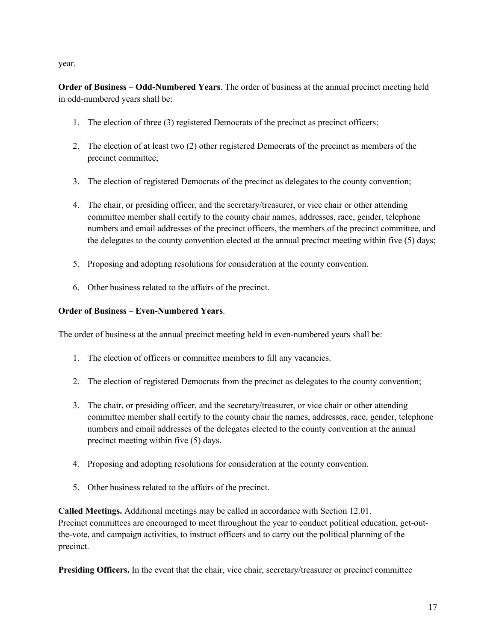year.

**Order of Business – Odd-Numbered Years**. The order of business at the annual precinct meeting held in odd-numbered years shall be:

- 1. The election of three (3) registered Democrats of the precinct as precinct officers;
- 2. The election of at least two (2) other registered Democrats of the precinct as members of the precinct committee;
- 3. The election of registered Democrats of the precinct as delegates to the county convention;
- 4. The chair, or presiding officer, and the secretary/treasurer, or vice chair or other attending committee member shall certify to the county chair names, addresses, race, gender, telephone numbers and email addresses of the precinct officers, the members of the precinct committee, and the delegates to the county convention elected at the annual precinct meeting within five (5) days;
- 5. Proposing and adopting resolutions for consideration at the county convention.
- 6. Other business related to the affairs of the precinct.

# **Order of Business – Even-Numbered Years**.

The order of business at the annual precinct meeting held in even-numbered years shall be:

- 1. The election of officers or committee members to fill any vacancies.
- 2. The election of registered Democrats from the precinct as delegates to the county convention;
- 3. The chair, or presiding officer, and the secretary/treasurer, or vice chair or other attending committee member shall certify to the county chair the names, addresses, race, gender, telephone numbers and email addresses of the delegates elected to the county convention at the annual precinct meeting within five (5) days.
- 4. Proposing and adopting resolutions for consideration at the county convention.
- 5. Other business related to the affairs of the precinct.

**Called Meetings.** Additional meetings may be called in accordance with Section 12.01. Precinct committees are encouraged to meet throughout the year to conduct political education, get-outthe-vote, and campaign activities, to instruct officers and to carry out the political planning of the precinct.

**Presiding Officers.** In the event that the chair, vice chair, secretary/treasurer or precinct committee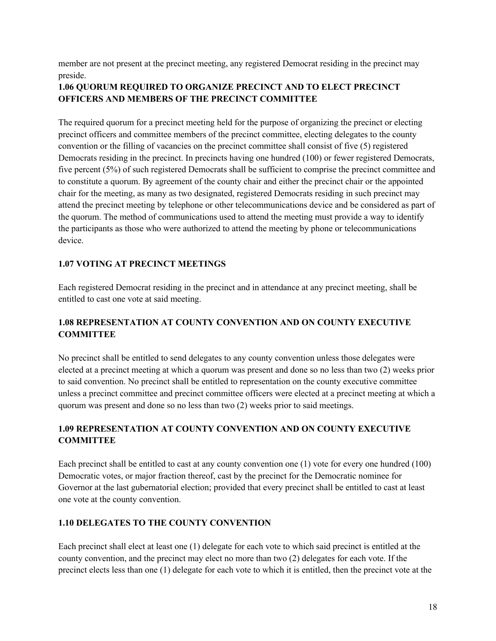member are not present at the precinct meeting, any registered Democrat residing in the precinct may preside.

# **1.06 QUORUM REQUIRED TO ORGANIZE PRECINCT AND TO ELECT PRECINCT OFFICERS AND MEMBERS OF THE PRECINCT COMMITTEE**

The required quorum for a precinct meeting held for the purpose of organizing the precinct or electing precinct officers and committee members of the precinct committee, electing delegates to the county convention or the filling of vacancies on the precinct committee shall consist of five (5) registered Democrats residing in the precinct. In precincts having one hundred (100) or fewer registered Democrats, five percent (5%) of such registered Democrats shall be sufficient to comprise the precinct committee and to constitute a quorum. By agreement of the county chair and either the precinct chair or the appointed chair for the meeting, as many as two designated, registered Democrats residing in such precinct may attend the precinct meeting by telephone or other telecommunications device and be considered as part of the quorum. The method of communications used to attend the meeting must provide a way to identify the participants as those who were authorized to attend the meeting by phone or telecommunications device.

# **1.07 VOTING AT PRECINCT MEETINGS**

Each registered Democrat residing in the precinct and in attendance at any precinct meeting, shall be entitled to cast one vote at said meeting.

# **1.08 REPRESENTATION AT COUNTY CONVENTION AND ON COUNTY EXECUTIVE COMMITTEE**

No precinct shall be entitled to send delegates to any county convention unless those delegates were elected at a precinct meeting at which a quorum was present and done so no less than two (2) weeks prior to said convention. No precinct shall be entitled to representation on the county executive committee unless a precinct committee and precinct committee officers were elected at a precinct meeting at which a quorum was present and done so no less than two (2) weeks prior to said meetings.

# **1.09 REPRESENTATION AT COUNTY CONVENTION AND ON COUNTY EXECUTIVE COMMITTEE**

Each precinct shall be entitled to cast at any county convention one (1) vote for every one hundred (100) Democratic votes, or major fraction thereof, cast by the precinct for the Democratic nominee for Governor at the last gubernatorial election; provided that every precinct shall be entitled to cast at least one vote at the county convention.

# **1.10 DELEGATES TO THE COUNTY CONVENTION**

Each precinct shall elect at least one (1) delegate for each vote to which said precinct is entitled at the county convention, and the precinct may elect no more than two (2) delegates for each vote. If the precinct elects less than one (1) delegate for each vote to which it is entitled, then the precinct vote at the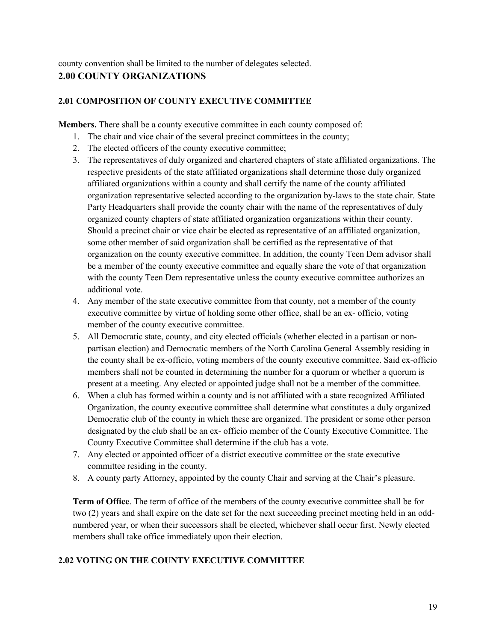county convention shall be limited to the number of delegates selected. **2.00 COUNTY ORGANIZATIONS** 

#### **2.01 COMPOSITION OF COUNTY EXECUTIVE COMMITTEE**

**Members.** There shall be a county executive committee in each county composed of:

- 1. The chair and vice chair of the several precinct committees in the county;
- 2. The elected officers of the county executive committee;
- 3. The representatives of duly organized and chartered chapters of state affiliated organizations. The respective presidents of the state affiliated organizations shall determine those duly organized affiliated organizations within a county and shall certify the name of the county affiliated organization representative selected according to the organization by-laws to the state chair. State Party Headquarters shall provide the county chair with the name of the representatives of duly organized county chapters of state affiliated organization organizations within their county. Should a precinct chair or vice chair be elected as representative of an affiliated organization, some other member of said organization shall be certified as the representative of that organization on the county executive committee. In addition, the county Teen Dem advisor shall be a member of the county executive committee and equally share the vote of that organization with the county Teen Dem representative unless the county executive committee authorizes an additional vote.
- 4. Any member of the state executive committee from that county, not a member of the county executive committee by virtue of holding some other office, shall be an ex- officio, voting member of the county executive committee.
- 5. All Democratic state, county, and city elected officials (whether elected in a partisan or nonpartisan election) and Democratic members of the North Carolina General Assembly residing in the county shall be ex-officio, voting members of the county executive committee. Said ex-officio members shall not be counted in determining the number for a quorum or whether a quorum is present at a meeting. Any elected or appointed judge shall not be a member of the committee.
- 6. When a club has formed within a county and is not affiliated with a state recognized Affiliated Organization, the county executive committee shall determine what constitutes a duly organized Democratic club of the county in which these are organized. The president or some other person designated by the club shall be an ex- officio member of the County Executive Committee. The County Executive Committee shall determine if the club has a vote.
- 7. Any elected or appointed officer of a district executive committee or the state executive committee residing in the county.
- 8. A county party Attorney, appointed by the county Chair and serving at the Chair's pleasure.

**Term of Office**. The term of office of the members of the county executive committee shall be for two (2) years and shall expire on the date set for the next succeeding precinct meeting held in an oddnumbered year, or when their successors shall be elected, whichever shall occur first. Newly elected members shall take office immediately upon their election.

#### **2.02 VOTING ON THE COUNTY EXECUTIVE COMMITTEE**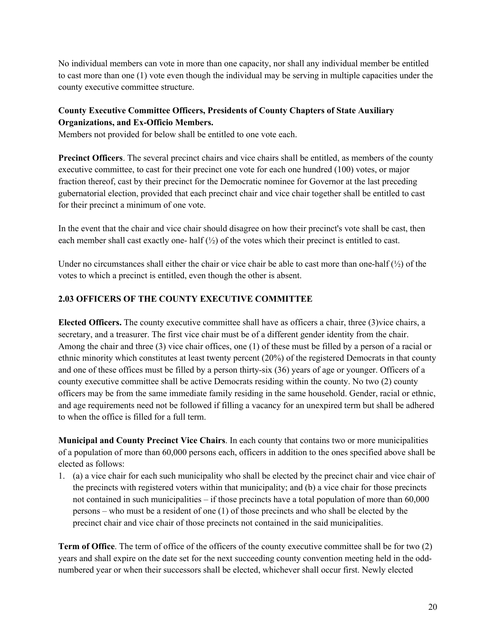No individual members can vote in more than one capacity, nor shall any individual member be entitled to cast more than one (1) vote even though the individual may be serving in multiple capacities under the county executive committee structure.

# **County Executive Committee Officers, Presidents of County Chapters of State Auxiliary Organizations, and Ex-Officio Members.**

Members not provided for below shall be entitled to one vote each.

**Precinct Officers**. The several precinct chairs and vice chairs shall be entitled, as members of the county executive committee, to cast for their precinct one vote for each one hundred (100) votes, or major fraction thereof, cast by their precinct for the Democratic nominee for Governor at the last preceding gubernatorial election, provided that each precinct chair and vice chair together shall be entitled to cast for their precinct a minimum of one vote.

In the event that the chair and vice chair should disagree on how their precinct's vote shall be cast, then each member shall cast exactly one- half  $(½)$  of the votes which their precinct is entitled to cast.

Under no circumstances shall either the chair or vice chair be able to cast more than one-half  $(\frac{1}{2})$  of the votes to which a precinct is entitled, even though the other is absent.

# **2.03 OFFICERS OF THE COUNTY EXECUTIVE COMMITTEE**

**Elected Officers.** The county executive committee shall have as officers a chair, three (3)vice chairs, a secretary, and a treasurer. The first vice chair must be of a different gender identity from the chair. Among the chair and three (3) vice chair offices, one (1) of these must be filled by a person of a racial or ethnic minority which constitutes at least twenty percent (20%) of the registered Democrats in that county and one of these offices must be filled by a person thirty-six (36) years of age or younger. Officers of a county executive committee shall be active Democrats residing within the county. No two (2) county officers may be from the same immediate family residing in the same household. Gender, racial or ethnic, and age requirements need not be followed if filling a vacancy for an unexpired term but shall be adhered to when the office is filled for a full term.

**Municipal and County Precinct Vice Chairs**. In each county that contains two or more municipalities of a population of more than 60,000 persons each, officers in addition to the ones specified above shall be elected as follows:

1. (a) a vice chair for each such municipality who shall be elected by the precinct chair and vice chair of the precincts with registered voters within that municipality; and (b) a vice chair for those precincts not contained in such municipalities – if those precincts have a total population of more than 60,000 persons – who must be a resident of one (1) of those precincts and who shall be elected by the precinct chair and vice chair of those precincts not contained in the said municipalities.

**Term of Office**. The term of office of the officers of the county executive committee shall be for two (2) years and shall expire on the date set for the next succeeding county convention meeting held in the oddnumbered year or when their successors shall be elected, whichever shall occur first. Newly elected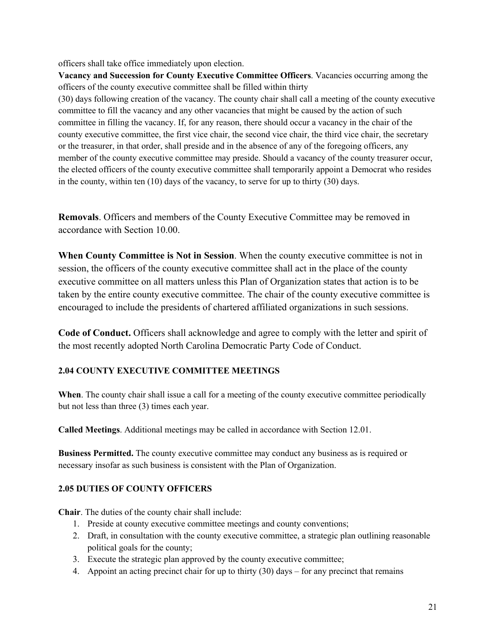officers shall take office immediately upon election.

**Vacancy and Succession for County Executive Committee Officers**. Vacancies occurring among the officers of the county executive committee shall be filled within thirty

(30) days following creation of the vacancy. The county chair shall call a meeting of the county executive committee to fill the vacancy and any other vacancies that might be caused by the action of such committee in filling the vacancy. If, for any reason, there should occur a vacancy in the chair of the county executive committee, the first vice chair, the second vice chair, the third vice chair, the secretary or the treasurer, in that order, shall preside and in the absence of any of the foregoing officers, any member of the county executive committee may preside. Should a vacancy of the county treasurer occur, the elected officers of the county executive committee shall temporarily appoint a Democrat who resides in the county, within ten (10) days of the vacancy, to serve for up to thirty (30) days.

**Removals**. Officers and members of the County Executive Committee may be removed in accordance with Section 10.00.

**When County Committee is Not in Session**. When the county executive committee is not in session, the officers of the county executive committee shall act in the place of the county executive committee on all matters unless this Plan of Organization states that action is to be taken by the entire county executive committee. The chair of the county executive committee is encouraged to include the presidents of chartered affiliated organizations in such sessions.

**Code of Conduct.** Officers shall acknowledge and agree to comply with the letter and spirit of the most recently adopted North Carolina Democratic Party Code of Conduct.

# **2.04 COUNTY EXECUTIVE COMMITTEE MEETINGS**

**When**. The county chair shall issue a call for a meeting of the county executive committee periodically but not less than three (3) times each year.

**Called Meetings**. Additional meetings may be called in accordance with Section 12.01.

**Business Permitted.** The county executive committee may conduct any business as is required or necessary insofar as such business is consistent with the Plan of Organization.

# **2.05 DUTIES OF COUNTY OFFICERS**

**Chair**. The duties of the county chair shall include:

- 1. Preside at county executive committee meetings and county conventions;
- 2. Draft, in consultation with the county executive committee, a strategic plan outlining reasonable political goals for the county;
- 3. Execute the strategic plan approved by the county executive committee;
- 4. Appoint an acting precinct chair for up to thirty (30) days for any precinct that remains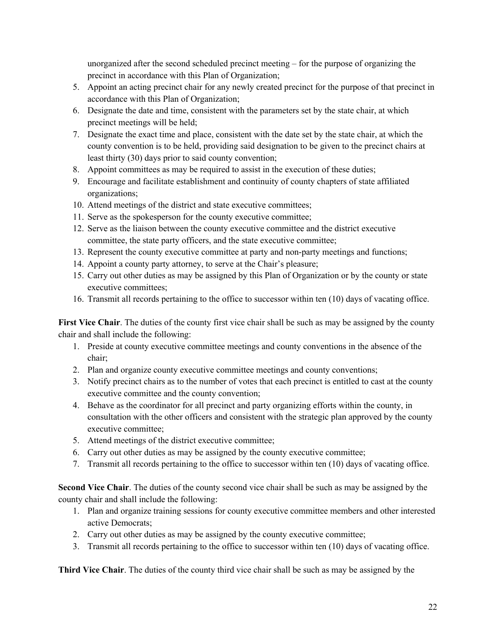unorganized after the second scheduled precinct meeting – for the purpose of organizing the precinct in accordance with this Plan of Organization;

- 5. Appoint an acting precinct chair for any newly created precinct for the purpose of that precinct in accordance with this Plan of Organization;
- 6. Designate the date and time, consistent with the parameters set by the state chair, at which precinct meetings will be held;
- 7. Designate the exact time and place, consistent with the date set by the state chair, at which the county convention is to be held, providing said designation to be given to the precinct chairs at least thirty (30) days prior to said county convention;
- 8. Appoint committees as may be required to assist in the execution of these duties;
- 9. Encourage and facilitate establishment and continuity of county chapters of state affiliated organizations;
- 10. Attend meetings of the district and state executive committees;
- 11. Serve as the spokesperson for the county executive committee;
- 12. Serve as the liaison between the county executive committee and the district executive committee, the state party officers, and the state executive committee;
- 13. Represent the county executive committee at party and non-party meetings and functions;
- 14. Appoint a county party attorney, to serve at the Chair's pleasure;
- 15. Carry out other duties as may be assigned by this Plan of Organization or by the county or state executive committees;
- 16. Transmit all records pertaining to the office to successor within ten (10) days of vacating office.

First Vice Chair. The duties of the county first vice chair shall be such as may be assigned by the county chair and shall include the following:

- 1. Preside at county executive committee meetings and county conventions in the absence of the chair;
- 2. Plan and organize county executive committee meetings and county conventions;
- 3. Notify precinct chairs as to the number of votes that each precinct is entitled to cast at the county executive committee and the county convention;
- 4. Behave as the coordinator for all precinct and party organizing efforts within the county, in consultation with the other officers and consistent with the strategic plan approved by the county executive committee;
- 5. Attend meetings of the district executive committee;
- 6. Carry out other duties as may be assigned by the county executive committee;
- 7. Transmit all records pertaining to the office to successor within ten (10) days of vacating office.

**Second Vice Chair**. The duties of the county second vice chair shall be such as may be assigned by the county chair and shall include the following:

- 1. Plan and organize training sessions for county executive committee members and other interested active Democrats;
- 2. Carry out other duties as may be assigned by the county executive committee;
- 3. Transmit all records pertaining to the office to successor within ten (10) days of vacating office.

**Third Vice Chair**. The duties of the county third vice chair shall be such as may be assigned by the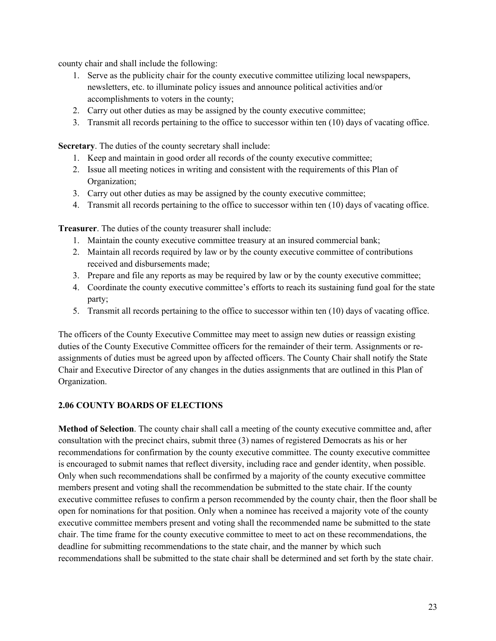county chair and shall include the following:

- 1. Serve as the publicity chair for the county executive committee utilizing local newspapers, newsletters, etc. to illuminate policy issues and announce political activities and/or accomplishments to voters in the county;
- 2. Carry out other duties as may be assigned by the county executive committee;
- 3. Transmit all records pertaining to the office to successor within ten (10) days of vacating office.

**Secretary**. The duties of the county secretary shall include:

- 1. Keep and maintain in good order all records of the county executive committee;
- 2. Issue all meeting notices in writing and consistent with the requirements of this Plan of Organization;
- 3. Carry out other duties as may be assigned by the county executive committee;
- 4. Transmit all records pertaining to the office to successor within ten (10) days of vacating office.

**Treasurer**. The duties of the county treasurer shall include:

- 1. Maintain the county executive committee treasury at an insured commercial bank;
- 2. Maintain all records required by law or by the county executive committee of contributions received and disbursements made;
- 3. Prepare and file any reports as may be required by law or by the county executive committee;
- 4. Coordinate the county executive committee's efforts to reach its sustaining fund goal for the state party;
- 5. Transmit all records pertaining to the office to successor within ten (10) days of vacating office.

The officers of the County Executive Committee may meet to assign new duties or reassign existing duties of the County Executive Committee officers for the remainder of their term. Assignments or reassignments of duties must be agreed upon by affected officers. The County Chair shall notify the State Chair and Executive Director of any changes in the duties assignments that are outlined in this Plan of Organization.

# **2.06 COUNTY BOARDS OF ELECTIONS**

**Method of Selection**. The county chair shall call a meeting of the county executive committee and, after consultation with the precinct chairs, submit three (3) names of registered Democrats as his or her recommendations for confirmation by the county executive committee. The county executive committee is encouraged to submit names that reflect diversity, including race and gender identity, when possible. Only when such recommendations shall be confirmed by a majority of the county executive committee members present and voting shall the recommendation be submitted to the state chair. If the county executive committee refuses to confirm a person recommended by the county chair, then the floor shall be open for nominations for that position. Only when a nominee has received a majority vote of the county executive committee members present and voting shall the recommended name be submitted to the state chair. The time frame for the county executive committee to meet to act on these recommendations, the deadline for submitting recommendations to the state chair, and the manner by which such recommendations shall be submitted to the state chair shall be determined and set forth by the state chair.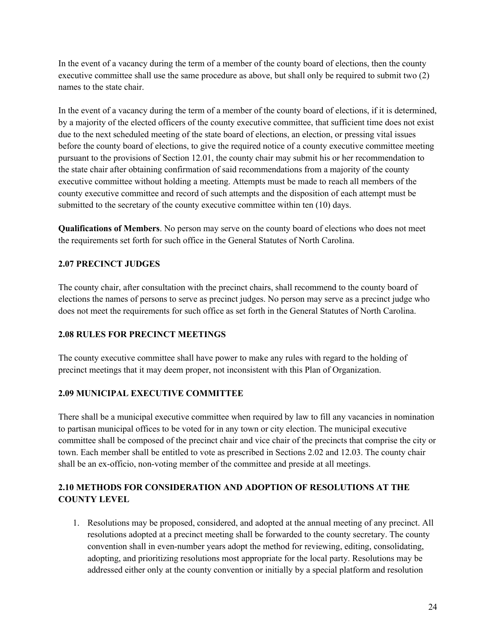In the event of a vacancy during the term of a member of the county board of elections, then the county executive committee shall use the same procedure as above, but shall only be required to submit two (2) names to the state chair.

In the event of a vacancy during the term of a member of the county board of elections, if it is determined, by a majority of the elected officers of the county executive committee, that sufficient time does not exist due to the next scheduled meeting of the state board of elections, an election, or pressing vital issues before the county board of elections, to give the required notice of a county executive committee meeting pursuant to the provisions of Section 12.01, the county chair may submit his or her recommendation to the state chair after obtaining confirmation of said recommendations from a majority of the county executive committee without holding a meeting. Attempts must be made to reach all members of the county executive committee and record of such attempts and the disposition of each attempt must be submitted to the secretary of the county executive committee within ten (10) days.

**Qualifications of Members**. No person may serve on the county board of elections who does not meet the requirements set forth for such office in the General Statutes of North Carolina.

# **2.07 PRECINCT JUDGES**

The county chair, after consultation with the precinct chairs, shall recommend to the county board of elections the names of persons to serve as precinct judges. No person may serve as a precinct judge who does not meet the requirements for such office as set forth in the General Statutes of North Carolina.

# **2.08 RULES FOR PRECINCT MEETINGS**

The county executive committee shall have power to make any rules with regard to the holding of precinct meetings that it may deem proper, not inconsistent with this Plan of Organization.

# **2.09 MUNICIPAL EXECUTIVE COMMITTEE**

There shall be a municipal executive committee when required by law to fill any vacancies in nomination to partisan municipal offices to be voted for in any town or city election. The municipal executive committee shall be composed of the precinct chair and vice chair of the precincts that comprise the city or town. Each member shall be entitled to vote as prescribed in Sections 2.02 and 12.03. The county chair shall be an ex-officio, non-voting member of the committee and preside at all meetings.

# **2.10 METHODS FOR CONSIDERATION AND ADOPTION OF RESOLUTIONS AT THE COUNTY LEVEL**

1. Resolutions may be proposed, considered, and adopted at the annual meeting of any precinct. All resolutions adopted at a precinct meeting shall be forwarded to the county secretary. The county convention shall in even-number years adopt the method for reviewing, editing, consolidating, adopting, and prioritizing resolutions most appropriate for the local party. Resolutions may be addressed either only at the county convention or initially by a special platform and resolution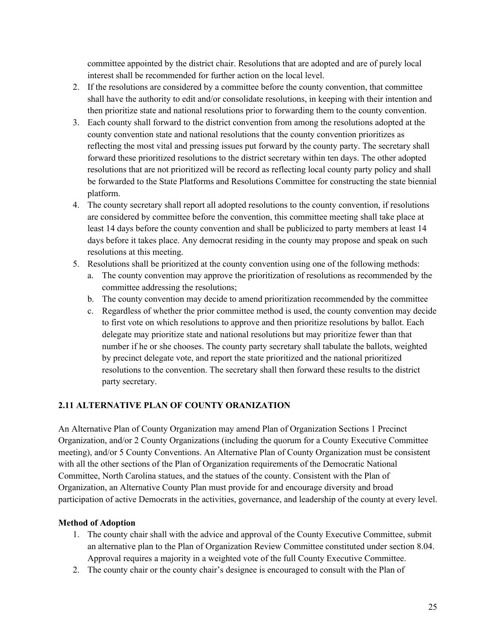committee appointed by the district chair. Resolutions that are adopted and are of purely local interest shall be recommended for further action on the local level.

- 2. If the resolutions are considered by a committee before the county convention, that committee shall have the authority to edit and/or consolidate resolutions, in keeping with their intention and then prioritize state and national resolutions prior to forwarding them to the county convention.
- 3. Each county shall forward to the district convention from among the resolutions adopted at the county convention state and national resolutions that the county convention prioritizes as reflecting the most vital and pressing issues put forward by the county party. The secretary shall forward these prioritized resolutions to the district secretary within ten days. The other adopted resolutions that are not prioritized will be record as reflecting local county party policy and shall be forwarded to the State Platforms and Resolutions Committee for constructing the state biennial platform.
- 4. The county secretary shall report all adopted resolutions to the county convention, if resolutions are considered by committee before the convention, this committee meeting shall take place at least 14 days before the county convention and shall be publicized to party members at least 14 days before it takes place. Any democrat residing in the county may propose and speak on such resolutions at this meeting.
- 5. Resolutions shall be prioritized at the county convention using one of the following methods:
	- a. The county convention may approve the prioritization of resolutions as recommended by the committee addressing the resolutions;
	- b. The county convention may decide to amend prioritization recommended by the committee
	- c. Regardless of whether the prior committee method is used, the county convention may decide to first vote on which resolutions to approve and then prioritize resolutions by ballot. Each delegate may prioritize state and national resolutions but may prioritize fewer than that number if he or she chooses. The county party secretary shall tabulate the ballots, weighted by precinct delegate vote, and report the state prioritized and the national prioritized resolutions to the convention. The secretary shall then forward these results to the district party secretary.

# **2.11 ALTERNATIVE PLAN OF COUNTY ORANIZATION**

An Alternative Plan of County Organization may amend Plan of Organization Sections 1 Precinct Organization, and/or 2 County Organizations (including the quorum for a County Executive Committee meeting), and/or 5 County Conventions. An Alternative Plan of County Organization must be consistent with all the other sections of the Plan of Organization requirements of the Democratic National Committee, North Carolina statues, and the statues of the county. Consistent with the Plan of Organization, an Alternative County Plan must provide for and encourage diversity and broad participation of active Democrats in the activities, governance, and leadership of the county at every level.

# **Method of Adoption**

- 1. The county chair shall with the advice and approval of the County Executive Committee, submit an alternative plan to the Plan of Organization Review Committee constituted under section 8.04. Approval requires a majority in a weighted vote of the full County Executive Committee.
- 2. The county chair or the county chair's designee is encouraged to consult with the Plan of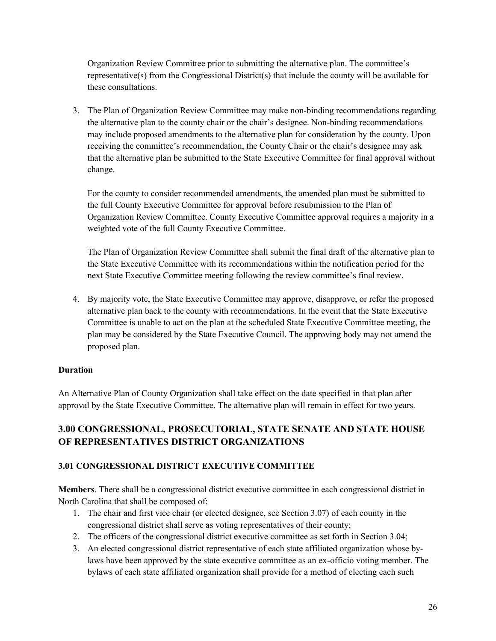Organization Review Committee prior to submitting the alternative plan. The committee's representative(s) from the Congressional District(s) that include the county will be available for these consultations.

3. The Plan of Organization Review Committee may make non-binding recommendations regarding the alternative plan to the county chair or the chair's designee. Non-binding recommendations may include proposed amendments to the alternative plan for consideration by the county. Upon receiving the committee's recommendation, the County Chair or the chair's designee may ask that the alternative plan be submitted to the State Executive Committee for final approval without change.

For the county to consider recommended amendments, the amended plan must be submitted to the full County Executive Committee for approval before resubmission to the Plan of Organization Review Committee. County Executive Committee approval requires a majority in a weighted vote of the full County Executive Committee.

The Plan of Organization Review Committee shall submit the final draft of the alternative plan to the State Executive Committee with its recommendations within the notification period for the next State Executive Committee meeting following the review committee's final review.

4. By majority vote, the State Executive Committee may approve, disapprove, or refer the proposed alternative plan back to the county with recommendations. In the event that the State Executive Committee is unable to act on the plan at the scheduled State Executive Committee meeting, the plan may be considered by the State Executive Council. The approving body may not amend the proposed plan.

# **Duration**

An Alternative Plan of County Organization shall take effect on the date specified in that plan after approval by the State Executive Committee. The alternative plan will remain in effect for two years.

# **3.00 CONGRESSIONAL, PROSECUTORIAL, STATE SENATE AND STATE HOUSE OF REPRESENTATIVES DISTRICT ORGANIZATIONS**

# **3.01 CONGRESSIONAL DISTRICT EXECUTIVE COMMITTEE**

**Members**. There shall be a congressional district executive committee in each congressional district in North Carolina that shall be composed of:

- 1. The chair and first vice chair (or elected designee, see Section 3.07) of each county in the congressional district shall serve as voting representatives of their county;
- 2. The officers of the congressional district executive committee as set forth in Section 3.04;
- 3. An elected congressional district representative of each state affiliated organization whose bylaws have been approved by the state executive committee as an ex-officio voting member. The bylaws of each state affiliated organization shall provide for a method of electing each such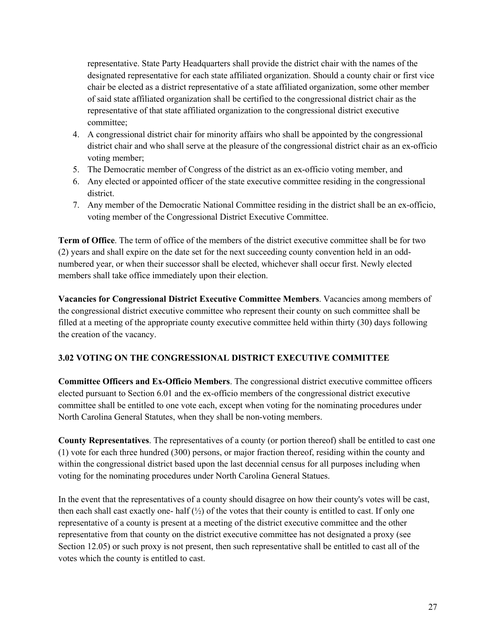representative. State Party Headquarters shall provide the district chair with the names of the designated representative for each state affiliated organization. Should a county chair or first vice chair be elected as a district representative of a state affiliated organization, some other member of said state affiliated organization shall be certified to the congressional district chair as the representative of that state affiliated organization to the congressional district executive committee;

- 4. A congressional district chair for minority affairs who shall be appointed by the congressional district chair and who shall serve at the pleasure of the congressional district chair as an ex-officio voting member;
- 5. The Democratic member of Congress of the district as an ex-officio voting member, and
- 6. Any elected or appointed officer of the state executive committee residing in the congressional district.
- 7. Any member of the Democratic National Committee residing in the district shall be an ex-officio, voting member of the Congressional District Executive Committee.

**Term of Office**. The term of office of the members of the district executive committee shall be for two (2) years and shall expire on the date set for the next succeeding county convention held in an oddnumbered year, or when their successor shall be elected, whichever shall occur first. Newly elected members shall take office immediately upon their election.

**Vacancies for Congressional District Executive Committee Members**. Vacancies among members of the congressional district executive committee who represent their county on such committee shall be filled at a meeting of the appropriate county executive committee held within thirty (30) days following the creation of the vacancy.

# **3.02 VOTING ON THE CONGRESSIONAL DISTRICT EXECUTIVE COMMITTEE**

**Committee Officers and Ex-Officio Members**. The congressional district executive committee officers elected pursuant to Section 6.01 and the ex-officio members of the congressional district executive committee shall be entitled to one vote each, except when voting for the nominating procedures under North Carolina General Statutes, when they shall be non-voting members.

**County Representatives**. The representatives of a county (or portion thereof) shall be entitled to cast one (1) vote for each three hundred (300) persons, or major fraction thereof, residing within the county and within the congressional district based upon the last decennial census for all purposes including when voting for the nominating procedures under North Carolina General Statues.

In the event that the representatives of a county should disagree on how their county's votes will be cast, then each shall cast exactly one- half  $\binom{1}{2}$  of the votes that their county is entitled to cast. If only one representative of a county is present at a meeting of the district executive committee and the other representative from that county on the district executive committee has not designated a proxy (see Section 12.05) or such proxy is not present, then such representative shall be entitled to cast all of the votes which the county is entitled to cast.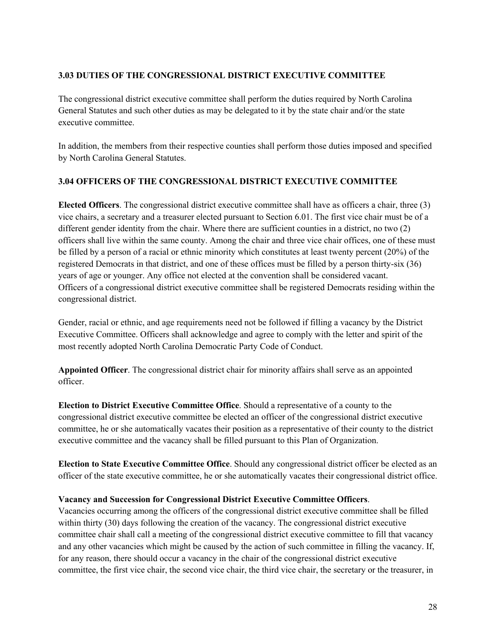# **3.03 DUTIES OF THE CONGRESSIONAL DISTRICT EXECUTIVE COMMITTEE**

The congressional district executive committee shall perform the duties required by North Carolina General Statutes and such other duties as may be delegated to it by the state chair and/or the state executive committee.

In addition, the members from their respective counties shall perform those duties imposed and specified by North Carolina General Statutes.

#### **3.04 OFFICERS OF THE CONGRESSIONAL DISTRICT EXECUTIVE COMMITTEE**

**Elected Officers**. The congressional district executive committee shall have as officers a chair, three (3) vice chairs, a secretary and a treasurer elected pursuant to Section 6.01. The first vice chair must be of a different gender identity from the chair. Where there are sufficient counties in a district, no two (2) officers shall live within the same county. Among the chair and three vice chair offices, one of these must be filled by a person of a racial or ethnic minority which constitutes at least twenty percent (20%) of the registered Democrats in that district, and one of these offices must be filled by a person thirty-six (36) years of age or younger. Any office not elected at the convention shall be considered vacant. Officers of a congressional district executive committee shall be registered Democrats residing within the congressional district.

Gender, racial or ethnic, and age requirements need not be followed if filling a vacancy by the District Executive Committee. Officers shall acknowledge and agree to comply with the letter and spirit of the most recently adopted North Carolina Democratic Party Code of Conduct.

**Appointed Officer**. The congressional district chair for minority affairs shall serve as an appointed officer.

**Election to District Executive Committee Office**. Should a representative of a county to the congressional district executive committee be elected an officer of the congressional district executive committee, he or she automatically vacates their position as a representative of their county to the district executive committee and the vacancy shall be filled pursuant to this Plan of Organization.

**Election to State Executive Committee Office**. Should any congressional district officer be elected as an officer of the state executive committee, he or she automatically vacates their congressional district office.

#### **Vacancy and Succession for Congressional District Executive Committee Officers**.

Vacancies occurring among the officers of the congressional district executive committee shall be filled within thirty (30) days following the creation of the vacancy. The congressional district executive committee chair shall call a meeting of the congressional district executive committee to fill that vacancy and any other vacancies which might be caused by the action of such committee in filling the vacancy. If, for any reason, there should occur a vacancy in the chair of the congressional district executive committee, the first vice chair, the second vice chair, the third vice chair, the secretary or the treasurer, in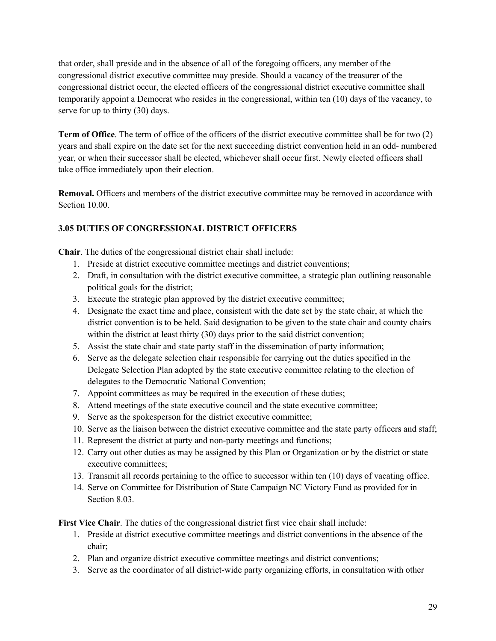that order, shall preside and in the absence of all of the foregoing officers, any member of the congressional district executive committee may preside. Should a vacancy of the treasurer of the congressional district occur, the elected officers of the congressional district executive committee shall temporarily appoint a Democrat who resides in the congressional, within ten (10) days of the vacancy, to serve for up to thirty (30) days.

**Term of Office**. The term of office of the officers of the district executive committee shall be for two (2) years and shall expire on the date set for the next succeeding district convention held in an odd- numbered year, or when their successor shall be elected, whichever shall occur first. Newly elected officers shall take office immediately upon their election.

**Removal.** Officers and members of the district executive committee may be removed in accordance with Section 10.00.

# **3.05 DUTIES OF CONGRESSIONAL DISTRICT OFFICERS**

**Chair**. The duties of the congressional district chair shall include:

- 1. Preside at district executive committee meetings and district conventions;
- 2. Draft, in consultation with the district executive committee, a strategic plan outlining reasonable political goals for the district;
- 3. Execute the strategic plan approved by the district executive committee;
- 4. Designate the exact time and place, consistent with the date set by the state chair, at which the district convention is to be held. Said designation to be given to the state chair and county chairs within the district at least thirty (30) days prior to the said district convention;
- 5. Assist the state chair and state party staff in the dissemination of party information;
- 6. Serve as the delegate selection chair responsible for carrying out the duties specified in the Delegate Selection Plan adopted by the state executive committee relating to the election of delegates to the Democratic National Convention;
- 7. Appoint committees as may be required in the execution of these duties;
- 8. Attend meetings of the state executive council and the state executive committee;
- 9. Serve as the spokesperson for the district executive committee;
- 10. Serve as the liaison between the district executive committee and the state party officers and staff;
- 11. Represent the district at party and non-party meetings and functions;
- 12. Carry out other duties as may be assigned by this Plan or Organization or by the district or state executive committees;
- 13. Transmit all records pertaining to the office to successor within ten (10) days of vacating office.
- 14. Serve on Committee for Distribution of State Campaign NC Victory Fund as provided for in Section 8.03.

**First Vice Chair**. The duties of the congressional district first vice chair shall include:

- 1. Preside at district executive committee meetings and district conventions in the absence of the chair;
- 2. Plan and organize district executive committee meetings and district conventions;
- 3. Serve as the coordinator of all district-wide party organizing efforts, in consultation with other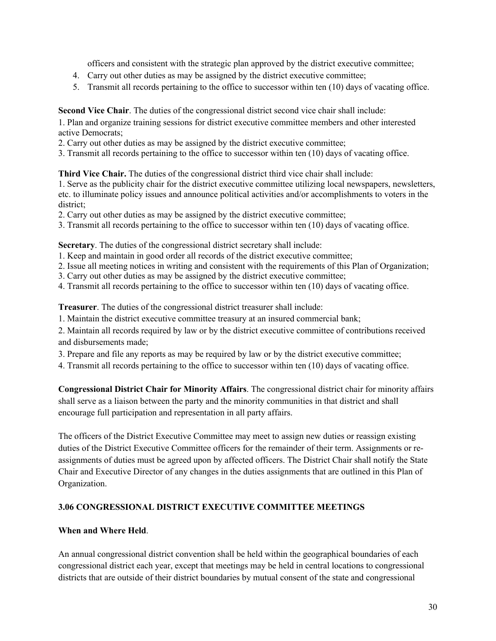officers and consistent with the strategic plan approved by the district executive committee;

- 4. Carry out other duties as may be assigned by the district executive committee;
- 5. Transmit all records pertaining to the office to successor within ten (10) days of vacating office.

**Second Vice Chair**. The duties of the congressional district second vice chair shall include:

1. Plan and organize training sessions for district executive committee members and other interested active Democrats;

- 2. Carry out other duties as may be assigned by the district executive committee;
- 3. Transmit all records pertaining to the office to successor within ten (10) days of vacating office.

**Third Vice Chair.** The duties of the congressional district third vice chair shall include:

1. Serve as the publicity chair for the district executive committee utilizing local newspapers, newsletters, etc. to illuminate policy issues and announce political activities and/or accomplishments to voters in the district;

- 2. Carry out other duties as may be assigned by the district executive committee;
- 3. Transmit all records pertaining to the office to successor within ten (10) days of vacating office.

**Secretary**. The duties of the congressional district secretary shall include:

- 1. Keep and maintain in good order all records of the district executive committee;
- 2. Issue all meeting notices in writing and consistent with the requirements of this Plan of Organization;
- 3. Carry out other duties as may be assigned by the district executive committee;
- 4. Transmit all records pertaining to the office to successor within ten (10) days of vacating office.

**Treasurer**. The duties of the congressional district treasurer shall include:

1. Maintain the district executive committee treasury at an insured commercial bank;

2. Maintain all records required by law or by the district executive committee of contributions received and disbursements made;

3. Prepare and file any reports as may be required by law or by the district executive committee;

4. Transmit all records pertaining to the office to successor within ten (10) days of vacating office.

**Congressional District Chair for Minority Affairs**. The congressional district chair for minority affairs shall serve as a liaison between the party and the minority communities in that district and shall encourage full participation and representation in all party affairs.

The officers of the District Executive Committee may meet to assign new duties or reassign existing duties of the District Executive Committee officers for the remainder of their term. Assignments or reassignments of duties must be agreed upon by affected officers. The District Chair shall notify the State Chair and Executive Director of any changes in the duties assignments that are outlined in this Plan of Organization.

# **3.06 CONGRESSIONAL DISTRICT EXECUTIVE COMMITTEE MEETINGS**

#### **When and Where Held**.

An annual congressional district convention shall be held within the geographical boundaries of each congressional district each year, except that meetings may be held in central locations to congressional districts that are outside of their district boundaries by mutual consent of the state and congressional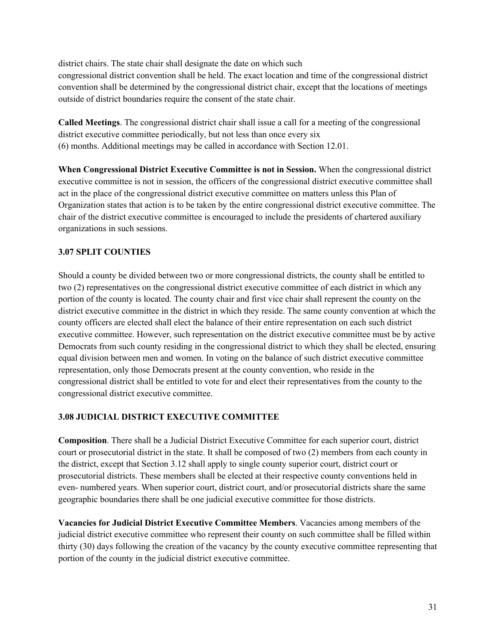district chairs. The state chair shall designate the date on which such congressional district convention shall be held. The exact location and time of the congressional district convention shall be determined by the congressional district chair, except that the locations of meetings outside of district boundaries require the consent of the state chair.

**Called Meetings**. The congressional district chair shall issue a call for a meeting of the congressional district executive committee periodically, but not less than once every six (6) months. Additional meetings may be called in accordance with Section 12.01.

**When Congressional District Executive Committee is not in Session.** When the congressional district executive committee is not in session, the officers of the congressional district executive committee shall act in the place of the congressional district executive committee on matters unless this Plan of Organization states that action is to be taken by the entire congressional district executive committee. The chair of the district executive committee is encouraged to include the presidents of chartered auxiliary organizations in such sessions.

# **3.07 SPLIT COUNTIES**

Should a county be divided between two or more congressional districts, the county shall be entitled to two (2) representatives on the congressional district executive committee of each district in which any portion of the county is located. The county chair and first vice chair shall represent the county on the district executive committee in the district in which they reside. The same county convention at which the county officers are elected shall elect the balance of their entire representation on each such district executive committee. However, such representation on the district executive committee must be by active Democrats from such county residing in the congressional district to which they shall be elected, ensuring equal division between men and women. In voting on the balance of such district executive committee representation, only those Democrats present at the county convention, who reside in the congressional district shall be entitled to vote for and elect their representatives from the county to the congressional district executive committee.

# **3.08 JUDICIAL DISTRICT EXECUTIVE COMMITTEE**

**Composition**. There shall be a Judicial District Executive Committee for each superior court, district court or prosecutorial district in the state. It shall be composed of two (2) members from each county in the district, except that Section 3.12 shall apply to single county superior court, district court or prosecutorial districts. These members shall be elected at their respective county conventions held in even- numbered years. When superior court, district court, and/or prosecutorial districts share the same geographic boundaries there shall be one judicial executive committee for those districts.

**Vacancies for Judicial District Executive Committee Members**. Vacancies among members of the judicial district executive committee who represent their county on such committee shall be filled within thirty (30) days following the creation of the vacancy by the county executive committee representing that portion of the county in the judicial district executive committee.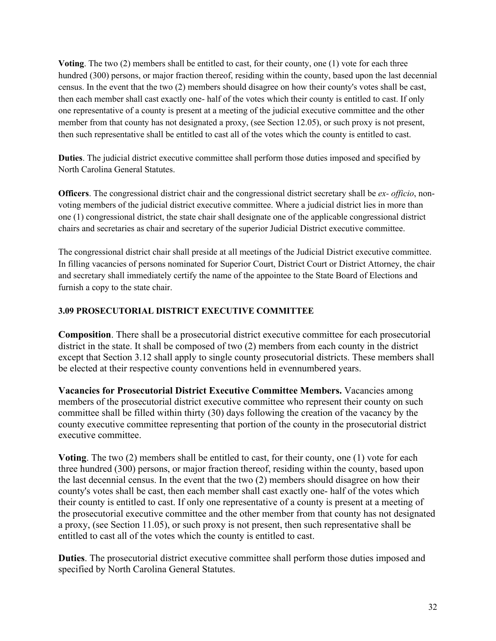**Voting**. The two (2) members shall be entitled to cast, for their county, one (1) vote for each three hundred (300) persons, or major fraction thereof, residing within the county, based upon the last decennial census. In the event that the two (2) members should disagree on how their county's votes shall be cast, then each member shall cast exactly one- half of the votes which their county is entitled to cast. If only one representative of a county is present at a meeting of the judicial executive committee and the other member from that county has not designated a proxy, (see Section 12.05), or such proxy is not present, then such representative shall be entitled to cast all of the votes which the county is entitled to cast.

**Duties**. The judicial district executive committee shall perform those duties imposed and specified by North Carolina General Statutes.

**Officers**. The congressional district chair and the congressional district secretary shall be *ex- officio*, nonvoting members of the judicial district executive committee. Where a judicial district lies in more than one (1) congressional district, the state chair shall designate one of the applicable congressional district chairs and secretaries as chair and secretary of the superior Judicial District executive committee.

The congressional district chair shall preside at all meetings of the Judicial District executive committee. In filling vacancies of persons nominated for Superior Court, District Court or District Attorney, the chair and secretary shall immediately certify the name of the appointee to the State Board of Elections and furnish a copy to the state chair.

# **3.09 PROSECUTORIAL DISTRICT EXECUTIVE COMMITTEE**

**Composition**. There shall be a prosecutorial district executive committee for each prosecutorial district in the state. It shall be composed of two (2) members from each county in the district except that Section 3.12 shall apply to single county prosecutorial districts. These members shall be elected at their respective county conventions held in evennumbered years.

**Vacancies for Prosecutorial District Executive Committee Members.** Vacancies among members of the prosecutorial district executive committee who represent their county on such committee shall be filled within thirty (30) days following the creation of the vacancy by the county executive committee representing that portion of the county in the prosecutorial district executive committee.

**Voting**. The two (2) members shall be entitled to cast, for their county, one (1) vote for each three hundred (300) persons, or major fraction thereof, residing within the county, based upon the last decennial census. In the event that the two (2) members should disagree on how their county's votes shall be cast, then each member shall cast exactly one- half of the votes which their county is entitled to cast. If only one representative of a county is present at a meeting of the prosecutorial executive committee and the other member from that county has not designated a proxy, (see Section 11.05), or such proxy is not present, then such representative shall be entitled to cast all of the votes which the county is entitled to cast.

**Duties**. The prosecutorial district executive committee shall perform those duties imposed and specified by North Carolina General Statutes.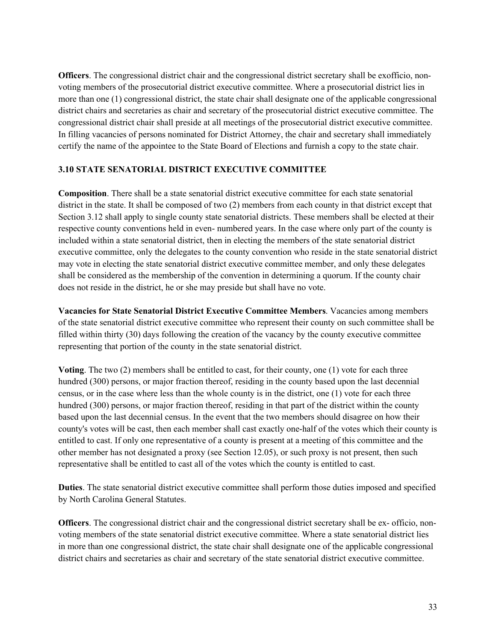**Officers**. The congressional district chair and the congressional district secretary shall be exofficio, nonvoting members of the prosecutorial district executive committee. Where a prosecutorial district lies in more than one (1) congressional district, the state chair shall designate one of the applicable congressional district chairs and secretaries as chair and secretary of the prosecutorial district executive committee. The congressional district chair shall preside at all meetings of the prosecutorial district executive committee. In filling vacancies of persons nominated for District Attorney, the chair and secretary shall immediately certify the name of the appointee to the State Board of Elections and furnish a copy to the state chair.

# **3.10 STATE SENATORIAL DISTRICT EXECUTIVE COMMITTEE**

**Composition**. There shall be a state senatorial district executive committee for each state senatorial district in the state. It shall be composed of two (2) members from each county in that district except that Section 3.12 shall apply to single county state senatorial districts. These members shall be elected at their respective county conventions held in even- numbered years. In the case where only part of the county is included within a state senatorial district, then in electing the members of the state senatorial district executive committee, only the delegates to the county convention who reside in the state senatorial district may vote in electing the state senatorial district executive committee member, and only these delegates shall be considered as the membership of the convention in determining a quorum. If the county chair does not reside in the district, he or she may preside but shall have no vote.

**Vacancies for State Senatorial District Executive Committee Members**. Vacancies among members of the state senatorial district executive committee who represent their county on such committee shall be filled within thirty (30) days following the creation of the vacancy by the county executive committee representing that portion of the county in the state senatorial district.

**Voting**. The two (2) members shall be entitled to cast, for their county, one (1) vote for each three hundred (300) persons, or major fraction thereof, residing in the county based upon the last decennial census, or in the case where less than the whole county is in the district, one (1) vote for each three hundred (300) persons, or major fraction thereof, residing in that part of the district within the county based upon the last decennial census. In the event that the two members should disagree on how their county's votes will be cast, then each member shall cast exactly one-half of the votes which their county is entitled to cast. If only one representative of a county is present at a meeting of this committee and the other member has not designated a proxy (see Section 12.05), or such proxy is not present, then such representative shall be entitled to cast all of the votes which the county is entitled to cast.

**Duties**. The state senatorial district executive committee shall perform those duties imposed and specified by North Carolina General Statutes.

**Officers**. The congressional district chair and the congressional district secretary shall be ex- officio, nonvoting members of the state senatorial district executive committee. Where a state senatorial district lies in more than one congressional district, the state chair shall designate one of the applicable congressional district chairs and secretaries as chair and secretary of the state senatorial district executive committee.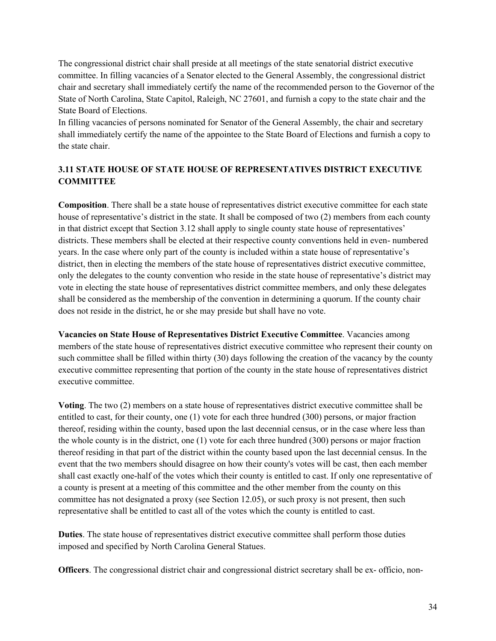The congressional district chair shall preside at all meetings of the state senatorial district executive committee. In filling vacancies of a Senator elected to the General Assembly, the congressional district chair and secretary shall immediately certify the name of the recommended person to the Governor of the State of North Carolina, State Capitol, Raleigh, NC 27601, and furnish a copy to the state chair and the State Board of Elections.

In filling vacancies of persons nominated for Senator of the General Assembly, the chair and secretary shall immediately certify the name of the appointee to the State Board of Elections and furnish a copy to the state chair.

# **3.11 STATE HOUSE OF STATE HOUSE OF REPRESENTATIVES DISTRICT EXECUTIVE COMMITTEE**

**Composition**. There shall be a state house of representatives district executive committee for each state house of representative's district in the state. It shall be composed of two (2) members from each county in that district except that Section 3.12 shall apply to single county state house of representatives' districts. These members shall be elected at their respective county conventions held in even- numbered years. In the case where only part of the county is included within a state house of representative's district, then in electing the members of the state house of representatives district executive committee, only the delegates to the county convention who reside in the state house of representative's district may vote in electing the state house of representatives district committee members, and only these delegates shall be considered as the membership of the convention in determining a quorum. If the county chair does not reside in the district, he or she may preside but shall have no vote.

**Vacancies on State House of Representatives District Executive Committee**. Vacancies among members of the state house of representatives district executive committee who represent their county on such committee shall be filled within thirty (30) days following the creation of the vacancy by the county executive committee representing that portion of the county in the state house of representatives district executive committee.

**Voting**. The two (2) members on a state house of representatives district executive committee shall be entitled to cast, for their county, one (1) vote for each three hundred (300) persons, or major fraction thereof, residing within the county, based upon the last decennial census, or in the case where less than the whole county is in the district, one (1) vote for each three hundred (300) persons or major fraction thereof residing in that part of the district within the county based upon the last decennial census. In the event that the two members should disagree on how their county's votes will be cast, then each member shall cast exactly one-half of the votes which their county is entitled to cast. If only one representative of a county is present at a meeting of this committee and the other member from the county on this committee has not designated a proxy (see Section 12.05), or such proxy is not present, then such representative shall be entitled to cast all of the votes which the county is entitled to cast.

**Duties**. The state house of representatives district executive committee shall perform those duties imposed and specified by North Carolina General Statues.

**Officers**. The congressional district chair and congressional district secretary shall be ex- officio, non-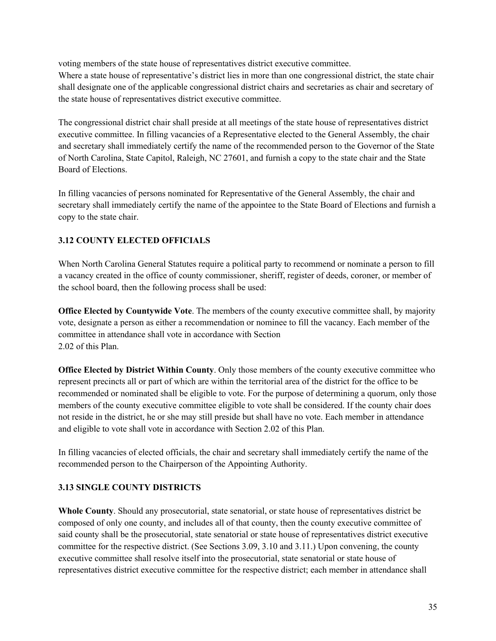voting members of the state house of representatives district executive committee.

Where a state house of representative's district lies in more than one congressional district, the state chair shall designate one of the applicable congressional district chairs and secretaries as chair and secretary of the state house of representatives district executive committee.

The congressional district chair shall preside at all meetings of the state house of representatives district executive committee. In filling vacancies of a Representative elected to the General Assembly, the chair and secretary shall immediately certify the name of the recommended person to the Governor of the State of North Carolina, State Capitol, Raleigh, NC 27601, and furnish a copy to the state chair and the State Board of Elections.

In filling vacancies of persons nominated for Representative of the General Assembly, the chair and secretary shall immediately certify the name of the appointee to the State Board of Elections and furnish a copy to the state chair.

# **3.12 COUNTY ELECTED OFFICIALS**

When North Carolina General Statutes require a political party to recommend or nominate a person to fill a vacancy created in the office of county commissioner, sheriff, register of deeds, coroner, or member of the school board, then the following process shall be used:

**Office Elected by Countywide Vote**. The members of the county executive committee shall, by majority vote, designate a person as either a recommendation or nominee to fill the vacancy. Each member of the committee in attendance shall vote in accordance with Section 2.02 of this Plan.

**Office Elected by District Within County**. Only those members of the county executive committee who represent precincts all or part of which are within the territorial area of the district for the office to be recommended or nominated shall be eligible to vote. For the purpose of determining a quorum, only those members of the county executive committee eligible to vote shall be considered. If the county chair does not reside in the district, he or she may still preside but shall have no vote. Each member in attendance and eligible to vote shall vote in accordance with Section 2.02 of this Plan.

In filling vacancies of elected officials, the chair and secretary shall immediately certify the name of the recommended person to the Chairperson of the Appointing Authority.

# **3.13 SINGLE COUNTY DISTRICTS**

**Whole County**. Should any prosecutorial, state senatorial, or state house of representatives district be composed of only one county, and includes all of that county, then the county executive committee of said county shall be the prosecutorial, state senatorial or state house of representatives district executive committee for the respective district. (See Sections 3.09, 3.10 and 3.11.) Upon convening, the county executive committee shall resolve itself into the prosecutorial, state senatorial or state house of representatives district executive committee for the respective district; each member in attendance shall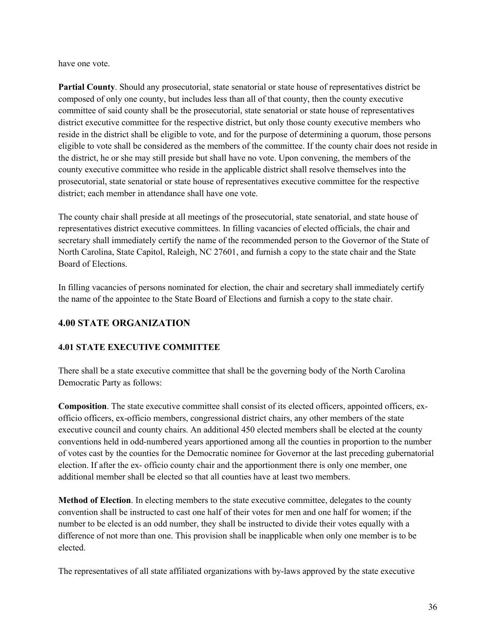have one vote.

**Partial County**. Should any prosecutorial, state senatorial or state house of representatives district be composed of only one county, but includes less than all of that county, then the county executive committee of said county shall be the prosecutorial, state senatorial or state house of representatives district executive committee for the respective district, but only those county executive members who reside in the district shall be eligible to vote, and for the purpose of determining a quorum, those persons eligible to vote shall be considered as the members of the committee. If the county chair does not reside in the district, he or she may still preside but shall have no vote. Upon convening, the members of the county executive committee who reside in the applicable district shall resolve themselves into the prosecutorial, state senatorial or state house of representatives executive committee for the respective district; each member in attendance shall have one vote.

The county chair shall preside at all meetings of the prosecutorial, state senatorial, and state house of representatives district executive committees. In filling vacancies of elected officials, the chair and secretary shall immediately certify the name of the recommended person to the Governor of the State of North Carolina, State Capitol, Raleigh, NC 27601, and furnish a copy to the state chair and the State Board of Elections.

In filling vacancies of persons nominated for election, the chair and secretary shall immediately certify the name of the appointee to the State Board of Elections and furnish a copy to the state chair.

# **4.00 STATE ORGANIZATION**

# **4.01 STATE EXECUTIVE COMMITTEE**

There shall be a state executive committee that shall be the governing body of the North Carolina Democratic Party as follows:

**Composition**. The state executive committee shall consist of its elected officers, appointed officers, exofficio officers, ex-officio members, congressional district chairs, any other members of the state executive council and county chairs. An additional 450 elected members shall be elected at the county conventions held in odd-numbered years apportioned among all the counties in proportion to the number of votes cast by the counties for the Democratic nominee for Governor at the last preceding gubernatorial election. If after the ex- officio county chair and the apportionment there is only one member, one additional member shall be elected so that all counties have at least two members.

**Method of Election**. In electing members to the state executive committee, delegates to the county convention shall be instructed to cast one half of their votes for men and one half for women; if the number to be elected is an odd number, they shall be instructed to divide their votes equally with a difference of not more than one. This provision shall be inapplicable when only one member is to be elected.

The representatives of all state affiliated organizations with by-laws approved by the state executive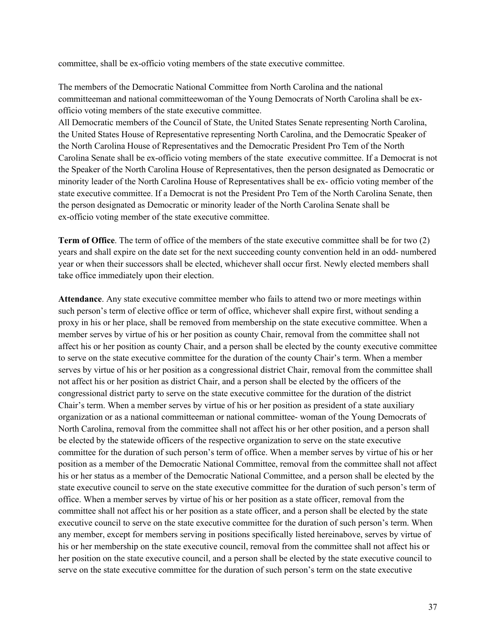committee, shall be ex-officio voting members of the state executive committee.

The members of the Democratic National Committee from North Carolina and the national committeeman and national committeewoman of the Young Democrats of North Carolina shall be exofficio voting members of the state executive committee.

All Democratic members of the Council of State, the United States Senate representing North Carolina, the United States House of Representative representing North Carolina, and the Democratic Speaker of the North Carolina House of Representatives and the Democratic President Pro Tem of the North Carolina Senate shall be ex-officio voting members of the state executive committee. If a Democrat is not the Speaker of the North Carolina House of Representatives, then the person designated as Democratic or minority leader of the North Carolina House of Representatives shall be ex- officio voting member of the state executive committee. If a Democrat is not the President Pro Tem of the North Carolina Senate, then the person designated as Democratic or minority leader of the North Carolina Senate shall be ex-officio voting member of the state executive committee.

**Term of Office**. The term of office of the members of the state executive committee shall be for two (2) years and shall expire on the date set for the next succeeding county convention held in an odd- numbered year or when their successors shall be elected, whichever shall occur first. Newly elected members shall take office immediately upon their election.

**Attendance**. Any state executive committee member who fails to attend two or more meetings within such person's term of elective office or term of office, whichever shall expire first, without sending a proxy in his or her place, shall be removed from membership on the state executive committee. When a member serves by virtue of his or her position as county Chair, removal from the committee shall not affect his or her position as county Chair, and a person shall be elected by the county executive committee to serve on the state executive committee for the duration of the county Chair's term. When a member serves by virtue of his or her position as a congressional district Chair, removal from the committee shall not affect his or her position as district Chair, and a person shall be elected by the officers of the congressional district party to serve on the state executive committee for the duration of the district Chair's term. When a member serves by virtue of his or her position as president of a state auxiliary organization or as a national committeeman or national committee- woman of the Young Democrats of North Carolina, removal from the committee shall not affect his or her other position, and a person shall be elected by the statewide officers of the respective organization to serve on the state executive committee for the duration of such person's term of office. When a member serves by virtue of his or her position as a member of the Democratic National Committee, removal from the committee shall not affect his or her status as a member of the Democratic National Committee, and a person shall be elected by the state executive council to serve on the state executive committee for the duration of such person's term of office. When a member serves by virtue of his or her position as a state officer, removal from the committee shall not affect his or her position as a state officer, and a person shall be elected by the state executive council to serve on the state executive committee for the duration of such person's term. When any member, except for members serving in positions specifically listed hereinabove, serves by virtue of his or her membership on the state executive council, removal from the committee shall not affect his or her position on the state executive council, and a person shall be elected by the state executive council to serve on the state executive committee for the duration of such person's term on the state executive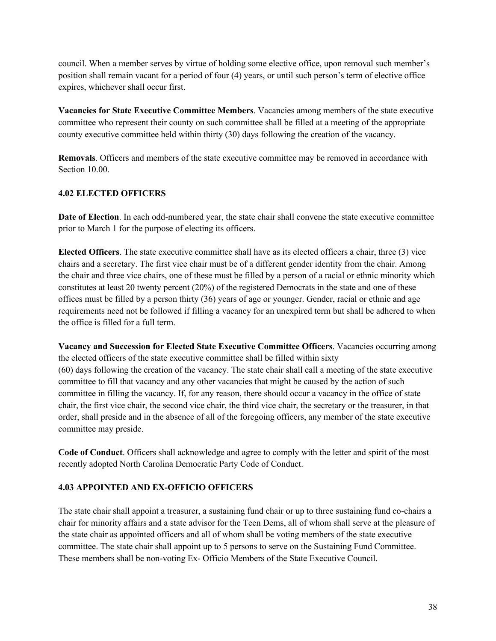council. When a member serves by virtue of holding some elective office, upon removal such member's position shall remain vacant for a period of four (4) years, or until such person's term of elective office expires, whichever shall occur first.

**Vacancies for State Executive Committee Members**. Vacancies among members of the state executive committee who represent their county on such committee shall be filled at a meeting of the appropriate county executive committee held within thirty (30) days following the creation of the vacancy.

**Removals**. Officers and members of the state executive committee may be removed in accordance with Section 10.00.

# **4.02 ELECTED OFFICERS**

**Date of Election**. In each odd-numbered year, the state chair shall convene the state executive committee prior to March 1 for the purpose of electing its officers.

**Elected Officers**. The state executive committee shall have as its elected officers a chair, three (3) vice chairs and a secretary. The first vice chair must be of a different gender identity from the chair. Among the chair and three vice chairs, one of these must be filled by a person of a racial or ethnic minority which constitutes at least 20 twenty percent (20%) of the registered Democrats in the state and one of these offices must be filled by a person thirty (36) years of age or younger. Gender, racial or ethnic and age requirements need not be followed if filling a vacancy for an unexpired term but shall be adhered to when the office is filled for a full term.

**Vacancy and Succession for Elected State Executive Committee Officers**. Vacancies occurring among the elected officers of the state executive committee shall be filled within sixty (60) days following the creation of the vacancy. The state chair shall call a meeting of the state executive committee to fill that vacancy and any other vacancies that might be caused by the action of such committee in filling the vacancy. If, for any reason, there should occur a vacancy in the office of state chair, the first vice chair, the second vice chair, the third vice chair, the secretary or the treasurer, in that order, shall preside and in the absence of all of the foregoing officers, any member of the state executive committee may preside.

**Code of Conduct**. Officers shall acknowledge and agree to comply with the letter and spirit of the most recently adopted North Carolina Democratic Party Code of Conduct.

# **4.03 APPOINTED AND EX-OFFICIO OFFICERS**

The state chair shall appoint a treasurer, a sustaining fund chair or up to three sustaining fund co-chairs a chair for minority affairs and a state advisor for the Teen Dems, all of whom shall serve at the pleasure of the state chair as appointed officers and all of whom shall be voting members of the state executive committee. The state chair shall appoint up to 5 persons to serve on the Sustaining Fund Committee. These members shall be non-voting Ex- Officio Members of the State Executive Council.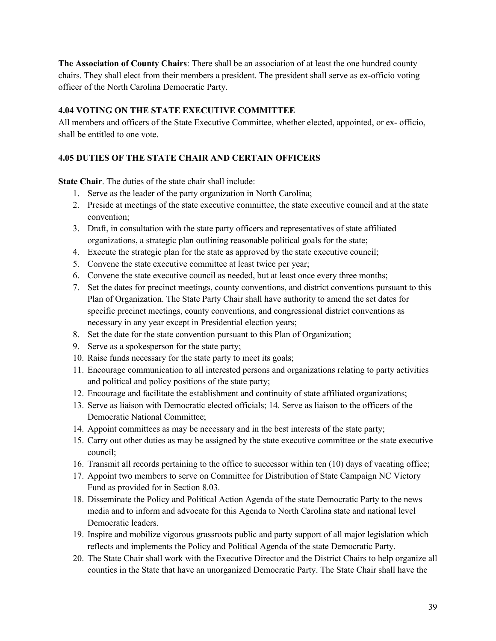**The Association of County Chairs**: There shall be an association of at least the one hundred county chairs. They shall elect from their members a president. The president shall serve as ex-officio voting officer of the North Carolina Democratic Party.

# **4.04 VOTING ON THE STATE EXECUTIVE COMMITTEE**

All members and officers of the State Executive Committee, whether elected, appointed, or ex- officio, shall be entitled to one vote.

# **4.05 DUTIES OF THE STATE CHAIR AND CERTAIN OFFICERS**

**State Chair**. The duties of the state chair shall include:

- 1. Serve as the leader of the party organization in North Carolina;
- 2. Preside at meetings of the state executive committee, the state executive council and at the state convention;
- 3. Draft, in consultation with the state party officers and representatives of state affiliated organizations, a strategic plan outlining reasonable political goals for the state;
- 4. Execute the strategic plan for the state as approved by the state executive council;
- 5. Convene the state executive committee at least twice per year;
- 6. Convene the state executive council as needed, but at least once every three months;
- 7. Set the dates for precinct meetings, county conventions, and district conventions pursuant to this Plan of Organization. The State Party Chair shall have authority to amend the set dates for specific precinct meetings, county conventions, and congressional district conventions as necessary in any year except in Presidential election years;
- 8. Set the date for the state convention pursuant to this Plan of Organization;
- 9. Serve as a spokesperson for the state party;
- 10. Raise funds necessary for the state party to meet its goals;
- 11. Encourage communication to all interested persons and organizations relating to party activities and political and policy positions of the state party;
- 12. Encourage and facilitate the establishment and continuity of state affiliated organizations;
- 13. Serve as liaison with Democratic elected officials; 14. Serve as liaison to the officers of the Democratic National Committee;
- 14. Appoint committees as may be necessary and in the best interests of the state party;
- 15. Carry out other duties as may be assigned by the state executive committee or the state executive council;
- 16. Transmit all records pertaining to the office to successor within ten (10) days of vacating office;
- 17. Appoint two members to serve on Committee for Distribution of State Campaign NC Victory Fund as provided for in Section 8.03.
- 18. Disseminate the Policy and Political Action Agenda of the state Democratic Party to the news media and to inform and advocate for this Agenda to North Carolina state and national level Democratic leaders.
- 19. Inspire and mobilize vigorous grassroots public and party support of all major legislation which reflects and implements the Policy and Political Agenda of the state Democratic Party.
- 20. The State Chair shall work with the Executive Director and the District Chairs to help organize all counties in the State that have an unorganized Democratic Party. The State Chair shall have the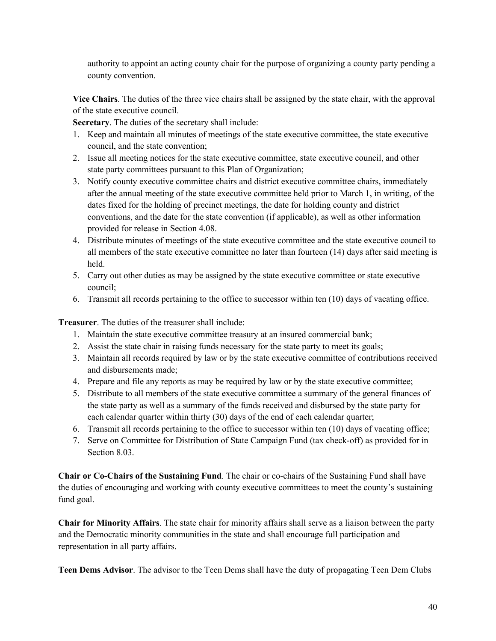authority to appoint an acting county chair for the purpose of organizing a county party pending a county convention.

**Vice Chairs**. The duties of the three vice chairs shall be assigned by the state chair, with the approval of the state executive council.

**Secretary**. The duties of the secretary shall include:

- 1. Keep and maintain all minutes of meetings of the state executive committee, the state executive council, and the state convention;
- 2. Issue all meeting notices for the state executive committee, state executive council, and other state party committees pursuant to this Plan of Organization;
- 3. Notify county executive committee chairs and district executive committee chairs, immediately after the annual meeting of the state executive committee held prior to March 1, in writing, of the dates fixed for the holding of precinct meetings, the date for holding county and district conventions, and the date for the state convention (if applicable), as well as other information provided for release in Section 4.08.
- 4. Distribute minutes of meetings of the state executive committee and the state executive council to all members of the state executive committee no later than fourteen (14) days after said meeting is held.
- 5. Carry out other duties as may be assigned by the state executive committee or state executive council;
- 6. Transmit all records pertaining to the office to successor within ten (10) days of vacating office.

**Treasurer**. The duties of the treasurer shall include:

- 1. Maintain the state executive committee treasury at an insured commercial bank;
- 2. Assist the state chair in raising funds necessary for the state party to meet its goals;
- 3. Maintain all records required by law or by the state executive committee of contributions received and disbursements made;
- 4. Prepare and file any reports as may be required by law or by the state executive committee;
- 5. Distribute to all members of the state executive committee a summary of the general finances of the state party as well as a summary of the funds received and disbursed by the state party for each calendar quarter within thirty (30) days of the end of each calendar quarter;
- 6. Transmit all records pertaining to the office to successor within ten (10) days of vacating office;
- 7. Serve on Committee for Distribution of State Campaign Fund (tax check-off) as provided for in Section 8.03.

**Chair or Co-Chairs of the Sustaining Fund**. The chair or co-chairs of the Sustaining Fund shall have the duties of encouraging and working with county executive committees to meet the county's sustaining fund goal.

**Chair for Minority Affairs**. The state chair for minority affairs shall serve as a liaison between the party and the Democratic minority communities in the state and shall encourage full participation and representation in all party affairs.

**Teen Dems Advisor**. The advisor to the Teen Dems shall have the duty of propagating Teen Dem Clubs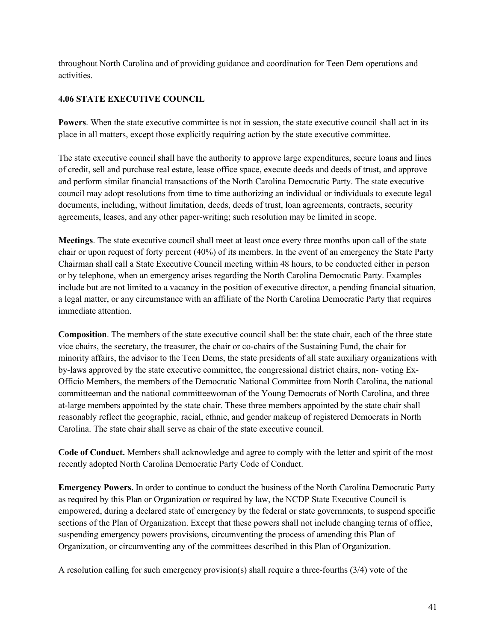throughout North Carolina and of providing guidance and coordination for Teen Dem operations and activities.

# **4.06 STATE EXECUTIVE COUNCIL**

**Powers**. When the state executive committee is not in session, the state executive council shall act in its place in all matters, except those explicitly requiring action by the state executive committee.

The state executive council shall have the authority to approve large expenditures, secure loans and lines of credit, sell and purchase real estate, lease office space, execute deeds and deeds of trust, and approve and perform similar financial transactions of the North Carolina Democratic Party. The state executive council may adopt resolutions from time to time authorizing an individual or individuals to execute legal documents, including, without limitation, deeds, deeds of trust, loan agreements, contracts, security agreements, leases, and any other paper-writing; such resolution may be limited in scope.

**Meetings**. The state executive council shall meet at least once every three months upon call of the state chair or upon request of forty percent (40%) of its members. In the event of an emergency the State Party Chairman shall call a State Executive Council meeting within 48 hours, to be conducted either in person or by telephone, when an emergency arises regarding the North Carolina Democratic Party. Examples include but are not limited to a vacancy in the position of executive director, a pending financial situation, a legal matter, or any circumstance with an affiliate of the North Carolina Democratic Party that requires immediate attention.

**Composition**. The members of the state executive council shall be: the state chair, each of the three state vice chairs, the secretary, the treasurer, the chair or co-chairs of the Sustaining Fund, the chair for minority affairs, the advisor to the Teen Dems, the state presidents of all state auxiliary organizations with by-laws approved by the state executive committee, the congressional district chairs, non- voting Ex-Officio Members, the members of the Democratic National Committee from North Carolina, the national committeeman and the national committeewoman of the Young Democrats of North Carolina, and three at-large members appointed by the state chair. These three members appointed by the state chair shall reasonably reflect the geographic, racial, ethnic, and gender makeup of registered Democrats in North Carolina. The state chair shall serve as chair of the state executive council.

**Code of Conduct.** Members shall acknowledge and agree to comply with the letter and spirit of the most recently adopted North Carolina Democratic Party Code of Conduct.

**Emergency Powers.** In order to continue to conduct the business of the North Carolina Democratic Party as required by this Plan or Organization or required by law, the NCDP State Executive Council is empowered, during a declared state of emergency by the federal or state governments, to suspend specific sections of the Plan of Organization. Except that these powers shall not include changing terms of office, suspending emergency powers provisions, circumventing the process of amending this Plan of Organization, or circumventing any of the committees described in this Plan of Organization.

A resolution calling for such emergency provision(s) shall require a three-fourths (3/4) vote of the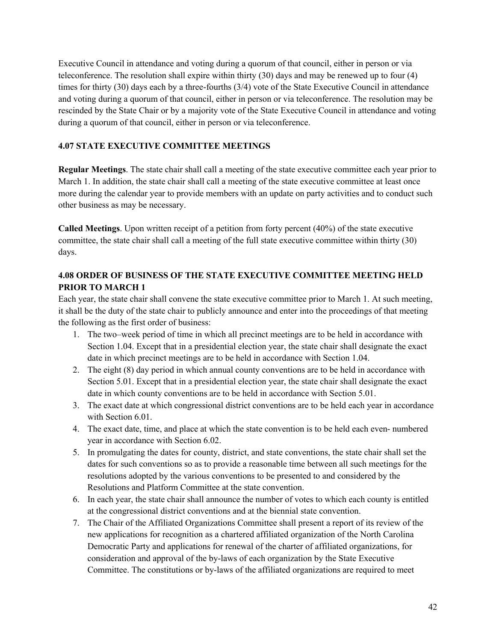Executive Council in attendance and voting during a quorum of that council, either in person or via teleconference. The resolution shall expire within thirty (30) days and may be renewed up to four (4) times for thirty (30) days each by a three-fourths (3/4) vote of the State Executive Council in attendance and voting during a quorum of that council, either in person or via teleconference. The resolution may be rescinded by the State Chair or by a majority vote of the State Executive Council in attendance and voting during a quorum of that council, either in person or via teleconference.

# **4.07 STATE EXECUTIVE COMMITTEE MEETINGS**

**Regular Meetings**. The state chair shall call a meeting of the state executive committee each year prior to March 1. In addition, the state chair shall call a meeting of the state executive committee at least once more during the calendar year to provide members with an update on party activities and to conduct such other business as may be necessary.

**Called Meetings**. Upon written receipt of a petition from forty percent (40%) of the state executive committee, the state chair shall call a meeting of the full state executive committee within thirty (30) days.

# **4.08 ORDER OF BUSINESS OF THE STATE EXECUTIVE COMMITTEE MEETING HELD PRIOR TO MARCH 1**

Each year, the state chair shall convene the state executive committee prior to March 1. At such meeting, it shall be the duty of the state chair to publicly announce and enter into the proceedings of that meeting the following as the first order of business:

- 1. The two–week period of time in which all precinct meetings are to be held in accordance with Section 1.04. Except that in a presidential election year, the state chair shall designate the exact date in which precinct meetings are to be held in accordance with Section 1.04.
- 2. The eight (8) day period in which annual county conventions are to be held in accordance with Section 5.01. Except that in a presidential election year, the state chair shall designate the exact date in which county conventions are to be held in accordance with Section 5.01.
- 3. The exact date at which congressional district conventions are to be held each year in accordance with Section 6.01.
- 4. The exact date, time, and place at which the state convention is to be held each even- numbered year in accordance with Section 6.02.
- 5. In promulgating the dates for county, district, and state conventions, the state chair shall set the dates for such conventions so as to provide a reasonable time between all such meetings for the resolutions adopted by the various conventions to be presented to and considered by the Resolutions and Platform Committee at the state convention.
- 6. In each year, the state chair shall announce the number of votes to which each county is entitled at the congressional district conventions and at the biennial state convention.
- 7. The Chair of the Affiliated Organizations Committee shall present a report of its review of the new applications for recognition as a chartered affiliated organization of the North Carolina Democratic Party and applications for renewal of the charter of affiliated organizations, for consideration and approval of the by-laws of each organization by the State Executive Committee. The constitutions or by-laws of the affiliated organizations are required to meet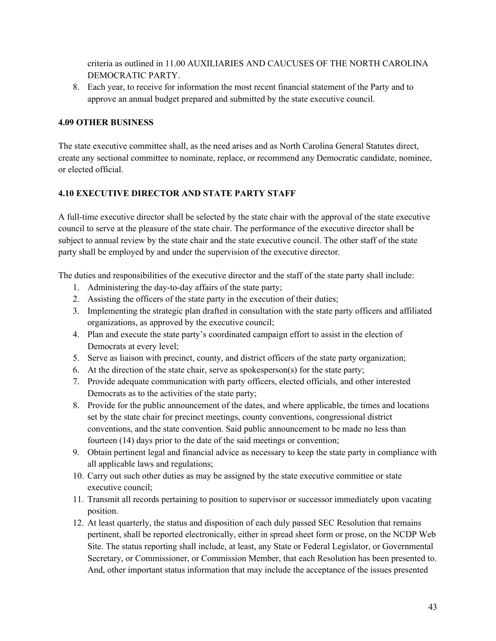criteria as outlined in 11.00 AUXILIARIES AND CAUCUSES OF THE NORTH CAROLINA DEMOCRATIC PARTY.

8. Each year, to receive for information the most recent financial statement of the Party and to approve an annual budget prepared and submitted by the state executive council.

#### **4.09 OTHER BUSINESS**

The state executive committee shall, as the need arises and as North Carolina General Statutes direct, create any sectional committee to nominate, replace, or recommend any Democratic candidate, nominee, or elected official.

# **4.10 EXECUTIVE DIRECTOR AND STATE PARTY STAFF**

A full-time executive director shall be selected by the state chair with the approval of the state executive council to serve at the pleasure of the state chair. The performance of the executive director shall be subject to annual review by the state chair and the state executive council. The other staff of the state party shall be employed by and under the supervision of the executive director.

The duties and responsibilities of the executive director and the staff of the state party shall include:

- 1. Administering the day-to-day affairs of the state party;
- 2. Assisting the officers of the state party in the execution of their duties;
- 3. Implementing the strategic plan drafted in consultation with the state party officers and affiliated organizations, as approved by the executive council;
- 4. Plan and execute the state party's coordinated campaign effort to assist in the election of Democrats at every level;
- 5. Serve as liaison with precinct, county, and district officers of the state party organization;
- 6. At the direction of the state chair, serve as spokesperson(s) for the state party;
- 7. Provide adequate communication with party officers, elected officials, and other interested Democrats as to the activities of the state party;
- 8. Provide for the public announcement of the dates, and where applicable, the times and locations set by the state chair for precinct meetings, county conventions, congressional district conventions, and the state convention. Said public announcement to be made no less than fourteen (14) days prior to the date of the said meetings or convention;
- 9. Obtain pertinent legal and financial advice as necessary to keep the state party in compliance with all applicable laws and regulations;
- 10. Carry out such other duties as may be assigned by the state executive committee or state executive council;
- 11. Transmit all records pertaining to position to supervisor or successor immediately upon vacating position.
- 12. At least quarterly, the status and disposition of each duly passed SEC Resolution that remains pertinent, shall be reported electronically, either in spread sheet form or prose, on the NCDP Web Site. The status reporting shall include, at least, any State or Federal Legislator, or Governmental Secretary, or Commissioner, or Commission Member, that each Resolution has been presented to. And, other important status information that may include the acceptance of the issues presented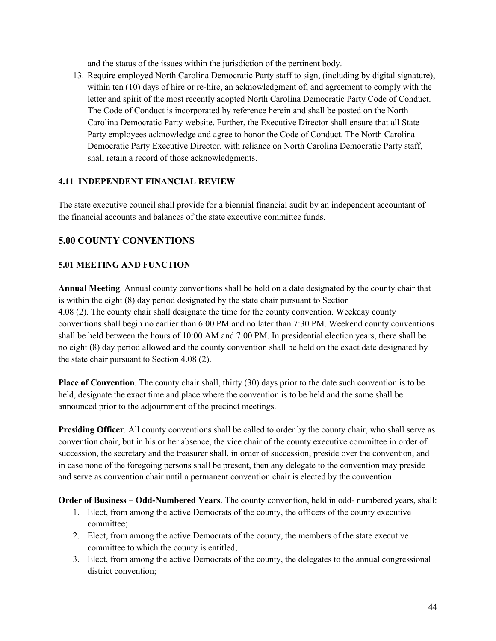and the status of the issues within the jurisdiction of the pertinent body.

13. Require employed North Carolina Democratic Party staff to sign, (including by digital signature), within ten (10) days of hire or re-hire, an acknowledgment of, and agreement to comply with the letter and spirit of the most recently adopted North Carolina Democratic Party Code of Conduct. The Code of Conduct is incorporated by reference herein and shall be posted on the North Carolina Democratic Party website. Further, the Executive Director shall ensure that all State Party employees acknowledge and agree to honor the Code of Conduct. The North Carolina Democratic Party Executive Director, with reliance on North Carolina Democratic Party staff, shall retain a record of those acknowledgments.

#### **4.11 INDEPENDENT FINANCIAL REVIEW**

The state executive council shall provide for a biennial financial audit by an independent accountant of the financial accounts and balances of the state executive committee funds.

# **5.00 COUNTY CONVENTIONS**

# **5.01 MEETING AND FUNCTION**

**Annual Meeting**. Annual county conventions shall be held on a date designated by the county chair that is within the eight (8) day period designated by the state chair pursuant to Section 4.08 (2). The county chair shall designate the time for the county convention. Weekday county conventions shall begin no earlier than 6:00 PM and no later than 7:30 PM. Weekend county conventions shall be held between the hours of 10:00 AM and 7:00 PM. In presidential election years, there shall be no eight (8) day period allowed and the county convention shall be held on the exact date designated by the state chair pursuant to Section 4.08 (2).

**Place of Convention**. The county chair shall, thirty (30) days prior to the date such convention is to be held, designate the exact time and place where the convention is to be held and the same shall be announced prior to the adjournment of the precinct meetings.

**Presiding Officer**. All county conventions shall be called to order by the county chair, who shall serve as convention chair, but in his or her absence, the vice chair of the county executive committee in order of succession, the secretary and the treasurer shall, in order of succession, preside over the convention, and in case none of the foregoing persons shall be present, then any delegate to the convention may preside and serve as convention chair until a permanent convention chair is elected by the convention.

**Order of Business – Odd-Numbered Years**. The county convention, held in odd- numbered years, shall:

- 1. Elect, from among the active Democrats of the county, the officers of the county executive committee;
- 2. Elect, from among the active Democrats of the county, the members of the state executive committee to which the county is entitled;
- 3. Elect, from among the active Democrats of the county, the delegates to the annual congressional district convention;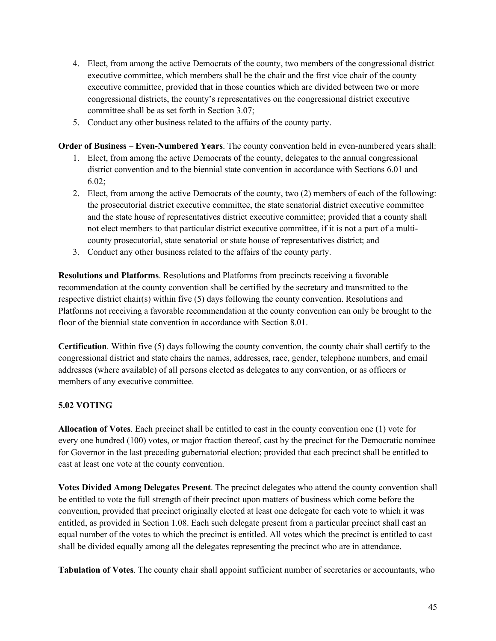- 4. Elect, from among the active Democrats of the county, two members of the congressional district executive committee, which members shall be the chair and the first vice chair of the county executive committee, provided that in those counties which are divided between two or more congressional districts, the county's representatives on the congressional district executive committee shall be as set forth in Section 3.07;
- 5. Conduct any other business related to the affairs of the county party.

**Order of Business – Even-Numbered Years**. The county convention held in even-numbered years shall:

- 1. Elect, from among the active Democrats of the county, delegates to the annual congressional district convention and to the biennial state convention in accordance with Sections 6.01 and 6.02;
- 2. Elect, from among the active Democrats of the county, two (2) members of each of the following: the prosecutorial district executive committee, the state senatorial district executive committee and the state house of representatives district executive committee; provided that a county shall not elect members to that particular district executive committee, if it is not a part of a multicounty prosecutorial, state senatorial or state house of representatives district; and
- 3. Conduct any other business related to the affairs of the county party.

**Resolutions and Platforms**. Resolutions and Platforms from precincts receiving a favorable recommendation at the county convention shall be certified by the secretary and transmitted to the respective district chair(s) within five (5) days following the county convention. Resolutions and Platforms not receiving a favorable recommendation at the county convention can only be brought to the floor of the biennial state convention in accordance with Section 8.01.

**Certification**. Within five (5) days following the county convention, the county chair shall certify to the congressional district and state chairs the names, addresses, race, gender, telephone numbers, and email addresses (where available) of all persons elected as delegates to any convention, or as officers or members of any executive committee.

# **5.02 VOTING**

**Allocation of Votes**. Each precinct shall be entitled to cast in the county convention one (1) vote for every one hundred (100) votes, or major fraction thereof, cast by the precinct for the Democratic nominee for Governor in the last preceding gubernatorial election; provided that each precinct shall be entitled to cast at least one vote at the county convention.

**Votes Divided Among Delegates Present**. The precinct delegates who attend the county convention shall be entitled to vote the full strength of their precinct upon matters of business which come before the convention, provided that precinct originally elected at least one delegate for each vote to which it was entitled, as provided in Section 1.08. Each such delegate present from a particular precinct shall cast an equal number of the votes to which the precinct is entitled. All votes which the precinct is entitled to cast shall be divided equally among all the delegates representing the precinct who are in attendance.

**Tabulation of Votes**. The county chair shall appoint sufficient number of secretaries or accountants, who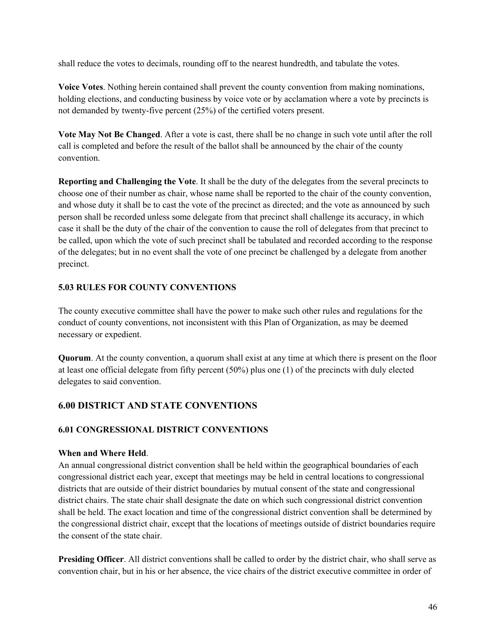shall reduce the votes to decimals, rounding off to the nearest hundredth, and tabulate the votes.

**Voice Votes**. Nothing herein contained shall prevent the county convention from making nominations, holding elections, and conducting business by voice vote or by acclamation where a vote by precincts is not demanded by twenty-five percent (25%) of the certified voters present.

**Vote May Not Be Changed**. After a vote is cast, there shall be no change in such vote until after the roll call is completed and before the result of the ballot shall be announced by the chair of the county convention.

**Reporting and Challenging the Vote**. It shall be the duty of the delegates from the several precincts to choose one of their number as chair, whose name shall be reported to the chair of the county convention, and whose duty it shall be to cast the vote of the precinct as directed; and the vote as announced by such person shall be recorded unless some delegate from that precinct shall challenge its accuracy, in which case it shall be the duty of the chair of the convention to cause the roll of delegates from that precinct to be called, upon which the vote of such precinct shall be tabulated and recorded according to the response of the delegates; but in no event shall the vote of one precinct be challenged by a delegate from another precinct.

# **5.03 RULES FOR COUNTY CONVENTIONS**

The county executive committee shall have the power to make such other rules and regulations for the conduct of county conventions, not inconsistent with this Plan of Organization, as may be deemed necessary or expedient.

**Quorum**. At the county convention, a quorum shall exist at any time at which there is present on the floor at least one official delegate from fifty percent (50%) plus one (1) of the precincts with duly elected delegates to said convention.

# **6.00 DISTRICT AND STATE CONVENTIONS**

# **6.01 CONGRESSIONAL DISTRICT CONVENTIONS**

# **When and Where Held**.

An annual congressional district convention shall be held within the geographical boundaries of each congressional district each year, except that meetings may be held in central locations to congressional districts that are outside of their district boundaries by mutual consent of the state and congressional district chairs. The state chair shall designate the date on which such congressional district convention shall be held. The exact location and time of the congressional district convention shall be determined by the congressional district chair, except that the locations of meetings outside of district boundaries require the consent of the state chair.

**Presiding Officer**. All district conventions shall be called to order by the district chair, who shall serve as convention chair, but in his or her absence, the vice chairs of the district executive committee in order of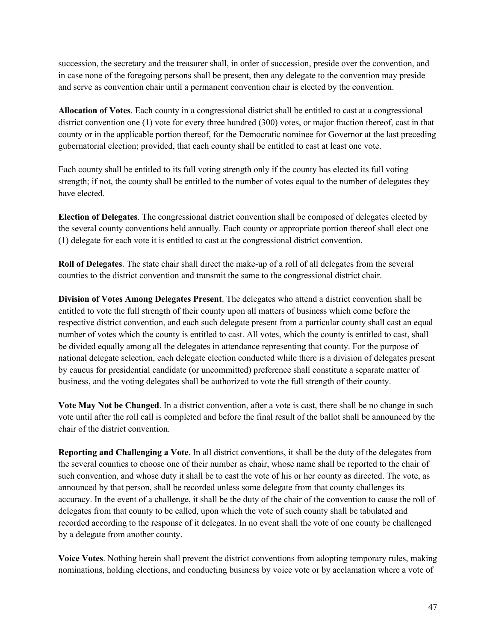succession, the secretary and the treasurer shall, in order of succession, preside over the convention, and in case none of the foregoing persons shall be present, then any delegate to the convention may preside and serve as convention chair until a permanent convention chair is elected by the convention.

**Allocation of Votes**. Each county in a congressional district shall be entitled to cast at a congressional district convention one (1) vote for every three hundred (300) votes, or major fraction thereof, cast in that county or in the applicable portion thereof, for the Democratic nominee for Governor at the last preceding gubernatorial election; provided, that each county shall be entitled to cast at least one vote.

Each county shall be entitled to its full voting strength only if the county has elected its full voting strength; if not, the county shall be entitled to the number of votes equal to the number of delegates they have elected.

**Election of Delegates**. The congressional district convention shall be composed of delegates elected by the several county conventions held annually. Each county or appropriate portion thereof shall elect one (1) delegate for each vote it is entitled to cast at the congressional district convention.

**Roll of Delegates**. The state chair shall direct the make-up of a roll of all delegates from the several counties to the district convention and transmit the same to the congressional district chair.

**Division of Votes Among Delegates Present**. The delegates who attend a district convention shall be entitled to vote the full strength of their county upon all matters of business which come before the respective district convention, and each such delegate present from a particular county shall cast an equal number of votes which the county is entitled to cast. All votes, which the county is entitled to cast, shall be divided equally among all the delegates in attendance representing that county. For the purpose of national delegate selection, each delegate election conducted while there is a division of delegates present by caucus for presidential candidate (or uncommitted) preference shall constitute a separate matter of business, and the voting delegates shall be authorized to vote the full strength of their county.

**Vote May Not be Changed**. In a district convention, after a vote is cast, there shall be no change in such vote until after the roll call is completed and before the final result of the ballot shall be announced by the chair of the district convention.

**Reporting and Challenging a Vote**. In all district conventions, it shall be the duty of the delegates from the several counties to choose one of their number as chair, whose name shall be reported to the chair of such convention, and whose duty it shall be to cast the vote of his or her county as directed. The vote, as announced by that person, shall be recorded unless some delegate from that county challenges its accuracy. In the event of a challenge, it shall be the duty of the chair of the convention to cause the roll of delegates from that county to be called, upon which the vote of such county shall be tabulated and recorded according to the response of it delegates. In no event shall the vote of one county be challenged by a delegate from another county.

**Voice Votes**. Nothing herein shall prevent the district conventions from adopting temporary rules, making nominations, holding elections, and conducting business by voice vote or by acclamation where a vote of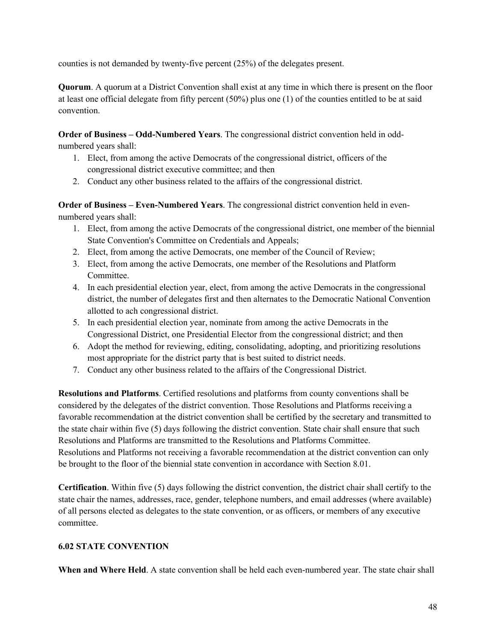counties is not demanded by twenty-five percent (25%) of the delegates present.

**Quorum**. A quorum at a District Convention shall exist at any time in which there is present on the floor at least one official delegate from fifty percent (50%) plus one (1) of the counties entitled to be at said convention.

**Order of Business – Odd-Numbered Years**. The congressional district convention held in oddnumbered years shall:

- 1. Elect, from among the active Democrats of the congressional district, officers of the congressional district executive committee; and then
- 2. Conduct any other business related to the affairs of the congressional district.

**Order of Business – Even-Numbered Years**. The congressional district convention held in evennumbered years shall:

- 1. Elect, from among the active Democrats of the congressional district, one member of the biennial State Convention's Committee on Credentials and Appeals;
- 2. Elect, from among the active Democrats, one member of the Council of Review;
- 3. Elect, from among the active Democrats, one member of the Resolutions and Platform Committee.
- 4. In each presidential election year, elect, from among the active Democrats in the congressional district, the number of delegates first and then alternates to the Democratic National Convention allotted to ach congressional district.
- 5. In each presidential election year, nominate from among the active Democrats in the Congressional District, one Presidential Elector from the congressional district; and then
- 6. Adopt the method for reviewing, editing, consolidating, adopting, and prioritizing resolutions most appropriate for the district party that is best suited to district needs.
- 7. Conduct any other business related to the affairs of the Congressional District.

**Resolutions and Platforms**. Certified resolutions and platforms from county conventions shall be considered by the delegates of the district convention. Those Resolutions and Platforms receiving a favorable recommendation at the district convention shall be certified by the secretary and transmitted to the state chair within five (5) days following the district convention. State chair shall ensure that such Resolutions and Platforms are transmitted to the Resolutions and Platforms Committee. Resolutions and Platforms not receiving a favorable recommendation at the district convention can only be brought to the floor of the biennial state convention in accordance with Section 8.01.

**Certification**. Within five (5) days following the district convention, the district chair shall certify to the state chair the names, addresses, race, gender, telephone numbers, and email addresses (where available) of all persons elected as delegates to the state convention, or as officers, or members of any executive committee.

# **6.02 STATE CONVENTION**

**When and Where Held**. A state convention shall be held each even-numbered year. The state chair shall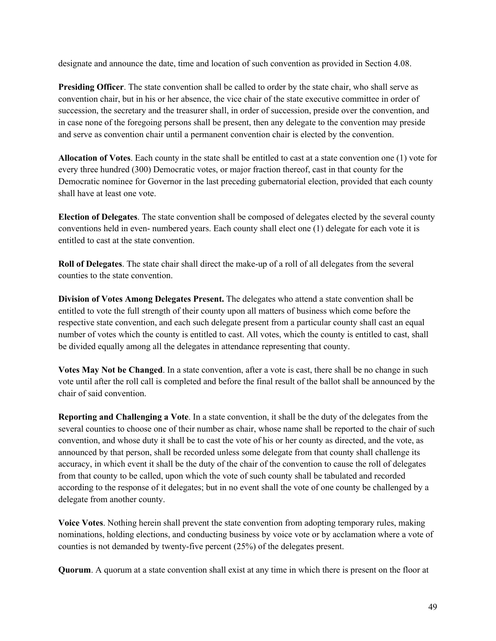designate and announce the date, time and location of such convention as provided in Section 4.08.

**Presiding Officer**. The state convention shall be called to order by the state chair, who shall serve as convention chair, but in his or her absence, the vice chair of the state executive committee in order of succession, the secretary and the treasurer shall, in order of succession, preside over the convention, and in case none of the foregoing persons shall be present, then any delegate to the convention may preside and serve as convention chair until a permanent convention chair is elected by the convention.

**Allocation of Votes**. Each county in the state shall be entitled to cast at a state convention one (1) vote for every three hundred (300) Democratic votes, or major fraction thereof, cast in that county for the Democratic nominee for Governor in the last preceding gubernatorial election, provided that each county shall have at least one vote.

**Election of Delegates**. The state convention shall be composed of delegates elected by the several county conventions held in even- numbered years. Each county shall elect one (1) delegate for each vote it is entitled to cast at the state convention.

**Roll of Delegates**. The state chair shall direct the make-up of a roll of all delegates from the several counties to the state convention.

**Division of Votes Among Delegates Present.** The delegates who attend a state convention shall be entitled to vote the full strength of their county upon all matters of business which come before the respective state convention, and each such delegate present from a particular county shall cast an equal number of votes which the county is entitled to cast. All votes, which the county is entitled to cast, shall be divided equally among all the delegates in attendance representing that county.

**Votes May Not be Changed**. In a state convention, after a vote is cast, there shall be no change in such vote until after the roll call is completed and before the final result of the ballot shall be announced by the chair of said convention.

**Reporting and Challenging a Vote**. In a state convention, it shall be the duty of the delegates from the several counties to choose one of their number as chair, whose name shall be reported to the chair of such convention, and whose duty it shall be to cast the vote of his or her county as directed, and the vote, as announced by that person, shall be recorded unless some delegate from that county shall challenge its accuracy, in which event it shall be the duty of the chair of the convention to cause the roll of delegates from that county to be called, upon which the vote of such county shall be tabulated and recorded according to the response of it delegates; but in no event shall the vote of one county be challenged by a delegate from another county.

**Voice Votes**. Nothing herein shall prevent the state convention from adopting temporary rules, making nominations, holding elections, and conducting business by voice vote or by acclamation where a vote of counties is not demanded by twenty-five percent (25%) of the delegates present.

**Quorum**. A quorum at a state convention shall exist at any time in which there is present on the floor at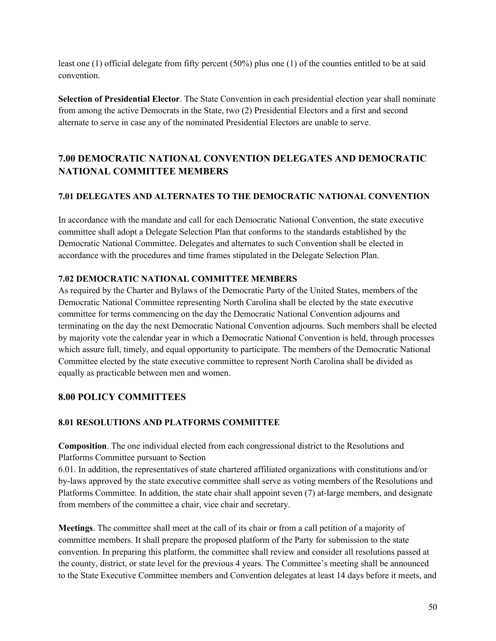least one (1) official delegate from fifty percent (50%) plus one (1) of the counties entitled to be at said convention.

**Selection of Presidential Elector**. The State Convention in each presidential election year shall nominate from among the active Democrats in the State, two (2) Presidential Electors and a first and second alternate to serve in case any of the nominated Presidential Electors are unable to serve.

# **7.00 DEMOCRATIC NATIONAL CONVENTION DELEGATES AND DEMOCRATIC NATIONAL COMMITTEE MEMBERS**

# **7.01 DELEGATES AND ALTERNATES TO THE DEMOCRATIC NATIONAL CONVENTION**

In accordance with the mandate and call for each Democratic National Convention, the state executive committee shall adopt a Delegate Selection Plan that conforms to the standards established by the Democratic National Committee. Delegates and alternates to such Convention shall be elected in accordance with the procedures and time frames stipulated in the Delegate Selection Plan.

# **7.02 DEMOCRATIC NATIONAL COMMITTEE MEMBERS**

As required by the Charter and Bylaws of the Democratic Party of the United States, members of the Democratic National Committee representing North Carolina shall be elected by the state executive committee for terms commencing on the day the Democratic National Convention adjourns and terminating on the day the next Democratic National Convention adjourns. Such members shall be elected by majority vote the calendar year in which a Democratic National Convention is held, through processes which assure full, timely, and equal opportunity to participate. The members of the Democratic National Committee elected by the state executive committee to represent North Carolina shall be divided as equally as practicable between men and women.

# **8.00 POLICY COMMITTEES**

# **8.01 RESOLUTIONS AND PLATFORMS COMMITTEE**

**Composition**. The one individual elected from each congressional district to the Resolutions and Platforms Committee pursuant to Section

6.01. In addition, the representatives of state chartered affiliated organizations with constitutions and/or by-laws approved by the state executive committee shall serve as voting members of the Resolutions and Platforms Committee. In addition, the state chair shall appoint seven (7) at-large members, and designate from members of the committee a chair, vice chair and secretary.

**Meetings**. The committee shall meet at the call of its chair or from a call petition of a majority of committee members. It shall prepare the proposed platform of the Party for submission to the state convention. In preparing this platform, the committee shall review and consider all resolutions passed at the county, district, or state level for the previous 4 years. The Committee's meeting shall be announced to the State Executive Committee members and Convention delegates at least 14 days before it meets, and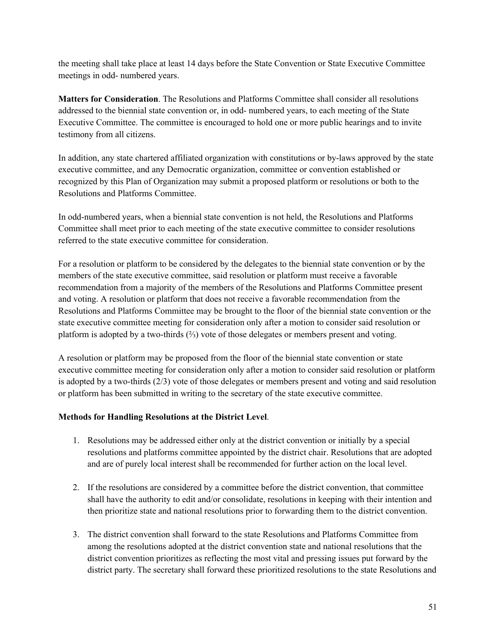the meeting shall take place at least 14 days before the State Convention or State Executive Committee meetings in odd- numbered years.

**Matters for Consideration**. The Resolutions and Platforms Committee shall consider all resolutions addressed to the biennial state convention or, in odd- numbered years, to each meeting of the State Executive Committee. The committee is encouraged to hold one or more public hearings and to invite testimony from all citizens.

In addition, any state chartered affiliated organization with constitutions or by-laws approved by the state executive committee, and any Democratic organization, committee or convention established or recognized by this Plan of Organization may submit a proposed platform or resolutions or both to the Resolutions and Platforms Committee.

In odd-numbered years, when a biennial state convention is not held, the Resolutions and Platforms Committee shall meet prior to each meeting of the state executive committee to consider resolutions referred to the state executive committee for consideration.

For a resolution or platform to be considered by the delegates to the biennial state convention or by the members of the state executive committee, said resolution or platform must receive a favorable recommendation from a majority of the members of the Resolutions and Platforms Committee present and voting. A resolution or platform that does not receive a favorable recommendation from the Resolutions and Platforms Committee may be brought to the floor of the biennial state convention or the state executive committee meeting for consideration only after a motion to consider said resolution or platform is adopted by a two-thirds (⅔) vote of those delegates or members present and voting.

A resolution or platform may be proposed from the floor of the biennial state convention or state executive committee meeting for consideration only after a motion to consider said resolution or platform is adopted by a two-thirds (2/3) vote of those delegates or members present and voting and said resolution or platform has been submitted in writing to the secretary of the state executive committee.

#### **Methods for Handling Resolutions at the District Level**.

- 1. Resolutions may be addressed either only at the district convention or initially by a special resolutions and platforms committee appointed by the district chair. Resolutions that are adopted and are of purely local interest shall be recommended for further action on the local level.
- 2. If the resolutions are considered by a committee before the district convention, that committee shall have the authority to edit and/or consolidate, resolutions in keeping with their intention and then prioritize state and national resolutions prior to forwarding them to the district convention.
- 3. The district convention shall forward to the state Resolutions and Platforms Committee from among the resolutions adopted at the district convention state and national resolutions that the district convention prioritizes as reflecting the most vital and pressing issues put forward by the district party. The secretary shall forward these prioritized resolutions to the state Resolutions and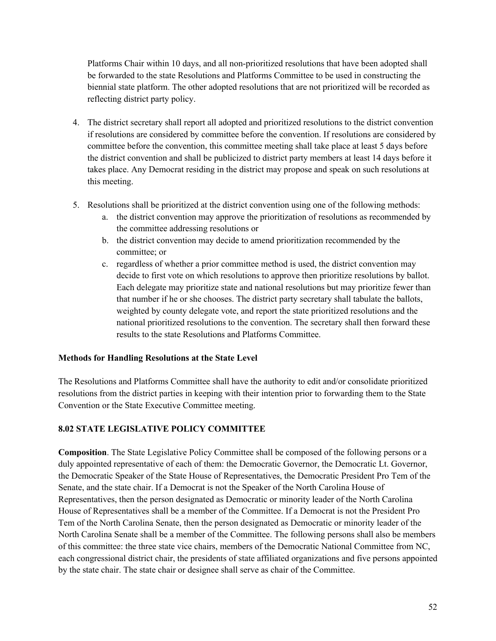Platforms Chair within 10 days, and all non-prioritized resolutions that have been adopted shall be forwarded to the state Resolutions and Platforms Committee to be used in constructing the biennial state platform. The other adopted resolutions that are not prioritized will be recorded as reflecting district party policy.

- 4. The district secretary shall report all adopted and prioritized resolutions to the district convention if resolutions are considered by committee before the convention. If resolutions are considered by committee before the convention, this committee meeting shall take place at least 5 days before the district convention and shall be publicized to district party members at least 14 days before it takes place. Any Democrat residing in the district may propose and speak on such resolutions at this meeting.
- 5. Resolutions shall be prioritized at the district convention using one of the following methods:
	- a. the district convention may approve the prioritization of resolutions as recommended by the committee addressing resolutions or
	- b. the district convention may decide to amend prioritization recommended by the committee; or
	- c. regardless of whether a prior committee method is used, the district convention may decide to first vote on which resolutions to approve then prioritize resolutions by ballot. Each delegate may prioritize state and national resolutions but may prioritize fewer than that number if he or she chooses. The district party secretary shall tabulate the ballots, weighted by county delegate vote, and report the state prioritized resolutions and the national prioritized resolutions to the convention. The secretary shall then forward these results to the state Resolutions and Platforms Committee.

# **Methods for Handling Resolutions at the State Level**

The Resolutions and Platforms Committee shall have the authority to edit and/or consolidate prioritized resolutions from the district parties in keeping with their intention prior to forwarding them to the State Convention or the State Executive Committee meeting.

# **8.02 STATE LEGISLATIVE POLICY COMMITTEE**

**Composition**. The State Legislative Policy Committee shall be composed of the following persons or a duly appointed representative of each of them: the Democratic Governor, the Democratic Lt. Governor, the Democratic Speaker of the State House of Representatives, the Democratic President Pro Tem of the Senate, and the state chair. If a Democrat is not the Speaker of the North Carolina House of Representatives, then the person designated as Democratic or minority leader of the North Carolina House of Representatives shall be a member of the Committee. If a Democrat is not the President Pro Tem of the North Carolina Senate, then the person designated as Democratic or minority leader of the North Carolina Senate shall be a member of the Committee. The following persons shall also be members of this committee: the three state vice chairs, members of the Democratic National Committee from NC, each congressional district chair, the presidents of state affiliated organizations and five persons appointed by the state chair. The state chair or designee shall serve as chair of the Committee.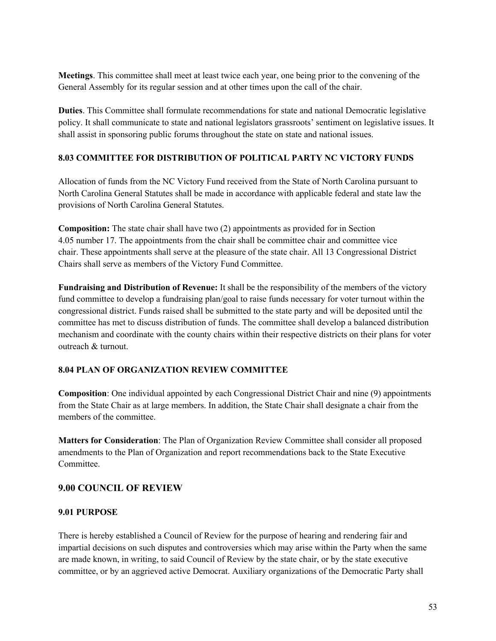**Meetings**. This committee shall meet at least twice each year, one being prior to the convening of the General Assembly for its regular session and at other times upon the call of the chair.

**Duties**. This Committee shall formulate recommendations for state and national Democratic legislative policy. It shall communicate to state and national legislators grassroots' sentiment on legislative issues. It shall assist in sponsoring public forums throughout the state on state and national issues.

# **8.03 COMMITTEE FOR DISTRIBUTION OF POLITICAL PARTY NC VICTORY FUNDS**

Allocation of funds from the NC Victory Fund received from the State of North Carolina pursuant to North Carolina General Statutes shall be made in accordance with applicable federal and state law the provisions of North Carolina General Statutes.

**Composition:** The state chair shall have two (2) appointments as provided for in Section 4.05 number 17. The appointments from the chair shall be committee chair and committee vice chair. These appointments shall serve at the pleasure of the state chair. All 13 Congressional District Chairs shall serve as members of the Victory Fund Committee.

**Fundraising and Distribution of Revenue:** It shall be the responsibility of the members of the victory fund committee to develop a fundraising plan/goal to raise funds necessary for voter turnout within the congressional district. Funds raised shall be submitted to the state party and will be deposited until the committee has met to discuss distribution of funds. The committee shall develop a balanced distribution mechanism and coordinate with the county chairs within their respective districts on their plans for voter outreach & turnout.

# **8.04 PLAN OF ORGANIZATION REVIEW COMMITTEE**

**Composition**: One individual appointed by each Congressional District Chair and nine (9) appointments from the State Chair as at large members. In addition, the State Chair shall designate a chair from the members of the committee.

**Matters for Consideration**: The Plan of Organization Review Committee shall consider all proposed amendments to the Plan of Organization and report recommendations back to the State Executive Committee.

# **9.00 COUNCIL OF REVIEW**

# **9.01 PURPOSE**

There is hereby established a Council of Review for the purpose of hearing and rendering fair and impartial decisions on such disputes and controversies which may arise within the Party when the same are made known, in writing, to said Council of Review by the state chair, or by the state executive committee, or by an aggrieved active Democrat. Auxiliary organizations of the Democratic Party shall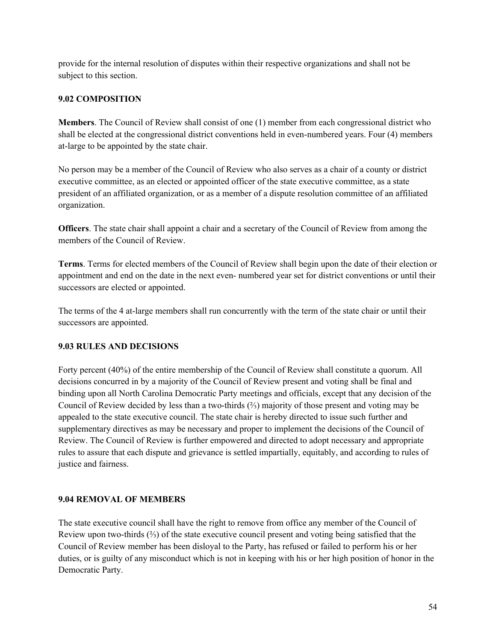provide for the internal resolution of disputes within their respective organizations and shall not be subject to this section.

#### **9.02 COMPOSITION**

**Members**. The Council of Review shall consist of one (1) member from each congressional district who shall be elected at the congressional district conventions held in even-numbered years. Four (4) members at-large to be appointed by the state chair.

No person may be a member of the Council of Review who also serves as a chair of a county or district executive committee, as an elected or appointed officer of the state executive committee, as a state president of an affiliated organization, or as a member of a dispute resolution committee of an affiliated organization.

**Officers**. The state chair shall appoint a chair and a secretary of the Council of Review from among the members of the Council of Review.

**Terms**. Terms for elected members of the Council of Review shall begin upon the date of their election or appointment and end on the date in the next even- numbered year set for district conventions or until their successors are elected or appointed.

The terms of the 4 at-large members shall run concurrently with the term of the state chair or until their successors are appointed.

#### **9.03 RULES AND DECISIONS**

Forty percent (40%) of the entire membership of the Council of Review shall constitute a quorum. All decisions concurred in by a majority of the Council of Review present and voting shall be final and binding upon all North Carolina Democratic Party meetings and officials, except that any decision of the Council of Review decided by less than a two-thirds (⅔) majority of those present and voting may be appealed to the state executive council. The state chair is hereby directed to issue such further and supplementary directives as may be necessary and proper to implement the decisions of the Council of Review. The Council of Review is further empowered and directed to adopt necessary and appropriate rules to assure that each dispute and grievance is settled impartially, equitably, and according to rules of justice and fairness.

#### **9.04 REMOVAL OF MEMBERS**

The state executive council shall have the right to remove from office any member of the Council of Review upon two-thirds (⅔) of the state executive council present and voting being satisfied that the Council of Review member has been disloyal to the Party, has refused or failed to perform his or her duties, or is guilty of any misconduct which is not in keeping with his or her high position of honor in the Democratic Party.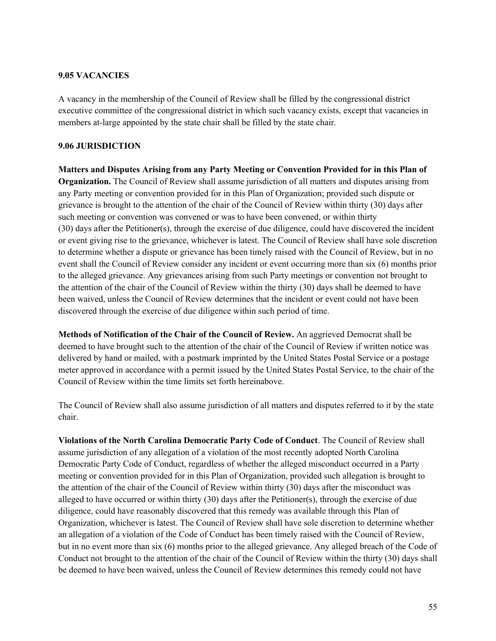#### **9.05 VACANCIES**

A vacancy in the membership of the Council of Review shall be filled by the congressional district executive committee of the congressional district in which such vacancy exists, except that vacancies in members at-large appointed by the state chair shall be filled by the state chair.

#### **9.06 JURISDICTION**

**Matters and Disputes Arising from any Party Meeting or Convention Provided for in this Plan of Organization.** The Council of Review shall assume jurisdiction of all matters and disputes arising from any Party meeting or convention provided for in this Plan of Organization; provided such dispute or grievance is brought to the attention of the chair of the Council of Review within thirty (30) days after such meeting or convention was convened or was to have been convened, or within thirty (30) days after the Petitioner(s), through the exercise of due diligence, could have discovered the incident or event giving rise to the grievance, whichever is latest. The Council of Review shall have sole discretion to determine whether a dispute or grievance has been timely raised with the Council of Review, but in no event shall the Council of Review consider any incident or event occurring more than six (6) months prior to the alleged grievance. Any grievances arising from such Party meetings or convention not brought to the attention of the chair of the Council of Review within the thirty (30) days shall be deemed to have been waived, unless the Council of Review determines that the incident or event could not have been discovered through the exercise of due diligence within such period of time.

**Methods of Notification of the Chair of the Council of Review.** An aggrieved Democrat shall be deemed to have brought such to the attention of the chair of the Council of Review if written notice was delivered by hand or mailed, with a postmark imprinted by the United States Postal Service or a postage meter approved in accordance with a permit issued by the United States Postal Service, to the chair of the Council of Review within the time limits set forth hereinabove.

The Council of Review shall also assume jurisdiction of all matters and disputes referred to it by the state chair.

**Violations of the North Carolina Democratic Party Code of Conduct**. The Council of Review shall assume jurisdiction of any allegation of a violation of the most recently adopted North Carolina Democratic Party Code of Conduct, regardless of whether the alleged misconduct occurred in a Party meeting or convention provided for in this Plan of Organization, provided such allegation is brought to the attention of the chair of the Council of Review within thirty (30) days after the misconduct was alleged to have occurred or within thirty (30) days after the Petitioner(s), through the exercise of due diligence, could have reasonably discovered that this remedy was available through this Plan of Organization, whichever is latest. The Council of Review shall have sole discretion to determine whether an allegation of a violation of the Code of Conduct has been timely raised with the Council of Review, but in no event more than six (6) months prior to the alleged grievance. Any alleged breach of the Code of Conduct not brought to the attention of the chair of the Council of Review within the thirty (30) days shall be deemed to have been waived, unless the Council of Review determines this remedy could not have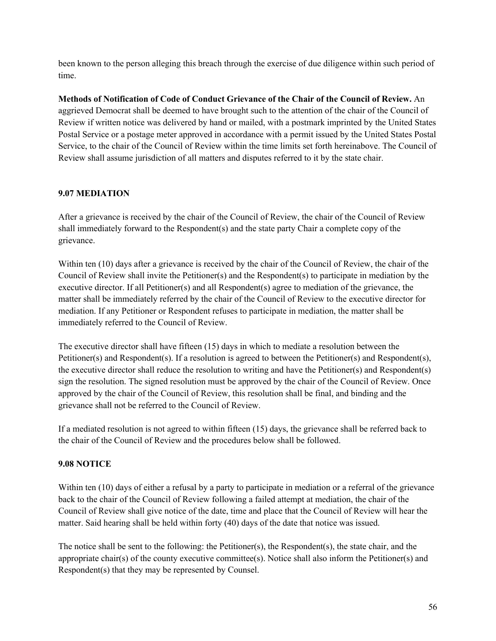been known to the person alleging this breach through the exercise of due diligence within such period of time.

**Methods of Notification of Code of Conduct Grievance of the Chair of the Council of Review.** An aggrieved Democrat shall be deemed to have brought such to the attention of the chair of the Council of Review if written notice was delivered by hand or mailed, with a postmark imprinted by the United States Postal Service or a postage meter approved in accordance with a permit issued by the United States Postal Service, to the chair of the Council of Review within the time limits set forth hereinabove. The Council of Review shall assume jurisdiction of all matters and disputes referred to it by the state chair.

# **9.07 MEDIATION**

After a grievance is received by the chair of the Council of Review, the chair of the Council of Review shall immediately forward to the Respondent(s) and the state party Chair a complete copy of the grievance.

Within ten (10) days after a grievance is received by the chair of the Council of Review, the chair of the Council of Review shall invite the Petitioner(s) and the Respondent(s) to participate in mediation by the executive director. If all Petitioner(s) and all Respondent(s) agree to mediation of the grievance, the matter shall be immediately referred by the chair of the Council of Review to the executive director for mediation. If any Petitioner or Respondent refuses to participate in mediation, the matter shall be immediately referred to the Council of Review.

The executive director shall have fifteen (15) days in which to mediate a resolution between the Petitioner(s) and Respondent(s). If a resolution is agreed to between the Petitioner(s) and Respondent(s), the executive director shall reduce the resolution to writing and have the Petitioner(s) and Respondent(s) sign the resolution. The signed resolution must be approved by the chair of the Council of Review. Once approved by the chair of the Council of Review, this resolution shall be final, and binding and the grievance shall not be referred to the Council of Review.

If a mediated resolution is not agreed to within fifteen (15) days, the grievance shall be referred back to the chair of the Council of Review and the procedures below shall be followed.

# **9.08 NOTICE**

Within ten (10) days of either a refusal by a party to participate in mediation or a referral of the grievance back to the chair of the Council of Review following a failed attempt at mediation, the chair of the Council of Review shall give notice of the date, time and place that the Council of Review will hear the matter. Said hearing shall be held within forty (40) days of the date that notice was issued.

The notice shall be sent to the following: the Petitioner(s), the Respondent(s), the state chair, and the appropriate chair(s) of the county executive committee(s). Notice shall also inform the Petitioner(s) and Respondent(s) that they may be represented by Counsel.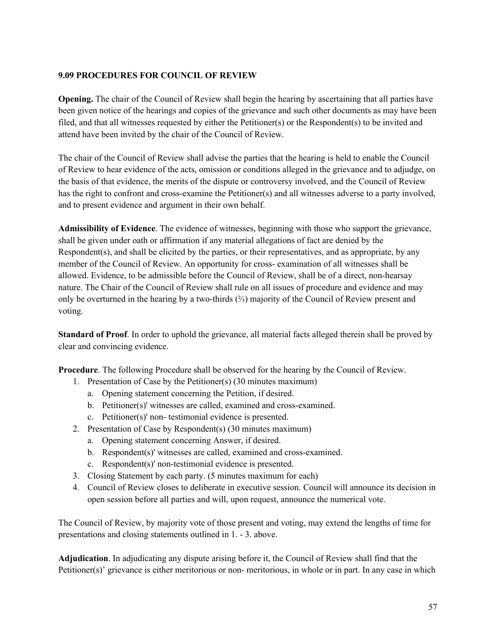#### **9.09 PROCEDURES FOR COUNCIL OF REVIEW**

**Opening.** The chair of the Council of Review shall begin the hearing by ascertaining that all parties have been given notice of the hearings and copies of the grievance and such other documents as may have been filed, and that all witnesses requested by either the Petitioner(s) or the Respondent(s) to be invited and attend have been invited by the chair of the Council of Review.

The chair of the Council of Review shall advise the parties that the hearing is held to enable the Council of Review to hear evidence of the acts, omission or conditions alleged in the grievance and to adjudge, on the basis of that evidence, the merits of the dispute or controversy involved, and the Council of Review has the right to confront and cross-examine the Petitioner(s) and all witnesses adverse to a party involved, and to present evidence and argument in their own behalf.

**Admissibility of Evidence**. The evidence of witnesses, beginning with those who support the grievance, shall be given under oath or affirmation if any material allegations of fact are denied by the Respondent(s), and shall be elicited by the parties, or their representatives, and as appropriate, by any member of the Council of Review. An opportunity for cross- examination of all witnesses shall be allowed. Evidence, to be admissible before the Council of Review, shall be of a direct, non-hearsay nature. The Chair of the Council of Review shall rule on all issues of procedure and evidence and may only be overturned in the hearing by a two-thirds (⅔) majority of the Council of Review present and voting.

**Standard of Proof**. In order to uphold the grievance, all material facts alleged therein shall be proved by clear and convincing evidence.

**Procedure**. The following Procedure shall be observed for the hearing by the Council of Review.

- 1. Presentation of Case by the Petitioner(s) (30 minutes maximum)
	- a. Opening statement concerning the Petition, if desired.
	- b. Petitioner(s)' witnesses are called, examined and cross-examined.
	- c. Petitioner(s)' non- testimonial evidence is presented.
- 2. Presentation of Case by Respondent(s) (30 minutes maximum)
	- a. Opening statement concerning Answer, if desired.
	- b. Respondent(s)' witnesses are called, examined and cross-examined.
	- c. Respondent(s)' non-testimonial evidence is presented.
- 3. Closing Statement by each party. (5 minutes maximum for each)
- 4. Council of Review closes to deliberate in executive session. Council will announce its decision in open session before all parties and will, upon request, announce the numerical vote.

The Council of Review, by majority vote of those present and voting, may extend the lengths of time for presentations and closing statements outlined in 1. - 3. above.

**Adjudication**. In adjudicating any dispute arising before it, the Council of Review shall find that the Petitioner(s)' grievance is either meritorious or non- meritorious, in whole or in part. In any case in which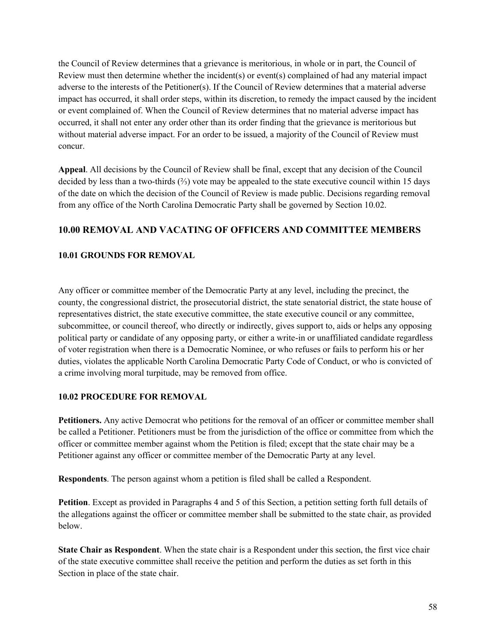the Council of Review determines that a grievance is meritorious, in whole or in part, the Council of Review must then determine whether the incident(s) or event(s) complained of had any material impact adverse to the interests of the Petitioner(s). If the Council of Review determines that a material adverse impact has occurred, it shall order steps, within its discretion, to remedy the impact caused by the incident or event complained of. When the Council of Review determines that no material adverse impact has occurred, it shall not enter any order other than its order finding that the grievance is meritorious but without material adverse impact. For an order to be issued, a majority of the Council of Review must concur.

**Appeal**. All decisions by the Council of Review shall be final, except that any decision of the Council decided by less than a two-thirds (⅔) vote may be appealed to the state executive council within 15 days of the date on which the decision of the Council of Review is made public. Decisions regarding removal from any office of the North Carolina Democratic Party shall be governed by Section 10.02.

# **10.00 REMOVAL AND VACATING OF OFFICERS AND COMMITTEE MEMBERS**

#### **10.01 GROUNDS FOR REMOVAL**

Any officer or committee member of the Democratic Party at any level, including the precinct, the county, the congressional district, the prosecutorial district, the state senatorial district, the state house of representatives district, the state executive committee, the state executive council or any committee, subcommittee, or council thereof, who directly or indirectly, gives support to, aids or helps any opposing political party or candidate of any opposing party, or either a write-in or unaffiliated candidate regardless of voter registration when there is a Democratic Nominee, or who refuses or fails to perform his or her duties, violates the applicable North Carolina Democratic Party Code of Conduct, or who is convicted of a crime involving moral turpitude, may be removed from office.

#### **10.02 PROCEDURE FOR REMOVAL**

**Petitioners.** Any active Democrat who petitions for the removal of an officer or committee member shall be called a Petitioner. Petitioners must be from the jurisdiction of the office or committee from which the officer or committee member against whom the Petition is filed; except that the state chair may be a Petitioner against any officer or committee member of the Democratic Party at any level.

**Respondents**. The person against whom a petition is filed shall be called a Respondent.

**Petition**. Except as provided in Paragraphs 4 and 5 of this Section, a petition setting forth full details of the allegations against the officer or committee member shall be submitted to the state chair, as provided below.

**State Chair as Respondent**. When the state chair is a Respondent under this section, the first vice chair of the state executive committee shall receive the petition and perform the duties as set forth in this Section in place of the state chair.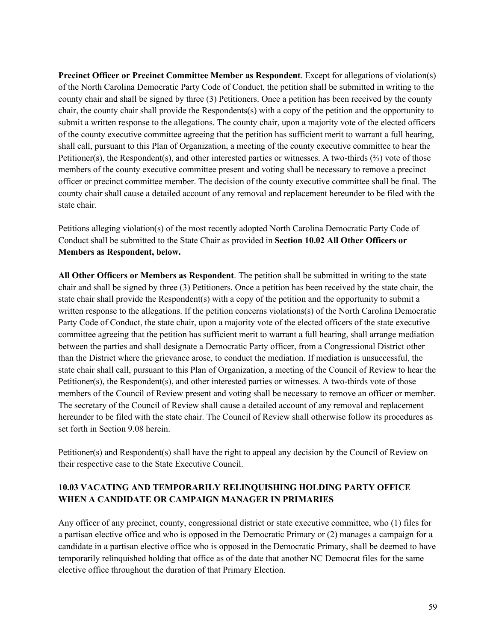**Precinct Officer or Precinct Committee Member as Respondent**. Except for allegations of violation(s) of the North Carolina Democratic Party Code of Conduct, the petition shall be submitted in writing to the county chair and shall be signed by three (3) Petitioners. Once a petition has been received by the county chair, the county chair shall provide the Respondents(s) with a copy of the petition and the opportunity to submit a written response to the allegations. The county chair, upon a majority vote of the elected officers of the county executive committee agreeing that the petition has sufficient merit to warrant a full hearing, shall call, pursuant to this Plan of Organization, a meeting of the county executive committee to hear the Petitioner(s), the Respondent(s), and other interested parties or witnesses. A two-thirds (⅔) vote of those members of the county executive committee present and voting shall be necessary to remove a precinct officer or precinct committee member. The decision of the county executive committee shall be final. The county chair shall cause a detailed account of any removal and replacement hereunder to be filed with the state chair.

Petitions alleging violation(s) of the most recently adopted North Carolina Democratic Party Code of Conduct shall be submitted to the State Chair as provided in **Section 10.02 All Other Officers or Members as Respondent, below.**

**All Other Officers or Members as Respondent**. The petition shall be submitted in writing to the state chair and shall be signed by three (3) Petitioners. Once a petition has been received by the state chair, the state chair shall provide the Respondent(s) with a copy of the petition and the opportunity to submit a written response to the allegations. If the petition concerns violations(s) of the North Carolina Democratic Party Code of Conduct, the state chair, upon a majority vote of the elected officers of the state executive committee agreeing that the petition has sufficient merit to warrant a full hearing, shall arrange mediation between the parties and shall designate a Democratic Party officer, from a Congressional District other than the District where the grievance arose, to conduct the mediation. If mediation is unsuccessful, the state chair shall call, pursuant to this Plan of Organization, a meeting of the Council of Review to hear the Petitioner(s), the Respondent(s), and other interested parties or witnesses. A two-thirds vote of those members of the Council of Review present and voting shall be necessary to remove an officer or member. The secretary of the Council of Review shall cause a detailed account of any removal and replacement hereunder to be filed with the state chair. The Council of Review shall otherwise follow its procedures as set forth in Section 9.08 herein.

Petitioner(s) and Respondent(s) shall have the right to appeal any decision by the Council of Review on their respective case to the State Executive Council.

# **10.03 VACATING AND TEMPORARILY RELINQUISHING HOLDING PARTY OFFICE WHEN A CANDIDATE OR CAMPAIGN MANAGER IN PRIMARIES**

Any officer of any precinct, county, congressional district or state executive committee, who (1) files for a partisan elective office and who is opposed in the Democratic Primary or (2) manages a campaign for a candidate in a partisan elective office who is opposed in the Democratic Primary, shall be deemed to have temporarily relinquished holding that office as of the date that another NC Democrat files for the same elective office throughout the duration of that Primary Election.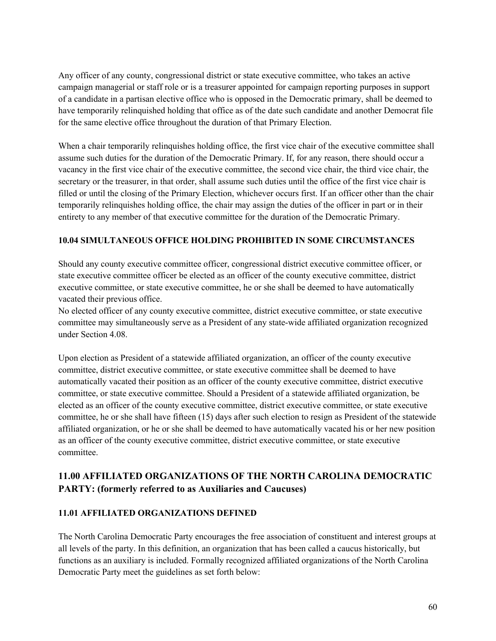Any officer of any county, congressional district or state executive committee, who takes an active campaign managerial or staff role or is a treasurer appointed for campaign reporting purposes in support of a candidate in a partisan elective office who is opposed in the Democratic primary, shall be deemed to have temporarily relinquished holding that office as of the date such candidate and another Democrat file for the same elective office throughout the duration of that Primary Election.

When a chair temporarily relinquishes holding office, the first vice chair of the executive committee shall assume such duties for the duration of the Democratic Primary. If, for any reason, there should occur a vacancy in the first vice chair of the executive committee, the second vice chair, the third vice chair, the secretary or the treasurer, in that order, shall assume such duties until the office of the first vice chair is filled or until the closing of the Primary Election, whichever occurs first. If an officer other than the chair temporarily relinquishes holding office, the chair may assign the duties of the officer in part or in their entirety to any member of that executive committee for the duration of the Democratic Primary.

# **10.04 SIMULTANEOUS OFFICE HOLDING PROHIBITED IN SOME CIRCUMSTANCES**

Should any county executive committee officer, congressional district executive committee officer, or state executive committee officer be elected as an officer of the county executive committee, district executive committee, or state executive committee, he or she shall be deemed to have automatically vacated their previous office.

No elected officer of any county executive committee, district executive committee, or state executive committee may simultaneously serve as a President of any state-wide affiliated organization recognized under Section 4.08.

Upon election as President of a statewide affiliated organization, an officer of the county executive committee, district executive committee, or state executive committee shall be deemed to have automatically vacated their position as an officer of the county executive committee, district executive committee, or state executive committee. Should a President of a statewide affiliated organization, be elected as an officer of the county executive committee, district executive committee, or state executive committee, he or she shall have fifteen (15) days after such election to resign as President of the statewide affiliated organization, or he or she shall be deemed to have automatically vacated his or her new position as an officer of the county executive committee, district executive committee, or state executive committee.

# **11.00 AFFILIATED ORGANIZATIONS OF THE NORTH CAROLINA DEMOCRATIC PARTY: (formerly referred to as Auxiliaries and Caucuses)**

# **11.01 AFFILIATED ORGANIZATIONS DEFINED**

The North Carolina Democratic Party encourages the free association of constituent and interest groups at all levels of the party. In this definition, an organization that has been called a caucus historically, but functions as an auxiliary is included. Formally recognized affiliated organizations of the North Carolina Democratic Party meet the guidelines as set forth below: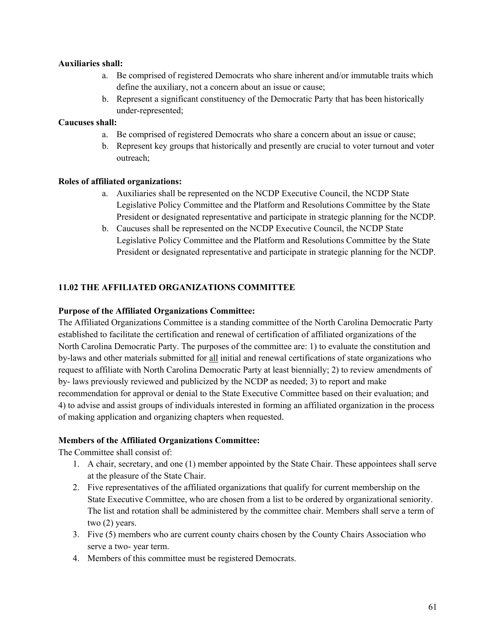#### **Auxiliaries shall:**

- a. Be comprised of registered Democrats who share inherent and/or immutable traits which define the auxiliary, not a concern about an issue or cause;
- b. Represent a significant constituency of the Democratic Party that has been historically under-represented;

#### **Caucuses shall:**

- a. Be comprised of registered Democrats who share a concern about an issue or cause;
- b. Represent key groups that historically and presently are crucial to voter turnout and voter outreach;

#### **Roles of affiliated organizations:**

- a. Auxiliaries shall be represented on the NCDP Executive Council, the NCDP State Legislative Policy Committee and the Platform and Resolutions Committee by the State President or designated representative and participate in strategic planning for the NCDP.
- b. Caucuses shall be represented on the NCDP Executive Council, the NCDP State Legislative Policy Committee and the Platform and Resolutions Committee by the State President or designated representative and participate in strategic planning for the NCDP.

# **11.02 THE AFFILIATED ORGANIZATIONS COMMITTEE**

#### **Purpose of the Affiliated Organizations Committee:**

The Affiliated Organizations Committee is a standing committee of the North Carolina Democratic Party established to facilitate the certification and renewal of certification of affiliated organizations of the North Carolina Democratic Party. The purposes of the committee are: 1) to evaluate the constitution and by-laws and other materials submitted for all initial and renewal certifications of state organizations who request to affiliate with North Carolina Democratic Party at least biennially; 2) to review amendments of by- laws previously reviewed and publicized by the NCDP as needed; 3) to report and make recommendation for approval or denial to the State Executive Committee based on their evaluation; and 4) to advise and assist groups of individuals interested in forming an affiliated organization in the process of making application and organizing chapters when requested.

#### **Members of the Affiliated Organizations Committee:**

The Committee shall consist of:

- 1. A chair, secretary, and one (1) member appointed by the State Chair. These appointees shall serve at the pleasure of the State Chair.
- 2. Five representatives of the affiliated organizations that qualify for current membership on the State Executive Committee, who are chosen from a list to be ordered by organizational seniority. The list and rotation shall be administered by the committee chair. Members shall serve a term of two (2) years.
- 3. Five (5) members who are current county chairs chosen by the County Chairs Association who serve a two- year term.
- 4. Members of this committee must be registered Democrats.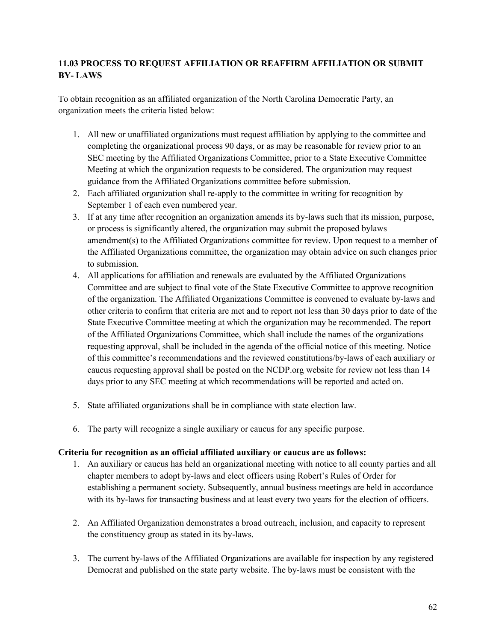# **11.03 PROCESS TO REQUEST AFFILIATION OR REAFFIRM AFFILIATION OR SUBMIT BY- LAWS**

To obtain recognition as an affiliated organization of the North Carolina Democratic Party, an organization meets the criteria listed below:

- 1. All new or unaffiliated organizations must request affiliation by applying to the committee and completing the organizational process 90 days, or as may be reasonable for review prior to an SEC meeting by the Affiliated Organizations Committee, prior to a State Executive Committee Meeting at which the organization requests to be considered. The organization may request guidance from the Affiliated Organizations committee before submission.
- 2. Each affiliated organization shall re-apply to the committee in writing for recognition by September 1 of each even numbered year.
- 3. If at any time after recognition an organization amends its by-laws such that its mission, purpose, or process is significantly altered, the organization may submit the proposed bylaws amendment(s) to the Affiliated Organizations committee for review. Upon request to a member of the Affiliated Organizations committee, the organization may obtain advice on such changes prior to submission.
- 4. All applications for affiliation and renewals are evaluated by the Affiliated Organizations Committee and are subject to final vote of the State Executive Committee to approve recognition of the organization. The Affiliated Organizations Committee is convened to evaluate by-laws and other criteria to confirm that criteria are met and to report not less than 30 days prior to date of the State Executive Committee meeting at which the organization may be recommended. The report of the Affiliated Organizations Committee, which shall include the names of the organizations requesting approval, shall be included in the agenda of the official notice of this meeting. Notice of this committee's recommendations and the reviewed constitutions/by-laws of each auxiliary or caucus requesting approval shall be posted on the NCDP.org website for review not less than 14 days prior to any SEC meeting at which recommendations will be reported and acted on.
- 5. State affiliated organizations shall be in compliance with state election law.
- 6. The party will recognize a single auxiliary or caucus for any specific purpose.

#### **Criteria for recognition as an official affiliated auxiliary or caucus are as follows:**

- 1. An auxiliary or caucus has held an organizational meeting with notice to all county parties and all chapter members to adopt by-laws and elect officers using Robert's Rules of Order for establishing a permanent society. Subsequently, annual business meetings are held in accordance with its by-laws for transacting business and at least every two years for the election of officers.
- 2. An Affiliated Organization demonstrates a broad outreach, inclusion, and capacity to represent the constituency group as stated in its by-laws.
- 3. The current by-laws of the Affiliated Organizations are available for inspection by any registered Democrat and published on the state party website. The by-laws must be consistent with the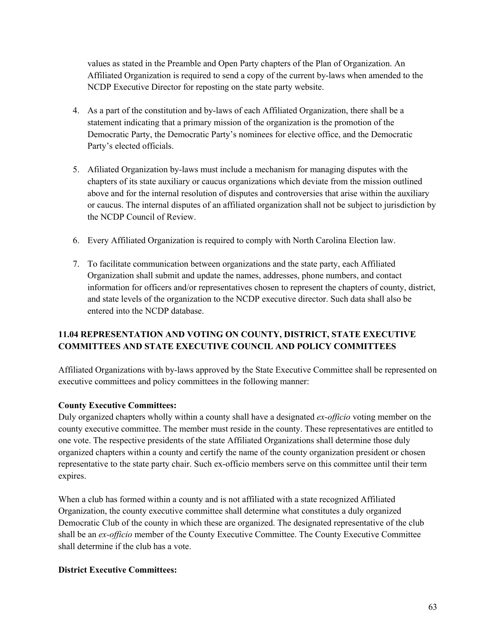values as stated in the Preamble and Open Party chapters of the Plan of Organization. An Affiliated Organization is required to send a copy of the current by-laws when amended to the NCDP Executive Director for reposting on the state party website.

- 4. As a part of the constitution and by-laws of each Affiliated Organization, there shall be a statement indicating that a primary mission of the organization is the promotion of the Democratic Party, the Democratic Party's nominees for elective office, and the Democratic Party's elected officials.
- 5. Afiliated Organization by-laws must include a mechanism for managing disputes with the chapters of its state auxiliary or caucus organizations which deviate from the mission outlined above and for the internal resolution of disputes and controversies that arise within the auxiliary or caucus. The internal disputes of an affiliated organization shall not be subject to jurisdiction by the NCDP Council of Review.
- 6. Every Affiliated Organization is required to comply with North Carolina Election law.
- 7. To facilitate communication between organizations and the state party, each Affiliated Organization shall submit and update the names, addresses, phone numbers, and contact information for officers and/or representatives chosen to represent the chapters of county, district, and state levels of the organization to the NCDP executive director. Such data shall also be entered into the NCDP database.

# **11.04 REPRESENTATION AND VOTING ON COUNTY, DISTRICT, STATE EXECUTIVE COMMITTEES AND STATE EXECUTIVE COUNCIL AND POLICY COMMITTEES**

Affiliated Organizations with by-laws approved by the State Executive Committee shall be represented on executive committees and policy committees in the following manner:

# **County Executive Committees:**

Duly organized chapters wholly within a county shall have a designated *ex-officio* voting member on the county executive committee. The member must reside in the county. These representatives are entitled to one vote. The respective presidents of the state Affiliated Organizations shall determine those duly organized chapters within a county and certify the name of the county organization president or chosen representative to the state party chair. Such ex-officio members serve on this committee until their term expires.

When a club has formed within a county and is not affiliated with a state recognized Affiliated Organization, the county executive committee shall determine what constitutes a duly organized Democratic Club of the county in which these are organized. The designated representative of the club shall be an *ex-officio* member of the County Executive Committee. The County Executive Committee shall determine if the club has a vote.

# **District Executive Committees:**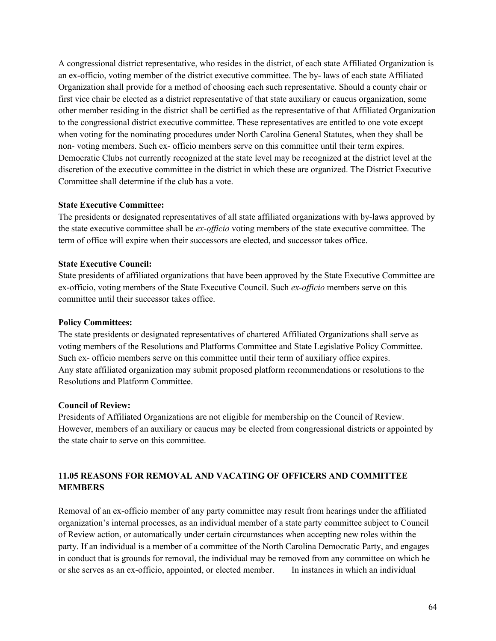A congressional district representative, who resides in the district, of each state Affiliated Organization is an ex-officio, voting member of the district executive committee. The by- laws of each state Affiliated Organization shall provide for a method of choosing each such representative. Should a county chair or first vice chair be elected as a district representative of that state auxiliary or caucus organization, some other member residing in the district shall be certified as the representative of that Affiliated Organization to the congressional district executive committee. These representatives are entitled to one vote except when voting for the nominating procedures under North Carolina General Statutes, when they shall be non- voting members. Such ex- officio members serve on this committee until their term expires. Democratic Clubs not currently recognized at the state level may be recognized at the district level at the discretion of the executive committee in the district in which these are organized. The District Executive Committee shall determine if the club has a vote.

#### **State Executive Committee:**

The presidents or designated representatives of all state affiliated organizations with by-laws approved by the state executive committee shall be *ex-officio* voting members of the state executive committee. The term of office will expire when their successors are elected, and successor takes office.

#### **State Executive Council:**

State presidents of affiliated organizations that have been approved by the State Executive Committee are ex-officio, voting members of the State Executive Council. Such *ex-officio* members serve on this committee until their successor takes office.

#### **Policy Committees:**

The state presidents or designated representatives of chartered Affiliated Organizations shall serve as voting members of the Resolutions and Platforms Committee and State Legislative Policy Committee. Such ex- officio members serve on this committee until their term of auxiliary office expires. Any state affiliated organization may submit proposed platform recommendations or resolutions to the Resolutions and Platform Committee.

#### **Council of Review:**

Presidents of Affiliated Organizations are not eligible for membership on the Council of Review. However, members of an auxiliary or caucus may be elected from congressional districts or appointed by the state chair to serve on this committee.

# **11.05 REASONS FOR REMOVAL AND VACATING OF OFFICERS AND COMMITTEE MEMBERS**

Removal of an ex-officio member of any party committee may result from hearings under the affiliated organization's internal processes, as an individual member of a state party committee subject to Council of Review action, or automatically under certain circumstances when accepting new roles within the party. If an individual is a member of a committee of the North Carolina Democratic Party, and engages in conduct that is grounds for removal, the individual may be removed from any committee on which he or she serves as an ex-officio, appointed, or elected member. In instances in which an individual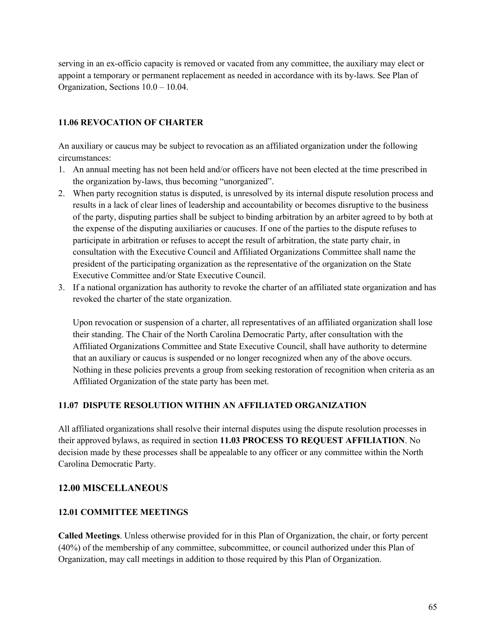serving in an ex-officio capacity is removed or vacated from any committee, the auxiliary may elect or appoint a temporary or permanent replacement as needed in accordance with its by-laws. See Plan of Organization, Sections 10.0 – 10.04.

# **11.06 REVOCATION OF CHARTER**

An auxiliary or caucus may be subject to revocation as an affiliated organization under the following circumstances:

- 1. An annual meeting has not been held and/or officers have not been elected at the time prescribed in the organization by-laws, thus becoming "unorganized".
- 2. When party recognition status is disputed, is unresolved by its internal dispute resolution process and results in a lack of clear lines of leadership and accountability or becomes disruptive to the business of the party, disputing parties shall be subject to binding arbitration by an arbiter agreed to by both at the expense of the disputing auxiliaries or caucuses. If one of the parties to the dispute refuses to participate in arbitration or refuses to accept the result of arbitration, the state party chair, in consultation with the Executive Council and Affiliated Organizations Committee shall name the president of the participating organization as the representative of the organization on the State Executive Committee and/or State Executive Council.
- 3. If a national organization has authority to revoke the charter of an affiliated state organization and has revoked the charter of the state organization.

Upon revocation or suspension of a charter, all representatives of an affiliated organization shall lose their standing. The Chair of the North Carolina Democratic Party, after consultation with the Affiliated Organizations Committee and State Executive Council, shall have authority to determine that an auxiliary or caucus is suspended or no longer recognized when any of the above occurs. Nothing in these policies prevents a group from seeking restoration of recognition when criteria as an Affiliated Organization of the state party has been met.

# **11.07 DISPUTE RESOLUTION WITHIN AN AFFILIATED ORGANIZATION**

All affiliated organizations shall resolve their internal disputes using the dispute resolution processes in their approved bylaws, as required in section **11.03 PROCESS TO REQUEST AFFILIATION**. No decision made by these processes shall be appealable to any officer or any committee within the North Carolina Democratic Party.

# **12.00 MISCELLANEOUS**

# **12.01 COMMITTEE MEETINGS**

**Called Meetings**. Unless otherwise provided for in this Plan of Organization, the chair, or forty percent (40%) of the membership of any committee, subcommittee, or council authorized under this Plan of Organization, may call meetings in addition to those required by this Plan of Organization.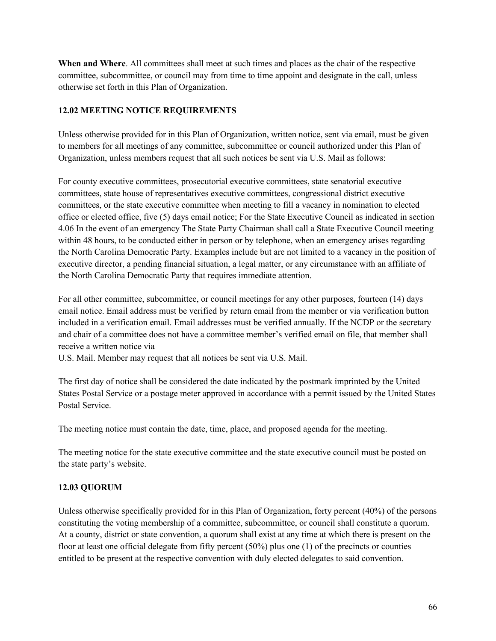**When and Where**. All committees shall meet at such times and places as the chair of the respective committee, subcommittee, or council may from time to time appoint and designate in the call, unless otherwise set forth in this Plan of Organization.

# **12.02 MEETING NOTICE REQUIREMENTS**

Unless otherwise provided for in this Plan of Organization, written notice, sent via email, must be given to members for all meetings of any committee, subcommittee or council authorized under this Plan of Organization, unless members request that all such notices be sent via U.S. Mail as follows:

For county executive committees, prosecutorial executive committees, state senatorial executive committees, state house of representatives executive committees, congressional district executive committees, or the state executive committee when meeting to fill a vacancy in nomination to elected office or elected office, five (5) days email notice; For the State Executive Council as indicated in section 4.06 In the event of an emergency The State Party Chairman shall call a State Executive Council meeting within 48 hours, to be conducted either in person or by telephone, when an emergency arises regarding the North Carolina Democratic Party. Examples include but are not limited to a vacancy in the position of executive director, a pending financial situation, a legal matter, or any circumstance with an affiliate of the North Carolina Democratic Party that requires immediate attention.

For all other committee, subcommittee, or council meetings for any other purposes, fourteen (14) days email notice. Email address must be verified by return email from the member or via verification button included in a verification email. Email addresses must be verified annually. If the NCDP or the secretary and chair of a committee does not have a committee member's verified email on file, that member shall receive a written notice via

U.S. Mail. Member may request that all notices be sent via U.S. Mail.

The first day of notice shall be considered the date indicated by the postmark imprinted by the United States Postal Service or a postage meter approved in accordance with a permit issued by the United States Postal Service.

The meeting notice must contain the date, time, place, and proposed agenda for the meeting.

The meeting notice for the state executive committee and the state executive council must be posted on the state party's website.

# **12.03 QUORUM**

Unless otherwise specifically provided for in this Plan of Organization, forty percent (40%) of the persons constituting the voting membership of a committee, subcommittee, or council shall constitute a quorum. At a county, district or state convention, a quorum shall exist at any time at which there is present on the floor at least one official delegate from fifty percent (50%) plus one (1) of the precincts or counties entitled to be present at the respective convention with duly elected delegates to said convention.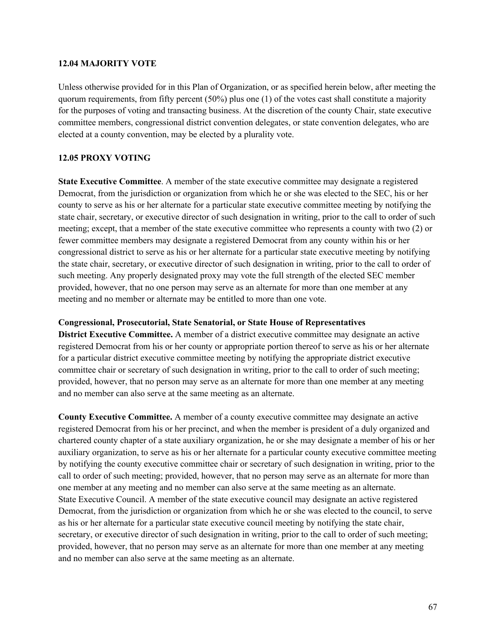#### **12.04 MAJORITY VOTE**

Unless otherwise provided for in this Plan of Organization, or as specified herein below, after meeting the quorum requirements, from fifty percent  $(50\%)$  plus one (1) of the votes cast shall constitute a majority for the purposes of voting and transacting business. At the discretion of the county Chair, state executive committee members, congressional district convention delegates, or state convention delegates, who are elected at a county convention, may be elected by a plurality vote.

#### **12.05 PROXY VOTING**

**State Executive Committee**. A member of the state executive committee may designate a registered Democrat, from the jurisdiction or organization from which he or she was elected to the SEC, his or her county to serve as his or her alternate for a particular state executive committee meeting by notifying the state chair, secretary, or executive director of such designation in writing, prior to the call to order of such meeting; except, that a member of the state executive committee who represents a county with two (2) or fewer committee members may designate a registered Democrat from any county within his or her congressional district to serve as his or her alternate for a particular state executive meeting by notifying the state chair, secretary, or executive director of such designation in writing, prior to the call to order of such meeting. Any properly designated proxy may vote the full strength of the elected SEC member provided, however, that no one person may serve as an alternate for more than one member at any meeting and no member or alternate may be entitled to more than one vote.

#### **Congressional, Prosecutorial, State Senatorial, or State House of Representatives**

**District Executive Committee.** A member of a district executive committee may designate an active registered Democrat from his or her county or appropriate portion thereof to serve as his or her alternate for a particular district executive committee meeting by notifying the appropriate district executive committee chair or secretary of such designation in writing, prior to the call to order of such meeting; provided, however, that no person may serve as an alternate for more than one member at any meeting and no member can also serve at the same meeting as an alternate.

**County Executive Committee.** A member of a county executive committee may designate an active registered Democrat from his or her precinct, and when the member is president of a duly organized and chartered county chapter of a state auxiliary organization, he or she may designate a member of his or her auxiliary organization, to serve as his or her alternate for a particular county executive committee meeting by notifying the county executive committee chair or secretary of such designation in writing, prior to the call to order of such meeting; provided, however, that no person may serve as an alternate for more than one member at any meeting and no member can also serve at the same meeting as an alternate. State Executive Council. A member of the state executive council may designate an active registered Democrat, from the jurisdiction or organization from which he or she was elected to the council, to serve as his or her alternate for a particular state executive council meeting by notifying the state chair, secretary, or executive director of such designation in writing, prior to the call to order of such meeting; provided, however, that no person may serve as an alternate for more than one member at any meeting and no member can also serve at the same meeting as an alternate.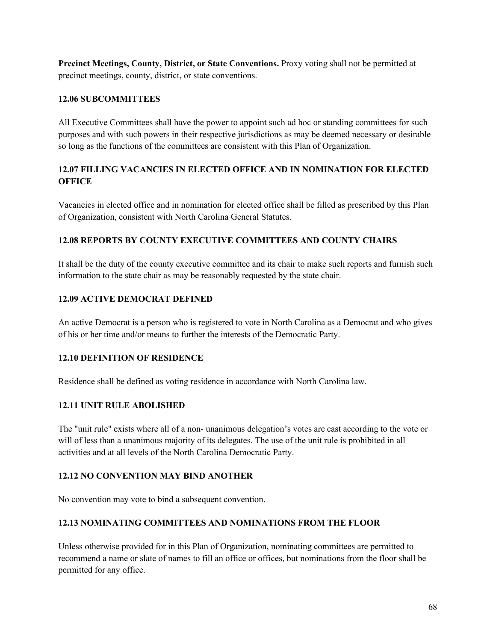**Precinct Meetings, County, District, or State Conventions.** Proxy voting shall not be permitted at precinct meetings, county, district, or state conventions.

#### **12.06 SUBCOMMITTEES**

All Executive Committees shall have the power to appoint such ad hoc or standing committees for such purposes and with such powers in their respective jurisdictions as may be deemed necessary or desirable so long as the functions of the committees are consistent with this Plan of Organization.

# **12.07 FILLING VACANCIES IN ELECTED OFFICE AND IN NOMINATION FOR ELECTED OFFICE**

Vacancies in elected office and in nomination for elected office shall be filled as prescribed by this Plan of Organization, consistent with North Carolina General Statutes.

# **12.08 REPORTS BY COUNTY EXECUTIVE COMMITTEES AND COUNTY CHAIRS**

It shall be the duty of the county executive committee and its chair to make such reports and furnish such information to the state chair as may be reasonably requested by the state chair.

# **12.09 ACTIVE DEMOCRAT DEFINED**

An active Democrat is a person who is registered to vote in North Carolina as a Democrat and who gives of his or her time and/or means to further the interests of the Democratic Party.

# **12.10 DEFINITION OF RESIDENCE**

Residence shall be defined as voting residence in accordance with North Carolina law.

# **12.11 UNIT RULE ABOLISHED**

The "unit rule" exists where all of a non- unanimous delegation's votes are cast according to the vote or will of less than a unanimous majority of its delegates. The use of the unit rule is prohibited in all activities and at all levels of the North Carolina Democratic Party.

#### **12.12 NO CONVENTION MAY BIND ANOTHER**

No convention may vote to bind a subsequent convention.

# **12.13 NOMINATING COMMITTEES AND NOMINATIONS FROM THE FLOOR**

Unless otherwise provided for in this Plan of Organization, nominating committees are permitted to recommend a name or slate of names to fill an office or offices, but nominations from the floor shall be permitted for any office.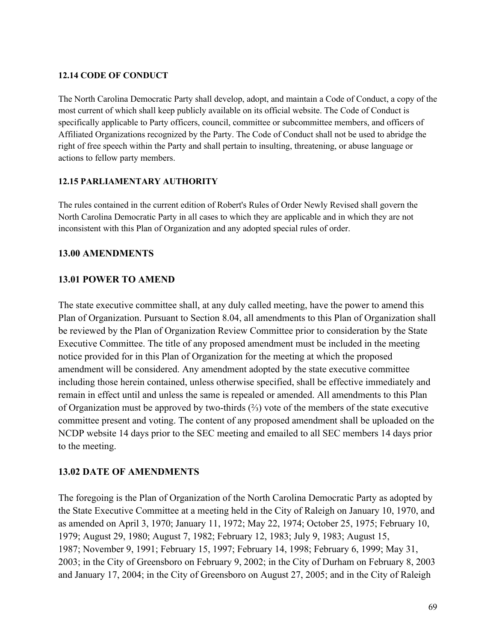# **12.14 CODE OF CONDUCT**

The North Carolina Democratic Party shall develop, adopt, and maintain a Code of Conduct, a copy of the most current of which shall keep publicly available on its official website. The Code of Conduct is specifically applicable to Party officers, council, committee or subcommittee members, and officers of Affiliated Organizations recognized by the Party. The Code of Conduct shall not be used to abridge the right of free speech within the Party and shall pertain to insulting, threatening, or abuse language or actions to fellow party members.

# **12.15 PARLIAMENTARY AUTHORITY**

The rules contained in the current edition of Robert's Rules of Order Newly Revised shall govern the North Carolina Democratic Party in all cases to which they are applicable and in which they are not inconsistent with this Plan of Organization and any adopted special rules of order.

# **13.00 AMENDMENTS**

# **13.01 POWER TO AMEND**

The state executive committee shall, at any duly called meeting, have the power to amend this Plan of Organization. Pursuant to Section 8.04, all amendments to this Plan of Organization shall be reviewed by the Plan of Organization Review Committee prior to consideration by the State Executive Committee. The title of any proposed amendment must be included in the meeting notice provided for in this Plan of Organization for the meeting at which the proposed amendment will be considered. Any amendment adopted by the state executive committee including those herein contained, unless otherwise specified, shall be effective immediately and remain in effect until and unless the same is repealed or amended. All amendments to this Plan of Organization must be approved by two-thirds (⅔) vote of the members of the state executive committee present and voting. The content of any proposed amendment shall be uploaded on the NCDP website 14 days prior to the SEC meeting and emailed to all SEC members 14 days prior to the meeting.

# **13.02 DATE OF AMENDMENTS**

The foregoing is the Plan of Organization of the North Carolina Democratic Party as adopted by the State Executive Committee at a meeting held in the City of Raleigh on January 10, 1970, and as amended on April 3, 1970; January 11, 1972; May 22, 1974; October 25, 1975; February 10, 1979; August 29, 1980; August 7, 1982; February 12, 1983; July 9, 1983; August 15, 1987; November 9, 1991; February 15, 1997; February 14, 1998; February 6, 1999; May 31, 2003; in the City of Greensboro on February 9, 2002; in the City of Durham on February 8, 2003 and January 17, 2004; in the City of Greensboro on August 27, 2005; and in the City of Raleigh